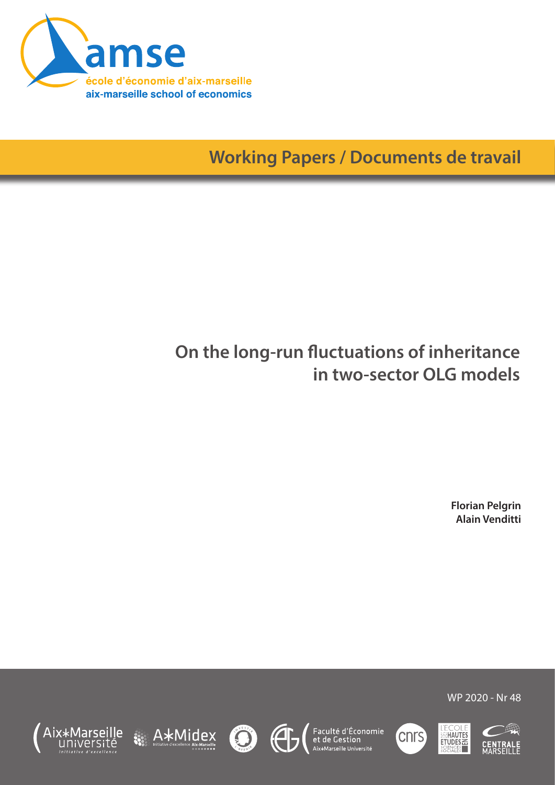

**Working Papers / Documents de travail**

# **On the long-run fluctuations of inheritance in two-sector OLG models**

**Florian Pelgrin Alain Venditti**







Faculté d'Économie<br>et de Gestion<br><sup>Aix\*Marseille Université</sup>





WP 2020 - Nr 48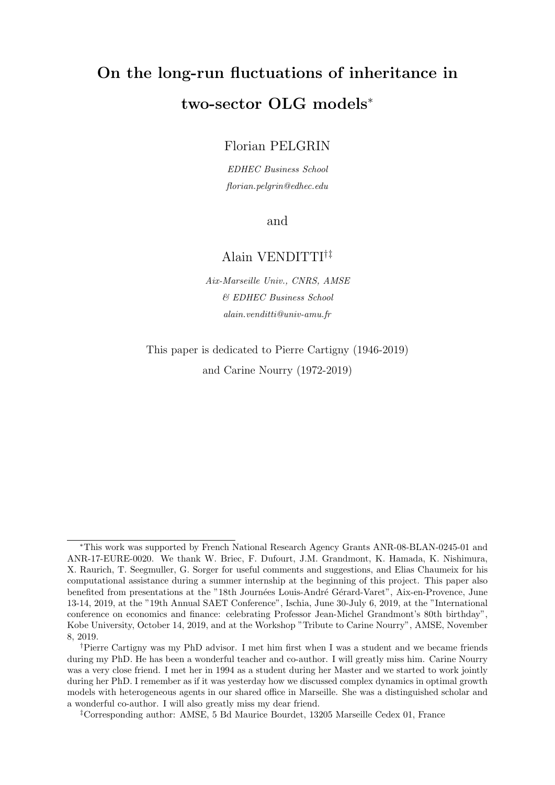# On the long-run fluctuations of inheritance in two-sector OLG models<sup>∗</sup>

## Florian PELGRIN

EDHEC Business School florian.pelgrin@edhec.edu

and

## Alain VENDITTI†‡

Aix-Marseille Univ., CNRS, AMSE & EDHEC Business School alain.venditti@univ-amu.fr

This paper is dedicated to Pierre Cartigny (1946-2019) and Carine Nourry (1972-2019)

<sup>∗</sup>This work was supported by French National Research Agency Grants ANR-08-BLAN-0245-01 and ANR-17-EURE-0020. We thank W. Briec, F. Dufourt, J.M. Grandmont, K. Hamada, K. Nishimura, X. Raurich, T. Seegmuller, G. Sorger for useful comments and suggestions, and Elias Chaumeix for his computational assistance during a summer internship at the beginning of this project. This paper also benefited from presentations at the "18th Journées Louis-André Gérard-Varet", Aix-en-Provence, June 13-14, 2019, at the "19th Annual SAET Conference", Ischia, June 30-July 6, 2019, at the "International conference on economics and finance: celebrating Professor Jean-Michel Grandmont's 80th birthday", Kobe University, October 14, 2019, and at the Workshop "Tribute to Carine Nourry", AMSE, November 8, 2019.

<sup>†</sup>Pierre Cartigny was my PhD advisor. I met him first when I was a student and we became friends during my PhD. He has been a wonderful teacher and co-author. I will greatly miss him. Carine Nourry was a very close friend. I met her in 1994 as a student during her Master and we started to work jointly during her PhD. I remember as if it was yesterday how we discussed complex dynamics in optimal growth models with heterogeneous agents in our shared office in Marseille. She was a distinguished scholar and a wonderful co-author. I will also greatly miss my dear friend.

<sup>‡</sup>Corresponding author: AMSE, 5 Bd Maurice Bourdet, 13205 Marseille Cedex 01, France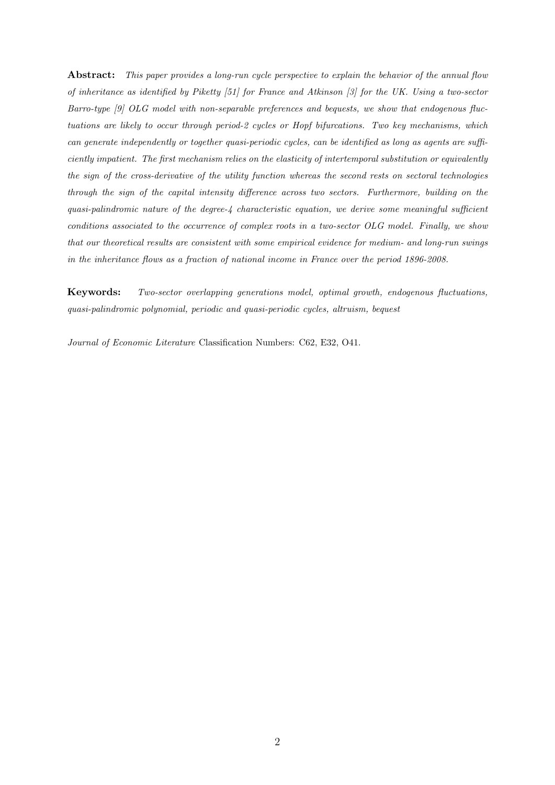Abstract: This paper provides a long-run cycle perspective to explain the behavior of the annual flow of inheritance as identified by Piketty [51] for France and Atkinson [3] for the UK. Using a two-sector Barro-type [9] OLG model with non-separable preferences and bequests, we show that endogenous fluctuations are likely to occur through period-2 cycles or Hopf bifurcations. Two key mechanisms, which can generate independently or together quasi-periodic cycles, can be identified as long as agents are sufficiently impatient. The first mechanism relies on the elasticity of intertemporal substitution or equivalently the sign of the cross-derivative of the utility function whereas the second rests on sectoral technologies through the sign of the capital intensity difference across two sectors. Furthermore, building on the quasi-palindromic nature of the degree-4 characteristic equation, we derive some meaningful sufficient conditions associated to the occurrence of complex roots in a two-sector OLG model. Finally, we show that our theoretical results are consistent with some empirical evidence for medium- and long-run swings in the inheritance flows as a fraction of national income in France over the period 1896-2008.

Keywords: Two-sector overlapping generations model, optimal growth, endogenous fluctuations, quasi-palindromic polynomial, periodic and quasi-periodic cycles, altruism, bequest

Journal of Economic Literature Classification Numbers: C62, E32, O41.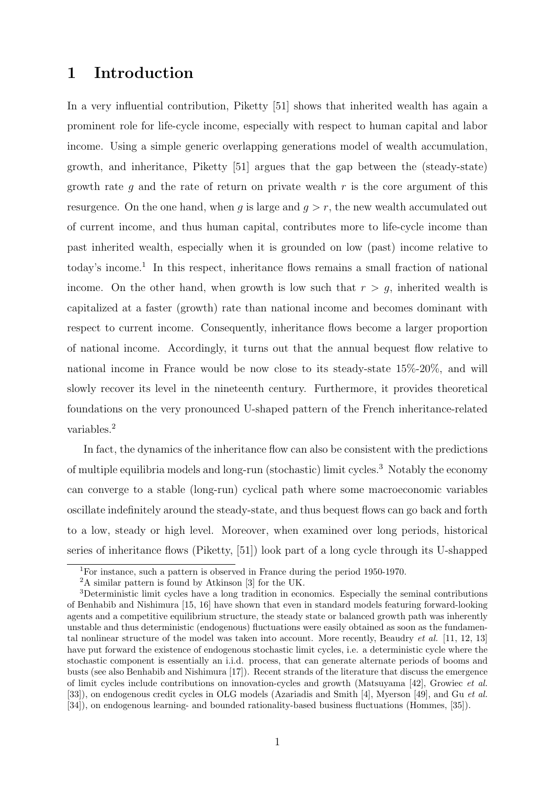## 1 Introduction

In a very influential contribution, Piketty [51] shows that inherited wealth has again a prominent role for life-cycle income, especially with respect to human capital and labor income. Using a simple generic overlapping generations model of wealth accumulation, growth, and inheritance, Piketty [51] argues that the gap between the (steady-state) growth rate q and the rate of return on private wealth  $r$  is the core argument of this resurgence. On the one hand, when g is large and  $g > r$ , the new wealth accumulated out of current income, and thus human capital, contributes more to life-cycle income than past inherited wealth, especially when it is grounded on low (past) income relative to today's income.<sup>1</sup> In this respect, inheritance flows remains a small fraction of national income. On the other hand, when growth is low such that  $r > g$ , inherited wealth is capitalized at a faster (growth) rate than national income and becomes dominant with respect to current income. Consequently, inheritance flows become a larger proportion of national income. Accordingly, it turns out that the annual bequest flow relative to national income in France would be now close to its steady-state 15%-20%, and will slowly recover its level in the nineteenth century. Furthermore, it provides theoretical foundations on the very pronounced U-shaped pattern of the French inheritance-related variables.<sup>2</sup>

In fact, the dynamics of the inheritance flow can also be consistent with the predictions of multiple equilibria models and long-run (stochastic) limit cycles.<sup>3</sup> Notably the economy can converge to a stable (long-run) cyclical path where some macroeconomic variables oscillate indefinitely around the steady-state, and thus bequest flows can go back and forth to a low, steady or high level. Moreover, when examined over long periods, historical series of inheritance flows (Piketty, [51]) look part of a long cycle through its U-shapped

<sup>1</sup>For instance, such a pattern is observed in France during the period 1950-1970.

<sup>2</sup>A similar pattern is found by Atkinson [3] for the UK.

<sup>&</sup>lt;sup>3</sup>Deterministic limit cycles have a long tradition in economics. Especially the seminal contributions of Benhabib and Nishimura [15, 16] have shown that even in standard models featuring forward-looking agents and a competitive equilibrium structure, the steady state or balanced growth path was inherently unstable and thus deterministic (endogenous) fluctuations were easily obtained as soon as the fundamental nonlinear structure of the model was taken into account. More recently, Beaudry et al. [11, 12, 13] have put forward the existence of endogenous stochastic limit cycles, i.e. a deterministic cycle where the stochastic component is essentially an i.i.d. process, that can generate alternate periods of booms and busts (see also Benhabib and Nishimura [17]). Recent strands of the literature that discuss the emergence of limit cycles include contributions on innovation-cycles and growth (Matsuyama [42], Growiec et al. [33]), on endogenous credit cycles in OLG models (Azariadis and Smith [4], Myerson [49], and Gu et al. [34]), on endogenous learning- and bounded rationality-based business fluctuations (Hommes, [35]).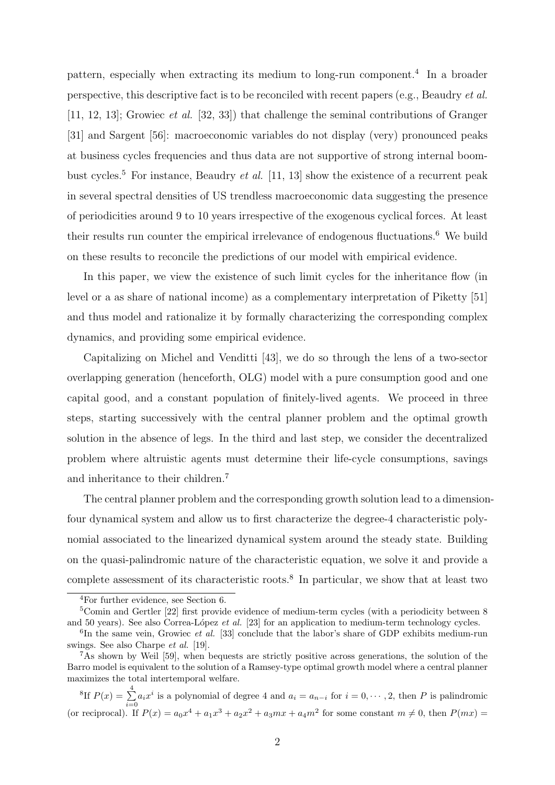pattern, especially when extracting its medium to long-run component.<sup>4</sup> In a broader perspective, this descriptive fact is to be reconciled with recent papers (e.g., Beaudry et al. [11, 12, 13]; Growiec et al. [32, 33]) that challenge the seminal contributions of Granger [31] and Sargent [56]: macroeconomic variables do not display (very) pronounced peaks at business cycles frequencies and thus data are not supportive of strong internal boombust cycles.<sup>5</sup> For instance, Beaudry *et al.* [11, 13] show the existence of a recurrent peak in several spectral densities of US trendless macroeconomic data suggesting the presence of periodicities around 9 to 10 years irrespective of the exogenous cyclical forces. At least their results run counter the empirical irrelevance of endogenous fluctuations.<sup>6</sup> We build on these results to reconcile the predictions of our model with empirical evidence.

In this paper, we view the existence of such limit cycles for the inheritance flow (in level or a as share of national income) as a complementary interpretation of Piketty [51] and thus model and rationalize it by formally characterizing the corresponding complex dynamics, and providing some empirical evidence.

Capitalizing on Michel and Venditti [43], we do so through the lens of a two-sector overlapping generation (henceforth, OLG) model with a pure consumption good and one capital good, and a constant population of finitely-lived agents. We proceed in three steps, starting successively with the central planner problem and the optimal growth solution in the absence of legs. In the third and last step, we consider the decentralized problem where altruistic agents must determine their life-cycle consumptions, savings and inheritance to their children.<sup>7</sup>

The central planner problem and the corresponding growth solution lead to a dimensionfour dynamical system and allow us to first characterize the degree-4 characteristic polynomial associated to the linearized dynamical system around the steady state. Building on the quasi-palindromic nature of the characteristic equation, we solve it and provide a complete assessment of its characteristic roots.<sup>8</sup> In particular, we show that at least two

<sup>4</sup>For further evidence, see Section 6.

<sup>5</sup>Comin and Gertler [22] first provide evidence of medium-term cycles (with a periodicity between 8 and 50 years). See also Correa-López et al.  $[23]$  for an application to medium-term technology cycles.

 ${}^{6}$ In the same vein, Growiec *et al.* [33] conclude that the labor's share of GDP exhibits medium-run swings. See also Charpe et al. [19].

 $^{7}$ As shown by Weil [59], when bequests are strictly positive across generations, the solution of the Barro model is equivalent to the solution of a Ramsey-type optimal growth model where a central planner maximizes the total intertemporal welfare.

<sup>&</sup>lt;sup>8</sup>If  $P(x) = \sum_{n=1}^{4}$  $\sum_{i=0} a_i x^i$  is a polynomial of degree 4 and  $a_i = a_{n-i}$  for  $i = 0, \dots, 2$ , then P is palindromic (or reciprocal). If  $P(x) = a_0x^4 + a_1x^3 + a_2x^2 + a_3mx + a_4m^2$  for some constant  $m \neq 0$ , then  $P(mx) =$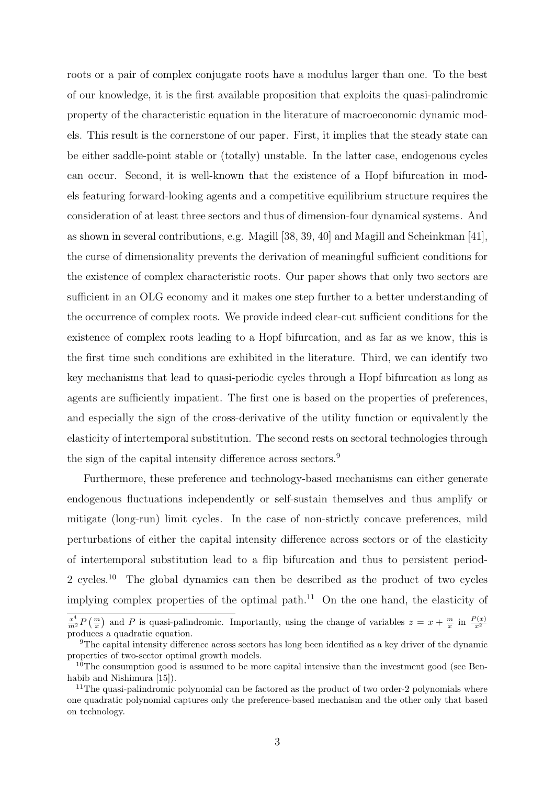roots or a pair of complex conjugate roots have a modulus larger than one. To the best of our knowledge, it is the first available proposition that exploits the quasi-palindromic property of the characteristic equation in the literature of macroeconomic dynamic models. This result is the cornerstone of our paper. First, it implies that the steady state can be either saddle-point stable or (totally) unstable. In the latter case, endogenous cycles can occur. Second, it is well-known that the existence of a Hopf bifurcation in models featuring forward-looking agents and a competitive equilibrium structure requires the consideration of at least three sectors and thus of dimension-four dynamical systems. And as shown in several contributions, e.g. Magill [38, 39, 40] and Magill and Scheinkman [41], the curse of dimensionality prevents the derivation of meaningful sufficient conditions for the existence of complex characteristic roots. Our paper shows that only two sectors are sufficient in an OLG economy and it makes one step further to a better understanding of the occurrence of complex roots. We provide indeed clear-cut sufficient conditions for the existence of complex roots leading to a Hopf bifurcation, and as far as we know, this is the first time such conditions are exhibited in the literature. Third, we can identify two key mechanisms that lead to quasi-periodic cycles through a Hopf bifurcation as long as agents are sufficiently impatient. The first one is based on the properties of preferences, and especially the sign of the cross-derivative of the utility function or equivalently the elasticity of intertemporal substitution. The second rests on sectoral technologies through the sign of the capital intensity difference across sectors.<sup>9</sup>

Furthermore, these preference and technology-based mechanisms can either generate endogenous fluctuations independently or self-sustain themselves and thus amplify or mitigate (long-run) limit cycles. In the case of non-strictly concave preferences, mild perturbations of either the capital intensity difference across sectors or of the elasticity of intertemporal substitution lead to a flip bifurcation and thus to persistent period-2 cycles.<sup>10</sup> The global dynamics can then be described as the product of two cycles implying complex properties of the optimal path.<sup>11</sup> On the one hand, the elasticity of

 $\frac{x^4}{m^2}P(\frac{m}{x})$  and P is quasi-palindromic. Importantly, using the change of variables  $z = x + \frac{m}{x}$  in  $\frac{P(x)}{x^2}$ produces a quadratic equation.

<sup>9</sup>The capital intensity difference across sectors has long been identified as a key driver of the dynamic properties of two-sector optimal growth models.

 $10$ <sup>The</sup> consumption good is assumed to be more capital intensive than the investment good (see Benhabib and Nishimura [15]).

<sup>&</sup>lt;sup>11</sup>The quasi-palindromic polynomial can be factored as the product of two order-2 polynomials where one quadratic polynomial captures only the preference-based mechanism and the other only that based on technology.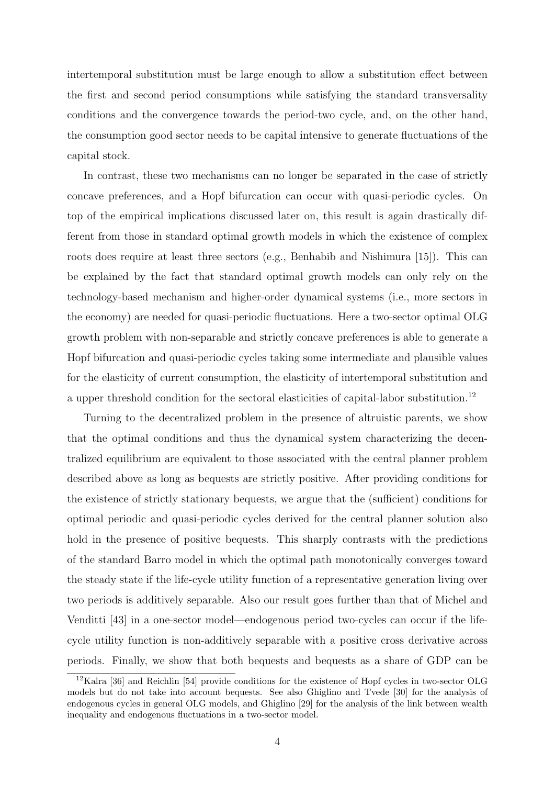intertemporal substitution must be large enough to allow a substitution effect between the first and second period consumptions while satisfying the standard transversality conditions and the convergence towards the period-two cycle, and, on the other hand, the consumption good sector needs to be capital intensive to generate fluctuations of the capital stock.

In contrast, these two mechanisms can no longer be separated in the case of strictly concave preferences, and a Hopf bifurcation can occur with quasi-periodic cycles. On top of the empirical implications discussed later on, this result is again drastically different from those in standard optimal growth models in which the existence of complex roots does require at least three sectors (e.g., Benhabib and Nishimura [15]). This can be explained by the fact that standard optimal growth models can only rely on the technology-based mechanism and higher-order dynamical systems (i.e., more sectors in the economy) are needed for quasi-periodic fluctuations. Here a two-sector optimal OLG growth problem with non-separable and strictly concave preferences is able to generate a Hopf bifurcation and quasi-periodic cycles taking some intermediate and plausible values for the elasticity of current consumption, the elasticity of intertemporal substitution and a upper threshold condition for the sectoral elasticities of capital-labor substitution.<sup>12</sup>

Turning to the decentralized problem in the presence of altruistic parents, we show that the optimal conditions and thus the dynamical system characterizing the decentralized equilibrium are equivalent to those associated with the central planner problem described above as long as bequests are strictly positive. After providing conditions for the existence of strictly stationary bequests, we argue that the (sufficient) conditions for optimal periodic and quasi-periodic cycles derived for the central planner solution also hold in the presence of positive bequests. This sharply contrasts with the predictions of the standard Barro model in which the optimal path monotonically converges toward the steady state if the life-cycle utility function of a representative generation living over two periods is additively separable. Also our result goes further than that of Michel and Venditti [43] in a one-sector model—endogenous period two-cycles can occur if the lifecycle utility function is non-additively separable with a positive cross derivative across periods. Finally, we show that both bequests and bequests as a share of GDP can be

<sup>&</sup>lt;sup>12</sup>Kalra [36] and Reichlin [54] provide conditions for the existence of Hopf cycles in two-sector OLG models but do not take into account bequests. See also Ghiglino and Tvede [30] for the analysis of endogenous cycles in general OLG models, and Ghiglino [29] for the analysis of the link between wealth inequality and endogenous fluctuations in a two-sector model.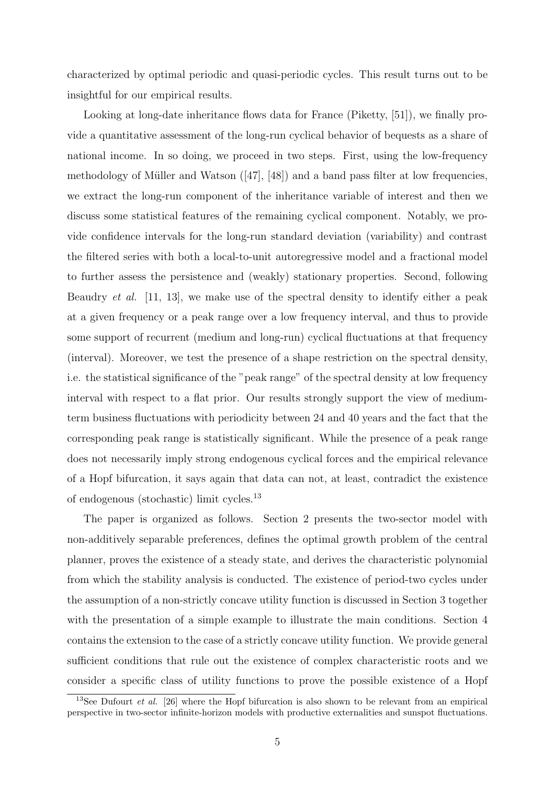characterized by optimal periodic and quasi-periodic cycles. This result turns out to be insightful for our empirical results.

Looking at long-date inheritance flows data for France (Piketty, [51]), we finally provide a quantitative assessment of the long-run cyclical behavior of bequests as a share of national income. In so doing, we proceed in two steps. First, using the low-frequency methodology of Müller and Watson  $([47], [48])$  and a band pass filter at low frequencies, we extract the long-run component of the inheritance variable of interest and then we discuss some statistical features of the remaining cyclical component. Notably, we provide confidence intervals for the long-run standard deviation (variability) and contrast the filtered series with both a local-to-unit autoregressive model and a fractional model to further assess the persistence and (weakly) stationary properties. Second, following Beaudry *et al.* [11, 13], we make use of the spectral density to identify either a peak at a given frequency or a peak range over a low frequency interval, and thus to provide some support of recurrent (medium and long-run) cyclical fluctuations at that frequency (interval). Moreover, we test the presence of a shape restriction on the spectral density, i.e. the statistical significance of the "peak range" of the spectral density at low frequency interval with respect to a flat prior. Our results strongly support the view of mediumterm business fluctuations with periodicity between 24 and 40 years and the fact that the corresponding peak range is statistically significant. While the presence of a peak range does not necessarily imply strong endogenous cyclical forces and the empirical relevance of a Hopf bifurcation, it says again that data can not, at least, contradict the existence of endogenous (stochastic) limit cycles.<sup>13</sup>

The paper is organized as follows. Section 2 presents the two-sector model with non-additively separable preferences, defines the optimal growth problem of the central planner, proves the existence of a steady state, and derives the characteristic polynomial from which the stability analysis is conducted. The existence of period-two cycles under the assumption of a non-strictly concave utility function is discussed in Section 3 together with the presentation of a simple example to illustrate the main conditions. Section 4 contains the extension to the case of a strictly concave utility function. We provide general sufficient conditions that rule out the existence of complex characteristic roots and we consider a specific class of utility functions to prove the possible existence of a Hopf

<sup>&</sup>lt;sup>13</sup>See Dufourt *et al.* [26] where the Hopf bifurcation is also shown to be relevant from an empirical perspective in two-sector infinite-horizon models with productive externalities and sunspot fluctuations.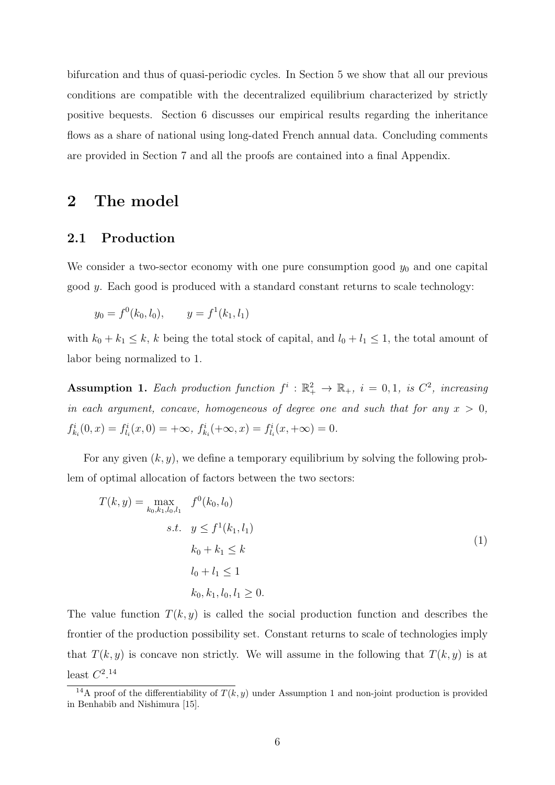bifurcation and thus of quasi-periodic cycles. In Section 5 we show that all our previous conditions are compatible with the decentralized equilibrium characterized by strictly positive bequests. Section 6 discusses our empirical results regarding the inheritance flows as a share of national using long-dated French annual data. Concluding comments are provided in Section 7 and all the proofs are contained into a final Appendix.

# 2 The model

#### 2.1 Production

We consider a two-sector economy with one pure consumption good  $y_0$  and one capital good y. Each good is produced with a standard constant returns to scale technology:

$$
y_0 = f^0(k_0, l_0),
$$
  $y = f^1(k_1, l_1)$ 

with  $k_0 + k_1 \leq k$ , k being the total stock of capital, and  $l_0 + l_1 \leq 1$ , the total amount of labor being normalized to 1.

Assumption 1. Each production function  $f^i : \mathbb{R}_+^2 \to \mathbb{R}_+$ ,  $i = 0, 1$ , is  $C^2$ , increasing in each argument, concave, homogeneous of degree one and such that for any  $x > 0$ ,  $f_{k_i}^i(0, x) = f_{l_i}^i(x, 0) = +\infty, \ f_{k_i}^i(+\infty, x) = f_{l_i}^i(x, +\infty) = 0.$ 

For any given  $(k, y)$ , we define a temporary equilibrium by solving the following problem of optimal allocation of factors between the two sectors:

$$
T(k, y) = \max_{k_0, k_1, l_0, l_1} f^{0}(k_0, l_0)
$$
  
s.t.  $y \le f^{1}(k_1, l_1)$   

$$
k_0 + k_1 \le k
$$
  

$$
l_0 + l_1 \le 1
$$
  

$$
k_0, k_1, l_0, l_1 \ge 0.
$$
 (1)

The value function  $T(k, y)$  is called the social production function and describes the frontier of the production possibility set. Constant returns to scale of technologies imply that  $T(k, y)$  is concave non strictly. We will assume in the following that  $T(k, y)$  is at least  $C^{2.14}$ 

<sup>&</sup>lt;sup>14</sup>A proof of the differentiability of  $T(k, y)$  under Assumption 1 and non-joint production is provided in Benhabib and Nishimura [15].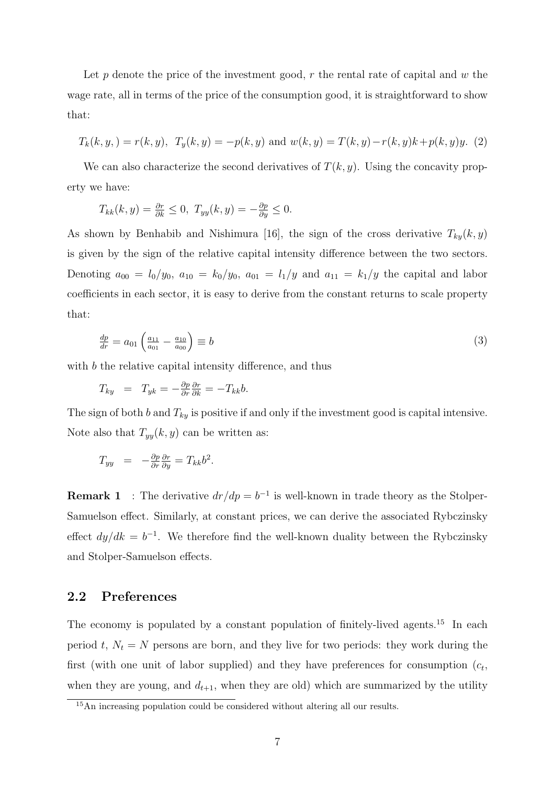Let p denote the price of the investment good,  $r$  the rental rate of capital and  $w$  the wage rate, all in terms of the price of the consumption good, it is straightforward to show that:

$$
T_k(k, y,)
$$
 =  $r(k, y)$ ,  $T_y(k, y)$  =  $-p(k, y)$  and  $w(k, y)$  =  $T(k, y)$  -  $r(k, y)k + p(k, y)y$ . (2)

We can also characterize the second derivatives of  $T(k, y)$ . Using the concavity property we have:

$$
T_{kk}(k,y) = \frac{\partial r}{\partial k} \le 0, \ T_{yy}(k,y) = -\frac{\partial p}{\partial y} \le 0.
$$

As shown by Benhabib and Nishimura [16], the sign of the cross derivative  $T_{ky}(k, y)$ is given by the sign of the relative capital intensity difference between the two sectors. Denoting  $a_{00} = l_0/y_0$ ,  $a_{10} = k_0/y_0$ ,  $a_{01} = l_1/y$  and  $a_{11} = k_1/y$  the capital and labor coefficients in each sector, it is easy to derive from the constant returns to scale property that:

$$
\frac{dp}{dr} = a_{01} \left( \frac{a_{11}}{a_{01}} - \frac{a_{10}}{a_{00}} \right) \equiv b \tag{3}
$$

with b the relative capital intensity difference, and thus

$$
T_{ky} = T_{yk} = -\frac{\partial p}{\partial r} \frac{\partial r}{\partial k} = -T_{kk}b.
$$

The sign of both b and  $T_{ky}$  is positive if and only if the investment good is capital intensive. Note also that  $T_{yy}(k, y)$  can be written as:

$$
T_{yy} = -\frac{\partial p}{\partial r}\frac{\partial r}{\partial y} = T_{kk}b^2.
$$

**Remark 1** : The derivative  $dr/dp = b^{-1}$  is well-known in trade theory as the Stolper-Samuelson effect. Similarly, at constant prices, we can derive the associated Rybczinsky effect  $dy/dk = b^{-1}$ . We therefore find the well-known duality between the Rybczinsky and Stolper-Samuelson effects.

### 2.2 Preferences

The economy is populated by a constant population of finitely-lived agents.<sup>15</sup> In each period t,  $N_t = N$  persons are born, and they live for two periods: they work during the first (with one unit of labor supplied) and they have preferences for consumption  $(c_t,$ when they are young, and  $d_{t+1}$ , when they are old) which are summarized by the utility

<sup>15</sup>An increasing population could be considered without altering all our results.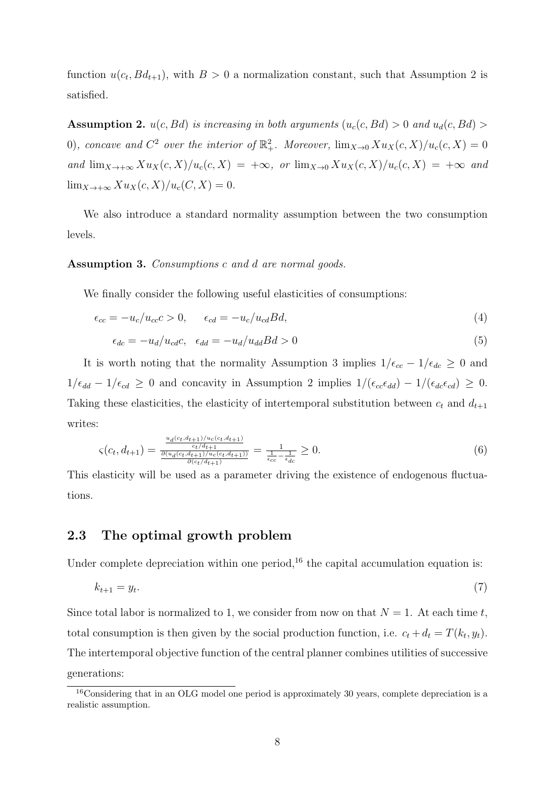function  $u(c_t, Bd_{t+1})$ , with  $B > 0$  a normalization constant, such that Assumption 2 is satisfied.

**Assumption 2.**  $u(c, Bd)$  is increasing in both arguments  $(u_c(c, Bd) > 0$  and  $u_d(c, Bd) > 0$ 0), concave and  $C^2$  over the interior of  $\mathbb{R}^2_+$ . Moreover,  $\lim_{X\to 0} Xu_X(c, X)/u_c(c, X) = 0$ and  $\lim_{X\to+\infty} Xu_X(c,X)/u_c(c,X) = +\infty$ , or  $\lim_{X\to0} Xu_X(c,X)/u_c(c,X) = +\infty$  and  $\lim_{X \to +\infty} X u_X(c, X)/u_c(C, X) = 0.$ 

We also introduce a standard normality assumption between the two consumption levels.

Assumption 3. Consumptions c and d are normal goods.

We finally consider the following useful elasticities of consumptions:

$$
\epsilon_{cc} = -u_c/u_{cc}c > 0, \qquad \epsilon_{cd} = -u_c/u_{cd}Bd, \tag{4}
$$

$$
\epsilon_{dc} = -u_d/u_{cd}c, \quad \epsilon_{dd} = -u_d/u_{dd}Bd > 0 \tag{5}
$$

It is worth noting that the normality Assumption 3 implies  $1/\epsilon_{cc} - 1/\epsilon_{dc} \geq 0$  and  $1/\epsilon_{dd} - 1/\epsilon_{cd} \geq 0$  and concavity in Assumption 2 implies  $1/(\epsilon_{cc}\epsilon_{dd}) - 1/(\epsilon_{dc}\epsilon_{cd}) \geq 0$ . Taking these elasticities, the elasticity of intertemporal substitution between  $c_t$  and  $d_{t+1}$ writes:

$$
\varsigma(c_t, d_{t+1}) = \frac{\frac{u_d(c_t, d_{t+1})/u_c(c_t, d_{t+1})}{c_t/d_{t+1}}}{\frac{\partial (u_d(c_t, d_{t+1})/u_c(c_t, d_{t+1}))}{\partial (c_t/d_{t+1})}} = \frac{1}{\frac{1}{\epsilon_{cc}} - \frac{1}{\epsilon_{dc}}} \ge 0.
$$
\n
$$
(6)
$$

This elasticity will be used as a parameter driving the existence of endogenous fluctuations.

### 2.3 The optimal growth problem

Under complete depreciation within one period,  $^{16}$  the capital accumulation equation is:

$$
k_{t+1} = y_t. \tag{7}
$$

Since total labor is normalized to 1, we consider from now on that  $N = 1$ . At each time t, total consumption is then given by the social production function, i.e.  $c_t + d_t = T(k_t, y_t)$ . The intertemporal objective function of the central planner combines utilities of successive generations:

<sup>&</sup>lt;sup>16</sup>Considering that in an OLG model one period is approximately 30 years, complete depreciation is a realistic assumption.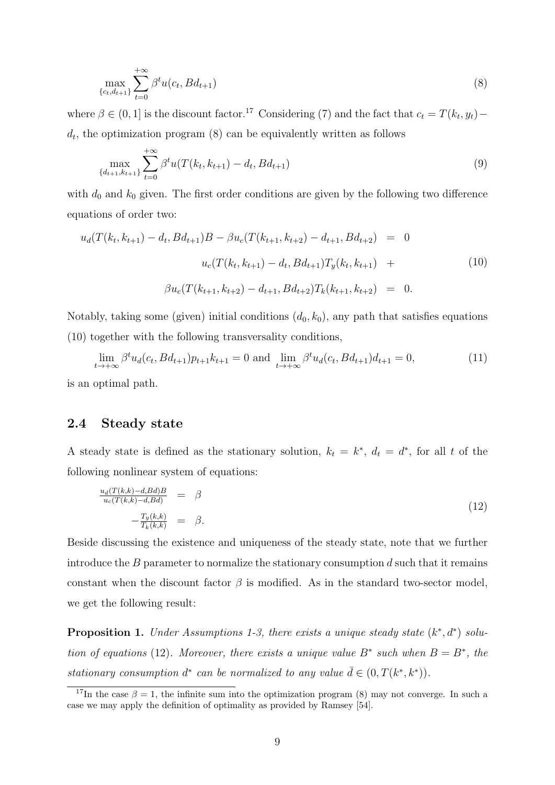$$
\max_{\{c_t, d_{t+1}\}} \sum_{t=0}^{+\infty} \beta^t u(c_t, B d_{t+1}) \tag{8}
$$

where  $\beta \in (0,1]$  is the discount factor.<sup>17</sup> Considering (7) and the fact that  $c_t = T(k_t, y_t)$  $d_t$ , the optimization program  $(8)$  can be equivalently written as follows

$$
\max_{\{d_{t+1}, k_{t+1}\}} \sum_{t=0}^{+\infty} \beta^t u(T(k_t, k_{t+1}) - d_t, B(d_{t+1})
$$
\n(9)

with  $d_0$  and  $k_0$  given. The first order conditions are given by the following two difference equations of order two:

$$
u_d(T(k_t, k_{t+1}) - d_t, Bd_{t+1})B - \beta u_c(T(k_{t+1}, k_{t+2}) - d_{t+1}, Bd_{t+2}) = 0
$$
  

$$
u_c(T(k_t, k_{t+1}) - d_t, Bd_{t+1})T_y(k_t, k_{t+1}) +
$$
  

$$
\beta u_c(T(k_{t+1}, k_{t+2}) - d_{t+1}, Bd_{t+2})T_k(k_{t+1}, k_{t+2}) = 0.
$$
 (10)

Notably, taking some (given) initial conditions  $(d_0, k_0)$ , any path that satisfies equations (10) together with the following transversality conditions,

$$
\lim_{t \to +\infty} \beta^t u_d(c_t, Bd_{t+1}) p_{t+1} k_{t+1} = 0 \text{ and } \lim_{t \to +\infty} \beta^t u_d(c_t, Bd_{t+1}) d_{t+1} = 0,
$$
\n(11)

is an optimal path.

### 2.4 Steady state

A steady state is defined as the stationary solution,  $k_t = k^*$ ,  $d_t = d^*$ , for all t of the following nonlinear system of equations:

$$
\frac{u_d(T(k,k)-d,Bd)B}{u_c(T(k,k)-d,Bd)} = \beta
$$
\n
$$
-\frac{T_y(k,k)}{T_k(k,k)} = \beta.
$$
\n(12)

Beside discussing the existence and uniqueness of the steady state, note that we further introduce the  $B$  parameter to normalize the stationary consumption  $d$  such that it remains constant when the discount factor  $\beta$  is modified. As in the standard two-sector model, we get the following result:

**Proposition 1.** Under Assumptions 1-3, there exists a unique steady state  $(k^*, d^*)$  solution of equations (12). Moreover, there exists a unique value  $B^*$  such when  $B = B^*$ , the stationary consumption  $d^*$  can be normalized to any value  $\bar{d} \in (0, T(k^*, k^*))$ .

<sup>&</sup>lt;sup>17</sup>In the case  $\beta = 1$ , the infinite sum into the optimization program (8) may not converge. In such a case we may apply the definition of optimality as provided by Ramsey [54].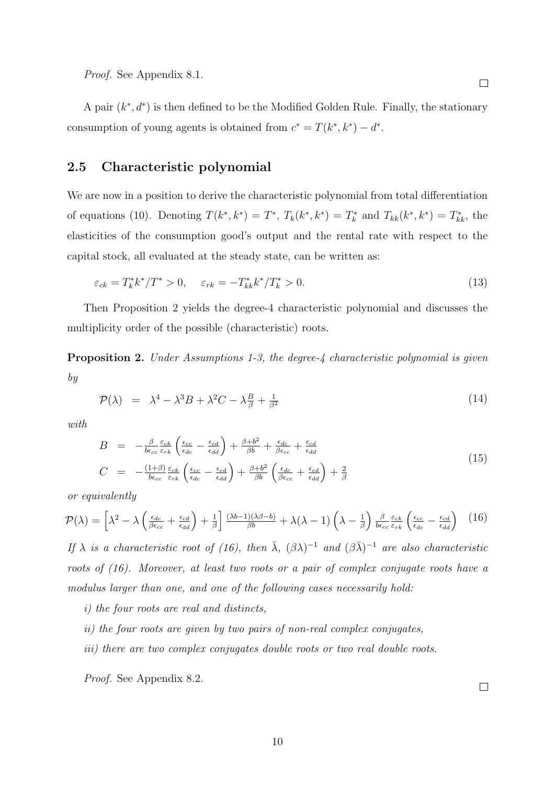Proof. See Appendix 8.1.

A pair  $(k^*, d^*)$  is then defined to be the Modified Golden Rule. Finally, the stationary consumption of young agents is obtained from  $c^* = T(k^*, k^*) - d^*$ .

### 2.5 Characteristic polynomial

We are now in a position to derive the characteristic polynomial from total differentiation of equations (10). Denoting  $T(k^*, k^*) = T^*, T_k(k^*, k^*) = T_k^*$  and  $T_{kk}(k^*, k^*) = T_{kk}^*$ , the elasticities of the consumption good's output and the rental rate with respect to the capital stock, all evaluated at the steady state, can be written as:

$$
\varepsilon_{ck} = T_k^* k^* / T^* > 0, \quad \varepsilon_{rk} = -T_{kk}^* k^* / T_k^* > 0.
$$
\n(13)

Then Proposition 2 yields the degree-4 characteristic polynomial and discusses the multiplicity order of the possible (characteristic) roots.

**Proposition 2.** Under Assumptions 1-3, the degree-4 characteristic polynomial is given by

$$
\mathcal{P}(\lambda) = \lambda^4 - \lambda^3 B + \lambda^2 C - \lambda \frac{B}{\beta} + \frac{1}{\beta^2}
$$
\n(14)

with

$$
B = -\frac{\beta}{b\epsilon_{cc}} \frac{\varepsilon_{ck}}{\varepsilon_{rk}} \left( \frac{\epsilon_{cc}}{\epsilon_{dc}} - \frac{\epsilon_{cd}}{\epsilon_{dd}} \right) + \frac{\beta + b^2}{\beta b} + \frac{\epsilon_{dc}}{\beta \epsilon_{cc}} + \frac{\epsilon_{cd}}{\epsilon_{dd}}
$$
  
\n
$$
C = -\frac{(1+\beta)}{b\epsilon_{cc}} \frac{\varepsilon_{ck}}{\varepsilon_{rk}} \left( \frac{\epsilon_{cc}}{\epsilon_{dc}} - \frac{\epsilon_{cd}}{\epsilon_{dd}} \right) + \frac{\beta + b^2}{\beta b} \left( \frac{\epsilon_{dc}}{\beta \epsilon_{cc}} + \frac{\epsilon_{cd}}{\epsilon_{dd}} \right) + \frac{2}{\beta}
$$
\n(15)

or equivalently

$$
\mathcal{P}(\lambda) = \left[\lambda^2 - \lambda \left(\frac{\epsilon_{dc}}{\beta \epsilon_{cc}} + \frac{\epsilon_{cd}}{\epsilon_{dd}}\right) + \frac{1}{\beta}\right] \frac{(\lambda b - 1)(\lambda \beta - b)}{\beta b} + \lambda(\lambda - 1) \left(\lambda - \frac{1}{\beta}\right) \frac{\beta}{b \epsilon_{cc}} \frac{\varepsilon_{ck}}{\varepsilon_{rk}} \left(\frac{\epsilon_{cc}}{\epsilon_{dc}} - \frac{\epsilon_{cd}}{\epsilon_{dd}}\right) \tag{16}
$$

If  $\lambda$  is a characteristic root of (16), then  $\bar{\lambda}$ ,  $(\beta \lambda)^{-1}$  and  $(\beta \bar{\lambda})^{-1}$  are also characteristic roots of (16). Moreover, at least two roots or a pair of complex conjugate roots have a modulus larger than one, and one of the following cases necessarily hold:

i) the four roots are real and distincts,

- ii) the four roots are given by two pairs of non-real complex conjugates,
- iii) there are two complex conjugates double roots or two real double roots.

Proof. See Appendix 8.2.

 $\Box$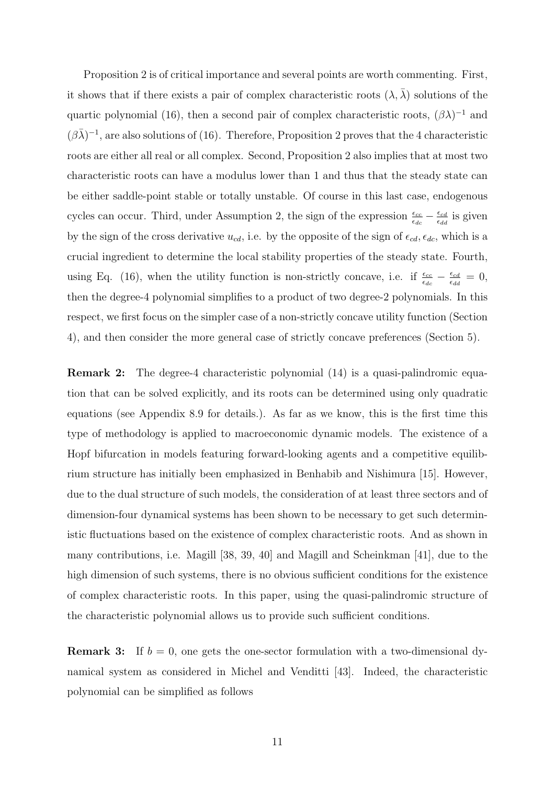Proposition 2 is of critical importance and several points are worth commenting. First, it shows that if there exists a pair of complex characteristic roots  $(\lambda, \overline{\lambda})$  solutions of the quartic polynomial (16), then a second pair of complex characteristic roots,  $(\beta \lambda)^{-1}$  and  $(\beta \bar{\lambda})^{-1}$ , are also solutions of (16). Therefore, Proposition 2 proves that the 4 characteristic roots are either all real or all complex. Second, Proposition 2 also implies that at most two characteristic roots can have a modulus lower than 1 and thus that the steady state can be either saddle-point stable or totally unstable. Of course in this last case, endogenous cycles can occur. Third, under Assumption 2, the sign of the expression  $\frac{\epsilon_{cc}}{\epsilon_{dc}} - \frac{\epsilon_{cd}}{\epsilon_{dd}}$  $\frac{\epsilon_{cd}}{\epsilon_{dd}}$  is given by the sign of the cross derivative  $u_{cd}$ , i.e. by the opposite of the sign of  $\epsilon_{cd}$ ,  $\epsilon_{dc}$ , which is a crucial ingredient to determine the local stability properties of the steady state. Fourth, using Eq. (16), when the utility function is non-strictly concave, i.e. if  $\frac{\epsilon_{cc}}{\epsilon_{dc}} - \frac{\epsilon_{cd}}{\epsilon_{do}}$  $\frac{\epsilon_{cd}}{\epsilon_{dd}}=0,$ then the degree-4 polynomial simplifies to a product of two degree-2 polynomials. In this respect, we first focus on the simpler case of a non-strictly concave utility function (Section 4), and then consider the more general case of strictly concave preferences (Section 5).

Remark 2: The degree-4 characteristic polynomial (14) is a quasi-palindromic equation that can be solved explicitly, and its roots can be determined using only quadratic equations (see Appendix 8.9 for details.). As far as we know, this is the first time this type of methodology is applied to macroeconomic dynamic models. The existence of a Hopf bifurcation in models featuring forward-looking agents and a competitive equilibrium structure has initially been emphasized in Benhabib and Nishimura [15]. However, due to the dual structure of such models, the consideration of at least three sectors and of dimension-four dynamical systems has been shown to be necessary to get such deterministic fluctuations based on the existence of complex characteristic roots. And as shown in many contributions, i.e. Magill [38, 39, 40] and Magill and Scheinkman [41], due to the high dimension of such systems, there is no obvious sufficient conditions for the existence of complex characteristic roots. In this paper, using the quasi-palindromic structure of the characteristic polynomial allows us to provide such sufficient conditions.

**Remark 3:** If  $b = 0$ , one gets the one-sector formulation with a two-dimensional dynamical system as considered in Michel and Venditti [43]. Indeed, the characteristic polynomial can be simplified as follows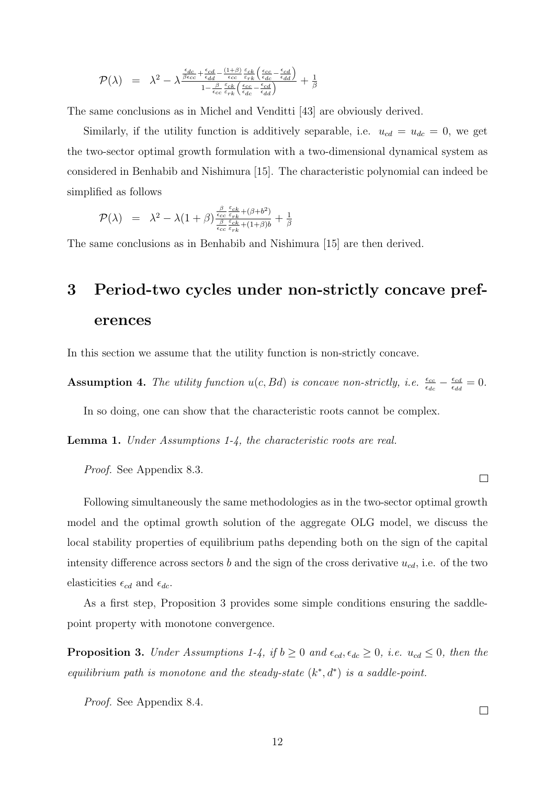$$
\mathcal{P}(\lambda) = \lambda^2 - \lambda^{\frac{\epsilon_{dc}}{\beta\epsilon_{cc}} + \frac{\epsilon_{cd}}{\epsilon_{dd}} - \frac{(1+\beta)}{\epsilon_{cc}}\frac{\varepsilon_{ck}}{\varepsilon_{rk}}\left(\frac{\epsilon_{cc}}{\epsilon_{dc}} - \frac{\epsilon_{cd}}{\epsilon_{dd}}\right)}{1 - \frac{\beta}{\epsilon_{cc}}\frac{\varepsilon_{ck}}{\varepsilon_{rk}}\left(\frac{\epsilon_{cc}}{\epsilon_{dc}} - \frac{\epsilon_{cd}}{\epsilon_{dd}}\right)} + \frac{1}{\beta}
$$

The same conclusions as in Michel and Venditti [43] are obviously derived.

Similarly, if the utility function is additively separable, i.e.  $u_{cd} = u_{dc} = 0$ , we get the two-sector optimal growth formulation with a two-dimensional dynamical system as considered in Benhabib and Nishimura [15]. The characteristic polynomial can indeed be simplified as follows

$$
\mathcal{P}(\lambda) = \lambda^2 - \lambda (1+\beta) \frac{\frac{\beta}{\epsilon_{cc}} \frac{\varepsilon_{ck}}{\varepsilon_{rk}} + (\beta + b^2)}{\frac{\beta}{\epsilon_{cc}} \frac{\varepsilon_{ck}}{\varepsilon_{rk}} + (1+\beta)b} + \frac{1}{\beta}
$$

The same conclusions as in Benhabib and Nishimura [15] are then derived.

# 3 Period-two cycles under non-strictly concave preferences

In this section we assume that the utility function is non-strictly concave.

**Assumption 4.** The utility function  $u(c, Bd)$  is concave non-strictly, i.e.  $\frac{\epsilon_{cc}}{\epsilon_{dc}} - \frac{\epsilon_{cd}}{\epsilon_{dc}}$  $\frac{\epsilon_{cd}}{\epsilon_{dd}}=0.$ 

In so doing, one can show that the characteristic roots cannot be complex.

Lemma 1. Under Assumptions 1-4, the characteristic roots are real.

Proof. See Appendix 8.3.

Following simultaneously the same methodologies as in the two-sector optimal growth model and the optimal growth solution of the aggregate OLG model, we discuss the local stability properties of equilibrium paths depending both on the sign of the capital intensity difference across sectors b and the sign of the cross derivative  $u_{cd}$ , i.e. of the two elasticities  $\epsilon_{cd}$  and  $\epsilon_{dc}$ .

As a first step, Proposition 3 provides some simple conditions ensuring the saddlepoint property with monotone convergence.

**Proposition 3.** Under Assumptions 1-4, if  $b \ge 0$  and  $\epsilon_{cd}$ ,  $\epsilon_{dc} \ge 0$ , i.e.  $u_{cd} \le 0$ , then the equilibrium path is monotone and the steady-state  $(k^*, d^*)$  is a saddle-point.

Proof. See Appendix 8.4.

 $\Box$ 

 $\Box$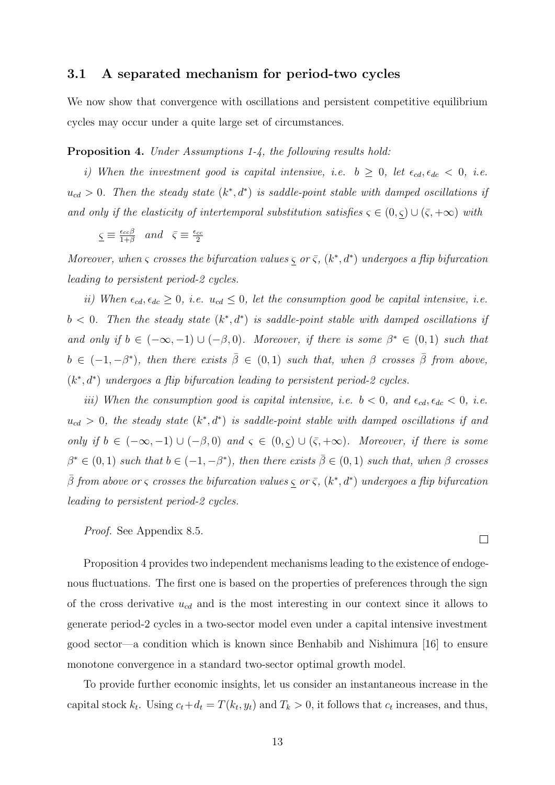#### 3.1 A separated mechanism for period-two cycles

We now show that convergence with oscillations and persistent competitive equilibrium cycles may occur under a quite large set of circumstances.

#### Proposition 4. Under Assumptions 1-4, the following results hold:

i) When the investment good is capital intensive, i.e.  $b \geq 0$ , let  $\epsilon_{cd}, \epsilon_{dc} < 0$ , i.e.  $u_{cd} > 0$ . Then the steady state  $(k^*, d^*)$  is saddle-point stable with damped oscillations if and only if the elasticity of intertemporal substitution satisfies  $\varsigma \in (0, \underline{\varsigma}) \cup (\overline{\varsigma}, +\infty)$  with

$$
\underline{\varsigma} \equiv \frac{\epsilon_{cc}\beta}{1+\beta}
$$
 and  $\overline{\varsigma} \equiv \frac{\epsilon_{cc}}{2}$ 

Moreover, when  $\varsigma$  crosses the bifurcation values  $\varsigma$  or  $\overline{\varsigma}$ ,  $(k^*, d^*)$  undergoes a flip bifurcation leading to persistent period-2 cycles.

ii) When  $\epsilon_{cd}$ ,  $\epsilon_{dc} \geq 0$ , i.e.  $u_{cd} \leq 0$ , let the consumption good be capital intensive, i.e.  $b < 0$ . Then the steady state  $(k^*, d^*)$  is saddle-point stable with damped oscillations if and only if  $b \in (-\infty, -1) \cup (-\beta, 0)$ . Moreover, if there is some  $\beta^* \in (0, 1)$  such that  $b \in (-1, -\beta^*)$ , then there exists  $\overline{\beta} \in (0, 1)$  such that, when  $\beta$  crosses  $\overline{\beta}$  from above,  $(k^*, d^*)$  undergoes a flip bifurcation leading to persistent period-2 cycles.

iii) When the consumption good is capital intensive, i.e.  $b < 0$ , and  $\epsilon_{cd}$ ,  $\epsilon_{dc} < 0$ , i.e.  $u_{cd} > 0$ , the steady state  $(k^*, d^*)$  is saddle-point stable with damped oscillations if and only if  $b \in (-\infty, -1) \cup (-\beta, 0)$  and  $\varsigma \in (0, \underline{\varsigma}) \cup (\overline{\varsigma}, +\infty)$ . Moreover, if there is some  $\beta^* \in (0,1)$  such that  $b \in (-1,-\beta^*)$ , then there exists  $\overline{\beta} \in (0,1)$  such that, when  $\beta$  crosses  $\bar{\beta}$  from above or  $\varsigma$  crosses the bifurcation values  $\varsigma$  or  $\bar{\varsigma}$ ,  $(k^*,d^*)$  undergoes a flip bifurcation leading to persistent period-2 cycles.

Proof. See Appendix 8.5.

Proposition 4 provides two independent mechanisms leading to the existence of endogenous fluctuations. The first one is based on the properties of preferences through the sign of the cross derivative  $u_{cd}$  and is the most interesting in our context since it allows to generate period-2 cycles in a two-sector model even under a capital intensive investment good sector—a condition which is known since Benhabib and Nishimura [16] to ensure monotone convergence in a standard two-sector optimal growth model.

To provide further economic insights, let us consider an instantaneous increase in the capital stock  $k_t$ . Using  $c_t+d_t = T(k_t, y_t)$  and  $T_k > 0$ , it follows that  $c_t$  increases, and thus,

 $\Box$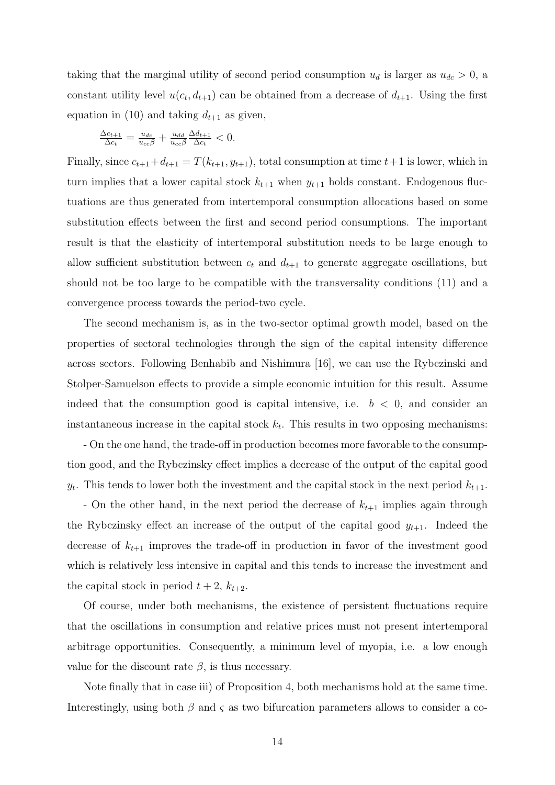taking that the marginal utility of second period consumption  $u_d$  is larger as  $u_{dc} > 0$ , a constant utility level  $u(c_t, d_{t+1})$  can be obtained from a decrease of  $d_{t+1}$ . Using the first equation in (10) and taking  $d_{t+1}$  as given,

$$
\frac{\Delta c_{t+1}}{\Delta c_t} = \frac{u_{dc}}{u_{cc}\beta} + \frac{u_{dd}}{u_{cc}\beta} \frac{\Delta d_{t+1}}{\Delta c_t} < 0.
$$

Finally, since  $c_{t+1}+d_{t+1} = T(k_{t+1}, y_{t+1})$ , total consumption at time  $t+1$  is lower, which in turn implies that a lower capital stock  $k_{t+1}$  when  $y_{t+1}$  holds constant. Endogenous fluctuations are thus generated from intertemporal consumption allocations based on some substitution effects between the first and second period consumptions. The important result is that the elasticity of intertemporal substitution needs to be large enough to allow sufficient substitution between  $c_t$  and  $d_{t+1}$  to generate aggregate oscillations, but should not be too large to be compatible with the transversality conditions (11) and a convergence process towards the period-two cycle.

The second mechanism is, as in the two-sector optimal growth model, based on the properties of sectoral technologies through the sign of the capital intensity difference across sectors. Following Benhabib and Nishimura [16], we can use the Rybczinski and Stolper-Samuelson effects to provide a simple economic intuition for this result. Assume indeed that the consumption good is capital intensive, i.e.  $b < 0$ , and consider an instantaneous increase in the capital stock  $k_t$ . This results in two opposing mechanisms:

- On the one hand, the trade-off in production becomes more favorable to the consumption good, and the Rybczinsky effect implies a decrease of the output of the capital good  $y_t$ . This tends to lower both the investment and the capital stock in the next period  $k_{t+1}$ .

- On the other hand, in the next period the decrease of  $k_{t+1}$  implies again through the Rybczinsky effect an increase of the output of the capital good  $y_{t+1}$ . Indeed the decrease of  $k_{t+1}$  improves the trade-off in production in favor of the investment good which is relatively less intensive in capital and this tends to increase the investment and the capital stock in period  $t + 2$ ,  $k_{t+2}$ .

Of course, under both mechanisms, the existence of persistent fluctuations require that the oscillations in consumption and relative prices must not present intertemporal arbitrage opportunities. Consequently, a minimum level of myopia, i.e. a low enough value for the discount rate  $\beta$ , is thus necessary.

Note finally that in case iii) of Proposition 4, both mechanisms hold at the same time. Interestingly, using both  $\beta$  and  $\varsigma$  as two bifurcation parameters allows to consider a co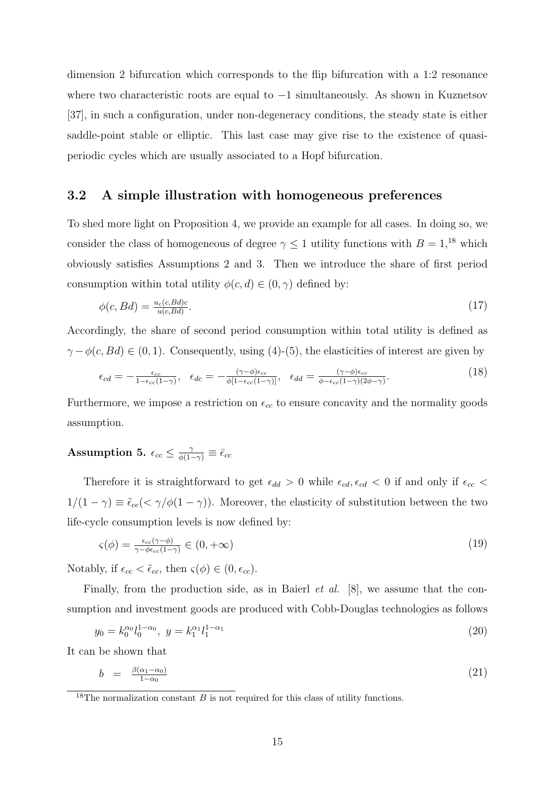dimension 2 bifurcation which corresponds to the flip bifurcation with a 1:2 resonance where two characteristic roots are equal to −1 simultaneously. As shown in Kuznetsov [37], in such a configuration, under non-degeneracy conditions, the steady state is either saddle-point stable or elliptic. This last case may give rise to the existence of quasiperiodic cycles which are usually associated to a Hopf bifurcation.

#### 3.2 A simple illustration with homogeneous preferences

To shed more light on Proposition 4, we provide an example for all cases. In doing so, we consider the class of homogeneous of degree  $\gamma \leq 1$  utility functions with  $B = 1,^{18}$  which obviously satisfies Assumptions 2 and 3. Then we introduce the share of first period consumption within total utility  $\phi(c, d) \in (0, \gamma)$  defined by:

$$
\phi(c, Bd) = \frac{u_c(c, Bd)c}{u(c, Bd)}.\tag{17}
$$

Accordingly, the share of second period consumption within total utility is defined as  $\gamma - \phi(c, Bd) \in (0, 1)$ . Consequently, using (4)-(5), the elasticities of interest are given by

$$
\epsilon_{cd} = -\frac{\epsilon_{cc}}{1 - \epsilon_{cc}(1 - \gamma)}, \quad \epsilon_{dc} = -\frac{(\gamma - \phi)\epsilon_{cc}}{\phi[1 - \epsilon_{cc}(1 - \gamma)]}, \quad \epsilon_{dd} = \frac{(\gamma - \phi)\epsilon_{cc}}{\phi - \epsilon_{cc}(1 - \gamma)(2\phi - \gamma)}.
$$
(18)

Furthermore, we impose a restriction on  $\epsilon_{cc}$  to ensure concavity and the normality goods assumption.

## Assumption 5.  $\epsilon_{cc} \leq \frac{\gamma}{\phi(1-\gamma)} \equiv \bar{\epsilon}_{cc}$

Therefore it is straightforward to get  $\epsilon_{dd} > 0$  while  $\epsilon_{cd}$ ,  $\epsilon_{cd} < 0$  if and only if  $\epsilon_{cc} <$  $1/(1 - \gamma) \equiv \tilde{\epsilon}_{cc}(< \gamma/\phi(1 - \gamma))$ . Moreover, the elasticity of substitution between the two life-cycle consumption levels is now defined by:

$$
\varsigma(\phi) = \frac{\epsilon_{cc}(\gamma - \phi)}{\gamma - \phi \epsilon_{cc}(1 - \gamma)} \in (0, +\infty) \tag{19}
$$

Notably, if  $\epsilon_{cc} < \tilde{\epsilon}_{cc}$ , then  $\varsigma(\phi) \in (0, \epsilon_{cc})$ .

Finally, from the production side, as in Baierl *et al.* [8], we assume that the consumption and investment goods are produced with Cobb-Douglas technologies as follows

$$
y_0 = k_0^{\alpha_0} l_0^{1-\alpha_0}, \ y = k_1^{\alpha_1} l_1^{1-\alpha_1} \tag{20}
$$

It can be shown that

$$
b = \frac{\beta(\alpha_1 - \alpha_0)}{1 - \alpha_0} \tag{21}
$$

<sup>&</sup>lt;sup>18</sup>The normalization constant  $B$  is not required for this class of utility functions.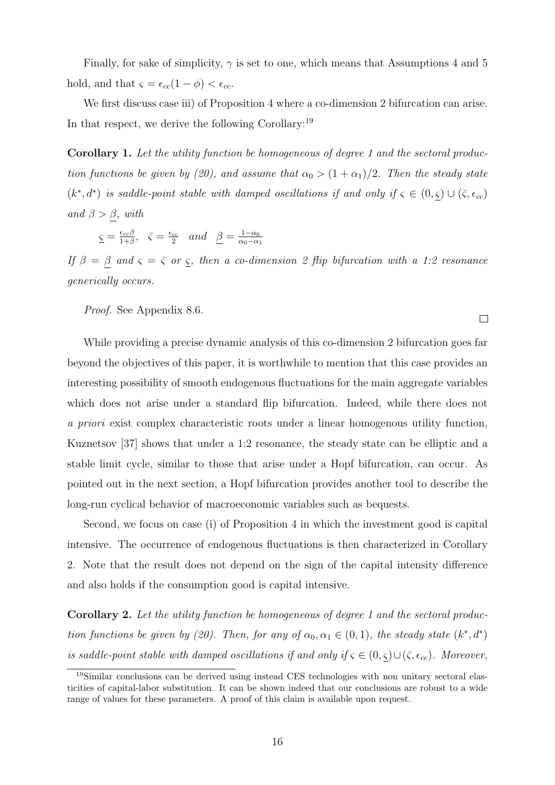Finally, for sake of simplicity,  $\gamma$  is set to one, which means that Assumptions 4 and 5 hold, and that  $\varsigma = \epsilon_{cc}(1 - \phi) < \epsilon_{cc}$ .

We first discuss case iii) of Proposition 4 where a co-dimension 2 bifurcation can arise. In that respect, we derive the following Corollary:<sup>19</sup>

Corollary 1. Let the utility function be homogeneous of degree 1 and the sectoral production functions be given by (20), and assume that  $\alpha_0 > (1 + \alpha_1)/2$ . Then the steady state  $(k^*, d^*)$  is saddle-point stable with damped oscillations if and only if  $\varsigma \in (0, \underline{\varsigma}) \cup (\overline{\varsigma}, \epsilon_{cc})$ and  $\beta > \beta$ , with

 $\varsigma = \frac{\epsilon_{cc}\beta}{1+\beta}$  $\frac{\epsilon_{cc} \beta}{1+\beta}, \ \ \bar{\zeta} = \frac{\epsilon_{cc}}{2}$  $\frac{c}{2}$  and  $\beta = \frac{1-\alpha_0}{\alpha_0-\alpha}$  $\alpha_0-\alpha_1$ 

If  $\beta = \beta$  and  $\varsigma = \overline{\varsigma}$  or  $\varsigma$ , then a co-dimension 2 flip bifurcation with a 1:2 resonance generically occurs.

 $\Box$ 

Proof. See Appendix 8.6.

While providing a precise dynamic analysis of this co-dimension 2 bifurcation goes far beyond the objectives of this paper, it is worthwhile to mention that this case provides an interesting possibility of smooth endogenous fluctuations for the main aggregate variables which does not arise under a standard flip bifurcation. Indeed, while there does not a priori exist complex characteristic roots under a linear homogenous utility function, Kuznetsov [37] shows that under a 1:2 resonance, the steady state can be elliptic and a stable limit cycle, similar to those that arise under a Hopf bifurcation, can occur. As pointed out in the next section, a Hopf bifurcation provides another tool to describe the long-run cyclical behavior of macroeconomic variables such as bequests.

Second, we focus on case (i) of Proposition 4 in which the investment good is capital intensive. The occurrence of endogenous fluctuations is then characterized in Corollary 2. Note that the result does not depend on the sign of the capital intensity difference and also holds if the consumption good is capital intensive.

Corollary 2. Let the utility function be homogeneous of degree 1 and the sectoral production functions be given by (20). Then, for any of  $\alpha_0, \alpha_1 \in (0,1)$ , the steady state  $(k^*, d^*)$ is saddle-point stable with damped oscillations if and only if  $\varsigma \in (0, \varsigma) \cup (\overline{\varsigma}, \epsilon_{cc})$ . Moreover,

<sup>19</sup>Similar conclusions can be derived using instead CES technologies with non unitary sectoral elasticities of capital-labor substitution. It can be shown indeed that our conclusions are robust to a wide range of values for these parameters. A proof of this claim is available upon request.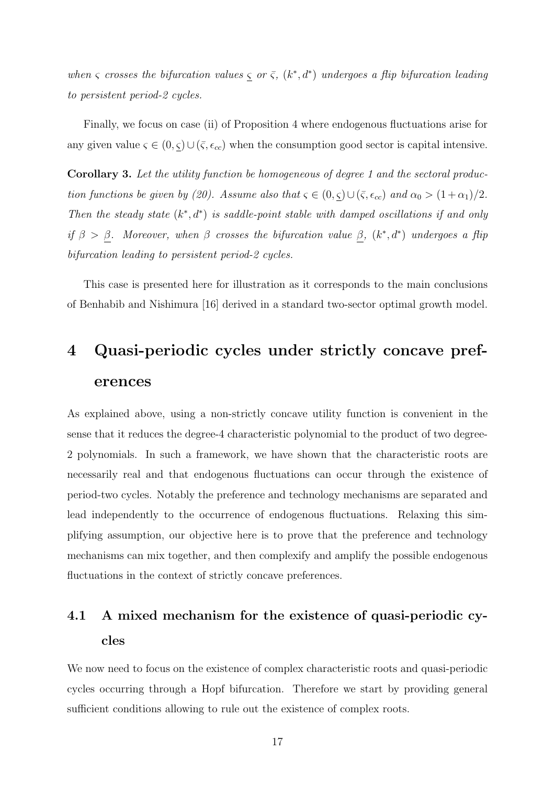when  $\varsigma$  crosses the bifurcation values  $\varsigma$  or  $\overline{\varsigma}$ ,  $(k^*, d^*)$  undergoes a flip bifurcation leading to persistent period-2 cycles.

Finally, we focus on case (ii) of Proposition 4 where endogenous fluctuations arise for any given value  $\varsigma \in (0, \underline{\varsigma}) \cup (\overline{\varsigma}, \epsilon_{cc})$  when the consumption good sector is capital intensive.

Corollary 3. Let the utility function be homogeneous of degree 1 and the sectoral production functions be given by (20). Assume also that  $\varsigma \in (0, \underline{\varsigma}) \cup (\overline{\varsigma}, \epsilon_{cc})$  and  $\alpha_0 > (1 + \alpha_1)/2$ . Then the steady state  $(k^*, d^*)$  is saddle-point stable with damped oscillations if and only if  $\beta > \beta$ . Moreover, when  $\beta$  crosses the bifurcation value  $\beta$ ,  $(k^*, d^*)$  undergoes a flip bifurcation leading to persistent period-2 cycles.

This case is presented here for illustration as it corresponds to the main conclusions of Benhabib and Nishimura [16] derived in a standard two-sector optimal growth model.

# 4 Quasi-periodic cycles under strictly concave preferences

As explained above, using a non-strictly concave utility function is convenient in the sense that it reduces the degree-4 characteristic polynomial to the product of two degree-2 polynomials. In such a framework, we have shown that the characteristic roots are necessarily real and that endogenous fluctuations can occur through the existence of period-two cycles. Notably the preference and technology mechanisms are separated and lead independently to the occurrence of endogenous fluctuations. Relaxing this simplifying assumption, our objective here is to prove that the preference and technology mechanisms can mix together, and then complexify and amplify the possible endogenous fluctuations in the context of strictly concave preferences.

# 4.1 A mixed mechanism for the existence of quasi-periodic cycles

We now need to focus on the existence of complex characteristic roots and quasi-periodic cycles occurring through a Hopf bifurcation. Therefore we start by providing general sufficient conditions allowing to rule out the existence of complex roots.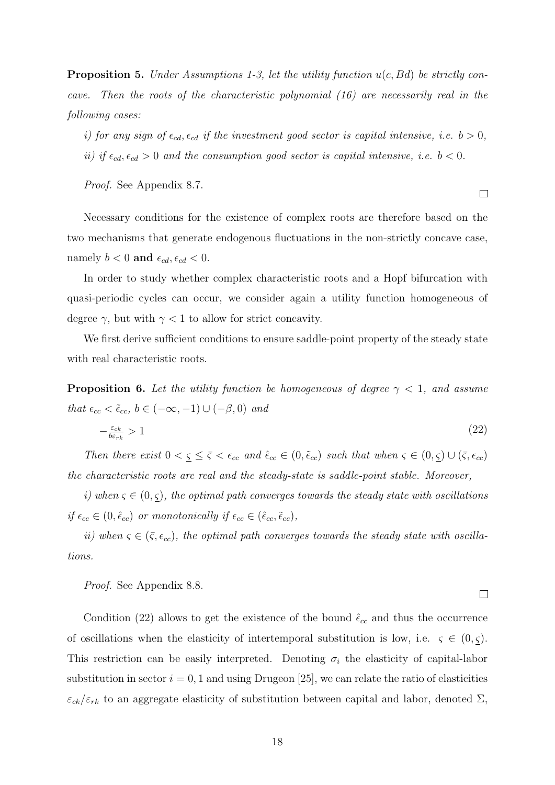**Proposition 5.** Under Assumptions 1-3, let the utility function  $u(c, Bd)$  be strictly concave. Then the roots of the characteristic polynomial (16) are necessarily real in the following cases:

i) for any sign of  $\epsilon_{cd}$ ,  $\epsilon_{cd}$  if the investment good sector is capital intensive, i.e.  $b > 0$ , ii) if  $\epsilon_{cd}, \epsilon_{cd} > 0$  and the consumption good sector is capital intensive, i.e.  $b < 0$ .

Proof. See Appendix 8.7.

Necessary conditions for the existence of complex roots are therefore based on the two mechanisms that generate endogenous fluctuations in the non-strictly concave case, namely  $b < 0$  and  $\epsilon_{cd}$ ,  $\epsilon_{cd} < 0$ .

In order to study whether complex characteristic roots and a Hopf bifurcation with quasi-periodic cycles can occur, we consider again a utility function homogeneous of degree  $\gamma$ , but with  $\gamma < 1$  to allow for strict concavity.

We first derive sufficient conditions to ensure saddle-point property of the steady state with real characteristic roots.

**Proposition 6.** Let the utility function be homogeneous of degree  $\gamma$  < 1, and assume that  $\epsilon_{cc} < \tilde{\epsilon}_{cc}$ ,  $b \in (-\infty, -1) \cup (-\beta, 0)$  and

$$
-\frac{\varepsilon_{ck}}{b\varepsilon_{rk}} > 1\tag{22}
$$

Then there exist  $0 < \underline{\varsigma} \leq \overline{\varsigma} < \epsilon_{cc}$  and  $\hat{\epsilon}_{cc} \in (0, \tilde{\epsilon}_{cc})$  such that when  $\varsigma \in (0, \underline{\varsigma}) \cup (\overline{\varsigma}, \epsilon_{cc})$ the characteristic roots are real and the steady-state is saddle-point stable. Moreover,

i) when  $\varsigma \in (0,\varsigma)$ , the optimal path converges towards the steady state with oscillations if  $\epsilon_{cc} \in (0, \hat{\epsilon}_{cc})$  or monotonically if  $\epsilon_{cc} \in (\hat{\epsilon}_{cc}, \tilde{\epsilon}_{cc})$ ,

ii) when  $\varsigma \in (\bar{\varsigma}, \epsilon_{cc})$ , the optimal path converges towards the steady state with oscillations.

Proof. See Appendix 8.8.

Condition (22) allows to get the existence of the bound  $\hat{\epsilon}_{cc}$  and thus the occurrence of oscillations when the elasticity of intertemporal substitution is low, i.e.  $\zeta \in (0, \zeta)$ . This restriction can be easily interpreted. Denoting  $\sigma_i$  the elasticity of capital-labor substitution in sector  $i = 0, 1$  and using Drugeon [25], we can relate the ratio of elasticities  $\varepsilon_{ck}/\varepsilon_{rk}$  to an aggregate elasticity of substitution between capital and labor, denoted  $\Sigma$ ,

 $\Box$ 

 $\Box$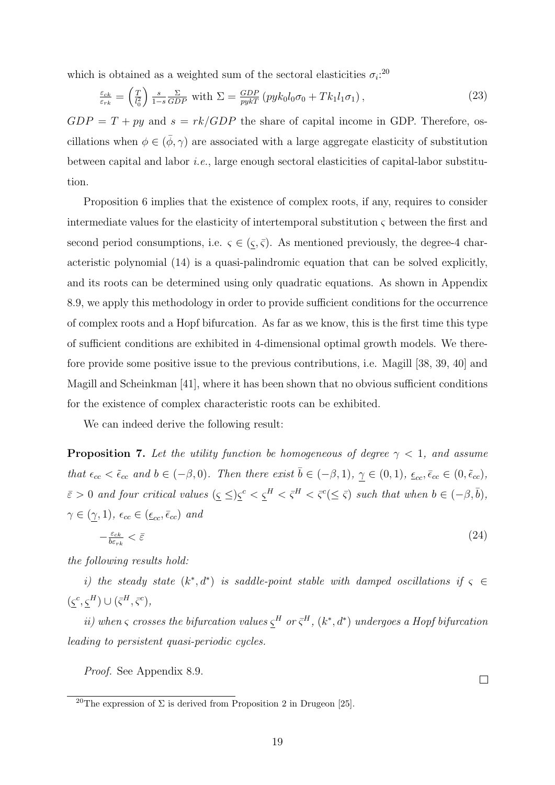which is obtained as a weighted sum of the sectoral elasticities  $\sigma_i$ <sup>20</sup>

$$
\frac{\varepsilon_{ck}}{\varepsilon_{rk}} = \left(\frac{T}{l_0^2}\right) \frac{s}{1-s} \frac{\Sigma}{GDP} \text{ with } \Sigma = \frac{GDP}{pyk} \left(pyk_0l_0\sigma_0 + Tk_1l_1\sigma_1\right),\tag{23}
$$

 $GDP = T + py$  and  $s = rk/GDP$  the share of capital income in GDP. Therefore, oscillations when  $\phi \in (\bar{\phi}, \gamma)$  are associated with a large aggregate elasticity of substitution between capital and labor i.e., large enough sectoral elasticities of capital-labor substitution.

Proposition 6 implies that the existence of complex roots, if any, requires to consider intermediate values for the elasticity of intertemporal substitution  $\zeta$  between the first and second period consumptions, i.e.  $\varsigma \in (\underline{\varsigma}, \overline{\varsigma})$ . As mentioned previously, the degree-4 characteristic polynomial (14) is a quasi-palindromic equation that can be solved explicitly, and its roots can be determined using only quadratic equations. As shown in Appendix 8.9, we apply this methodology in order to provide sufficient conditions for the occurrence of complex roots and a Hopf bifurcation. As far as we know, this is the first time this type of sufficient conditions are exhibited in 4-dimensional optimal growth models. We therefore provide some positive issue to the previous contributions, i.e. Magill [38, 39, 40] and Magill and Scheinkman [41], where it has been shown that no obvious sufficient conditions for the existence of complex characteristic roots can be exhibited.

We can indeed derive the following result:

**Proposition 7.** Let the utility function be homogeneous of degree  $\gamma < 1$ , and assume that  $\epsilon_{cc} < \tilde{\epsilon}_{cc}$  and  $b \in (-\beta, 0)$ . Then there exist  $\overline{b} \in (-\beta, 1)$ ,  $\gamma \in (0, 1)$ ,  $\epsilon_{cc}, \overline{\epsilon}_{cc} \in (0, \tilde{\epsilon}_{cc})$ ,  $\bar{\varepsilon} > 0$  and four critical values  $(\varsigma \leq) \varsigma^c < \varsigma^H < \bar{\varsigma}^H < \bar{\varsigma}^c (\leq \bar{\varsigma})$  such that when  $b \in (-\beta, \bar{b}),$  $\gamma \in (\gamma, 1), \, \epsilon_{cc} \in (\underline{\epsilon}_{cc}, \overline{\epsilon}_{cc})$  and

$$
-\frac{\varepsilon_{ck}}{b\varepsilon_{rk}} < \bar{\varepsilon} \tag{24}
$$

the following results hold:

i) the steady state  $(k^*, d^*)$  is saddle-point stable with damped oscillations if  $\varsigma \in$  $(\varsigma^c, \varsigma^H) \cup (\bar{\varsigma}^H, \bar{\varsigma}^c),$ 

ii) when  $\varsigma$  crosses the bifurcation values  $\varsigma^H$  or  $\bar{\varsigma}^H$ ,  $(k^*, d^*)$  undergoes a Hopf bifurcation leading to persistent quasi-periodic cycles.

Proof. See Appendix 8.9.

 $\Box$ 

<sup>&</sup>lt;sup>20</sup>The expression of  $\Sigma$  is derived from Proposition 2 in Drugeon [25].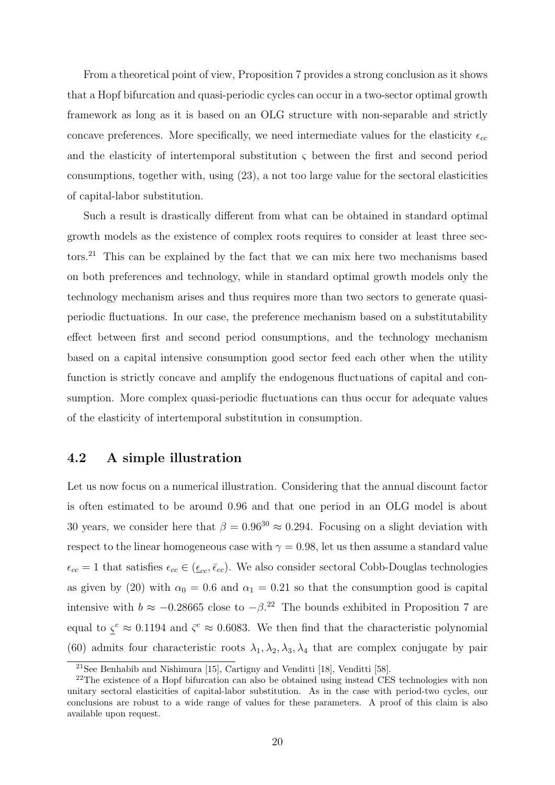From a theoretical point of view, Proposition 7 provides a strong conclusion as it shows that a Hopf bifurcation and quasi-periodic cycles can occur in a two-sector optimal growth framework as long as it is based on an OLG structure with non-separable and strictly concave preferences. More specifically, we need intermediate values for the elasticity  $\epsilon_{cc}$ and the elasticity of intertemporal substitution  $\varsigma$  between the first and second period consumptions, together with, using (23), a not too large value for the sectoral elasticities of capital-labor substitution.

Such a result is drastically different from what can be obtained in standard optimal growth models as the existence of complex roots requires to consider at least three sectors.<sup>21</sup> This can be explained by the fact that we can mix here two mechanisms based on both preferences and technology, while in standard optimal growth models only the technology mechanism arises and thus requires more than two sectors to generate quasiperiodic fluctuations. In our case, the preference mechanism based on a substitutability effect between first and second period consumptions, and the technology mechanism based on a capital intensive consumption good sector feed each other when the utility function is strictly concave and amplify the endogenous fluctuations of capital and consumption. More complex quasi-periodic fluctuations can thus occur for adequate values of the elasticity of intertemporal substitution in consumption.

### 4.2 A simple illustration

Let us now focus on a numerical illustration. Considering that the annual discount factor is often estimated to be around 0.96 and that one period in an OLG model is about 30 years, we consider here that  $\beta = 0.96^{30} \approx 0.294$ . Focusing on a slight deviation with respect to the linear homogeneous case with  $\gamma = 0.98$ , let us then assume a standard value  $\epsilon_{cc} = 1$  that satisfies  $\epsilon_{cc} \in (\epsilon_{cc}, \bar{\epsilon}_{cc})$ . We also consider sectoral Cobb-Douglas technologies as given by (20) with  $\alpha_0 = 0.6$  and  $\alpha_1 = 0.21$  so that the consumption good is capital intensive with  $b \approx -0.28665$  close to  $-\beta$ <sup>22</sup> The bounds exhibited in Proposition 7 are equal to  $\zeta^c \approx 0.1194$  and  $\bar{\zeta}^c \approx 0.6083$ . We then find that the characteristic polynomial (60) admits four characteristic roots  $\lambda_1, \lambda_2, \lambda_3, \lambda_4$  that are complex conjugate by pair

<sup>21</sup>See Benhabib and Nishimura [15], Cartigny and Venditti [18], Venditti [58].

<sup>&</sup>lt;sup>22</sup>The existence of a Hopf bifurcation can also be obtained using instead CES technologies with non unitary sectoral elasticities of capital-labor substitution. As in the case with period-two cycles, our conclusions are robust to a wide range of values for these parameters. A proof of this claim is also available upon request.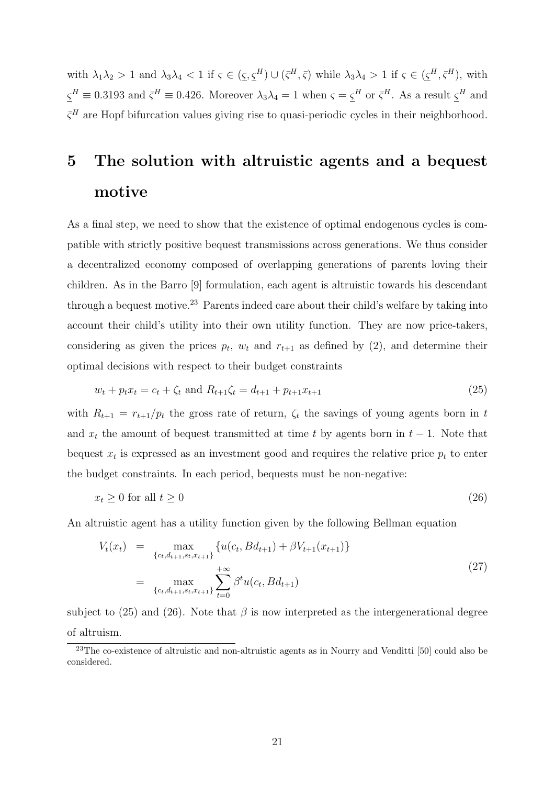with  $\lambda_1 \lambda_2 > 1$  and  $\lambda_3 \lambda_4 < 1$  if  $\varsigma \in (\underline{\varsigma}, \underline{\varsigma}^H) \cup (\overline{\varsigma}^H, \overline{\varsigma})$  while  $\lambda_3 \lambda_4 > 1$  if  $\varsigma \in (\underline{\varsigma}^H, \overline{\varsigma}^H)$ , with  $\underline{\varsigma}^H \equiv 0.3193$  and  $\overline{\varsigma}^H \equiv 0.426$ . Moreover  $\lambda_3 \lambda_4 = 1$  when  $\varsigma = \underline{\varsigma}^H$  or  $\overline{\varsigma}^H$ . As a result  $\underline{\varsigma}^H$  and  $\bar{\zeta}^H$  are Hopf bifurcation values giving rise to quasi-periodic cycles in their neighborhood.

# 5 The solution with altruistic agents and a bequest motive

As a final step, we need to show that the existence of optimal endogenous cycles is compatible with strictly positive bequest transmissions across generations. We thus consider a decentralized economy composed of overlapping generations of parents loving their children. As in the Barro [9] formulation, each agent is altruistic towards his descendant through a bequest motive.<sup>23</sup> Parents indeed care about their child's welfare by taking into account their child's utility into their own utility function. They are now price-takers, considering as given the prices  $p_t$ ,  $w_t$  and  $r_{t+1}$  as defined by (2), and determine their optimal decisions with respect to their budget constraints

$$
w_t + p_t x_t = c_t + \zeta_t \text{ and } R_{t+1} \zeta_t = d_{t+1} + p_{t+1} x_{t+1}
$$
\n
$$
(25)
$$

with  $R_{t+1} = r_{t+1}/p_t$  the gross rate of return,  $\zeta_t$  the savings of young agents born in t and  $x_t$  the amount of bequest transmitted at time t by agents born in  $t - 1$ . Note that bequest  $x_t$  is expressed as an investment good and requires the relative price  $p_t$  to enter the budget constraints. In each period, bequests must be non-negative:

$$
x_t \ge 0 \text{ for all } t \ge 0 \tag{26}
$$

An altruistic agent has a utility function given by the following Bellman equation

$$
V_t(x_t) = \max_{\{c_t, d_{t+1}, s_t, x_{t+1}\}} \{u(c_t, Bd_{t+1}) + \beta V_{t+1}(x_{t+1})\}
$$
  

$$
= \max_{\{c_t, d_{t+1}, s_t, x_{t+1}\}} \sum_{t=0}^{+\infty} \beta^t u(c_t, Bd_{t+1})
$$
 (27)

subject to (25) and (26). Note that  $\beta$  is now interpreted as the intergenerational degree of altruism.

<sup>&</sup>lt;sup>23</sup>The co-existence of altruistic and non-altruistic agents as in Nourry and Venditti [50] could also be considered.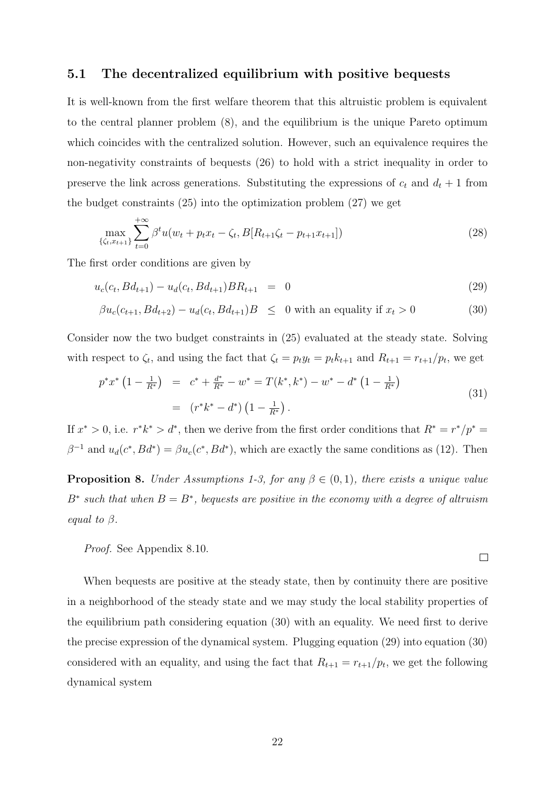#### 5.1 The decentralized equilibrium with positive bequests

It is well-known from the first welfare theorem that this altruistic problem is equivalent to the central planner problem (8), and the equilibrium is the unique Pareto optimum which coincides with the centralized solution. However, such an equivalence requires the non-negativity constraints of bequests (26) to hold with a strict inequality in order to preserve the link across generations. Substituting the expressions of  $c_t$  and  $d_t + 1$  from the budget constraints (25) into the optimization problem (27) we get

$$
\max_{\{\zeta_t, x_{t+1}\}} \sum_{t=0}^{+\infty} \beta^t u(w_t + p_t x_t - \zeta_t, B[R_{t+1}\zeta_t - p_{t+1}x_{t+1}])
$$
\n(28)

The first order conditions are given by

$$
u_c(c_t, Bd_{t+1}) - u_d(c_t, Bd_{t+1})BR_{t+1} = 0
$$
\n(29)

$$
\beta u_c(c_{t+1}, Bd_{t+2}) - u_d(c_t, Bd_{t+1})B \leq 0 \text{ with an equality if } x_t > 0 \tag{30}
$$

Consider now the two budget constraints in (25) evaluated at the steady state. Solving with respect to  $\zeta_t$ , and using the fact that  $\zeta_t = p_t y_t = p_t k_{t+1}$  and  $R_{t+1} = r_{t+1}/p_t$ , we get

$$
p^*x^* \left(1 - \frac{1}{R^*}\right) = c^* + \frac{d^*}{R^*} - w^* = T(k^*, k^*) - w^* - d^* \left(1 - \frac{1}{R^*}\right)
$$
  

$$
= (r^*k^* - d^*) \left(1 - \frac{1}{R^*}\right).
$$
 (31)

If  $x^* > 0$ , i.e.  $r^*k^* > d^*$ , then we derive from the first order conditions that  $R^* = r^*/p^* =$  $\beta^{-1}$  and  $u_d(c^*, Bd^*) = \beta u_c(c^*, Bd^*)$ , which are exactly the same conditions as (12). Then

**Proposition 8.** Under Assumptions 1-3, for any  $\beta \in (0,1)$ , there exists a unique value  $B^*$  such that when  $B = B^*$ , bequests are positive in the economy with a degree of altruism equal to  $\beta$ .

 $\Box$ 

Proof. See Appendix 8.10.

When bequests are positive at the steady state, then by continuity there are positive in a neighborhood of the steady state and we may study the local stability properties of the equilibrium path considering equation (30) with an equality. We need first to derive the precise expression of the dynamical system. Plugging equation (29) into equation (30) considered with an equality, and using the fact that  $R_{t+1} = r_{t+1}/p_t$ , we get the following dynamical system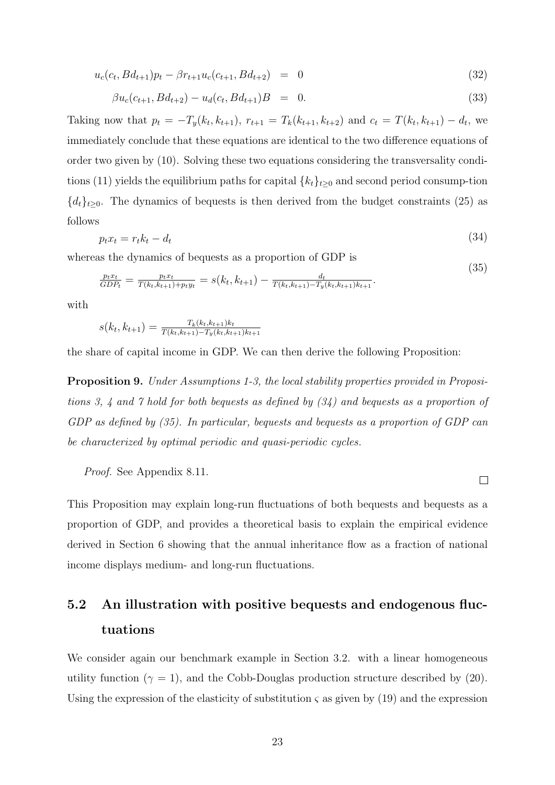$$
u_c(c_t, Bd_{t+1})p_t - \beta r_{t+1}u_c(c_{t+1}, Bd_{t+2}) = 0 \qquad (32)
$$

$$
\beta u_c(c_{t+1}, Bd_{t+2}) - u_d(c_t, Bd_{t+1})B = 0.
$$
\n(33)

Taking now that  $p_t = -T_y(k_t, k_{t+1}), r_{t+1} = T_k(k_{t+1}, k_{t+2})$  and  $c_t = T(k_t, k_{t+1}) - d_t$ , we immediately conclude that these equations are identical to the two difference equations of order two given by (10). Solving these two equations considering the transversality conditions (11) yields the equilibrium paths for capital  ${k_t}_{t\geq0}$  and second period consump-tion  ${d_t}_{t\geq0}$ . The dynamics of bequests is then derived from the budget constraints (25) as follows

$$
p_t x_t = r_t k_t - d_t \tag{34}
$$

whereas the dynamics of bequests as a proportion of GDP is

$$
\frac{p_t x_t}{GDP_t} = \frac{p_t x_t}{T(k_t, k_{t+1}) + p_t y_t} = s(k_t, k_{t+1}) - \frac{d_t}{T(k_t, k_{t+1}) - T_y(k_t, k_{t+1})k_{t+1}}.
$$
\n(35)

with

$$
s(k_t, k_{t+1}) = \frac{T_k(k_t, k_{t+1})k_t}{T(k_t, k_{t+1}) - T_y(k_t, k_{t+1})k_{t+1}}
$$

the share of capital income in GDP. We can then derive the following Proposition:

Proposition 9. Under Assumptions 1-3, the local stability properties provided in Propositions 3, 4 and 7 hold for both bequests as defined by (34) and bequests as a proportion of GDP as defined by (35). In particular, bequests and bequests as a proportion of GDP can be characterized by optimal periodic and quasi-periodic cycles.

Proof. See Appendix 8.11.

This Proposition may explain long-run fluctuations of both bequests and bequests as a proportion of GDP, and provides a theoretical basis to explain the empirical evidence derived in Section 6 showing that the annual inheritance flow as a fraction of national income displays medium- and long-run fluctuations.

 $\Box$ 

# 5.2 An illustration with positive bequests and endogenous fluctuations

We consider again our benchmark example in Section 3.2. with a linear homogeneous utility function ( $\gamma = 1$ ), and the Cobb-Douglas production structure described by (20). Using the expression of the elasticity of substitution  $\zeta$  as given by (19) and the expression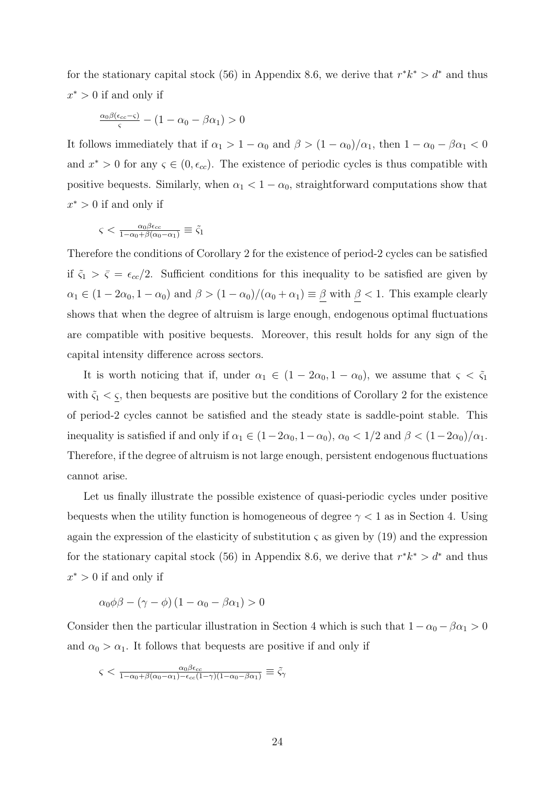for the stationary capital stock (56) in Appendix 8.6, we derive that  $r^*k^* > d^*$  and thus  $x^* > 0$  if and only if

$$
\frac{\alpha_0 \beta(\epsilon_{cc}-\varsigma)}{\varsigma} - (1-\alpha_0-\beta\alpha_1) > 0
$$

It follows immediately that if  $\alpha_1 > 1 - \alpha_0$  and  $\beta > (1 - \alpha_0)/\alpha_1$ , then  $1 - \alpha_0 - \beta \alpha_1 < 0$ and  $x^* > 0$  for any  $\varsigma \in (0, \epsilon_{cc})$ . The existence of periodic cycles is thus compatible with positive bequests. Similarly, when  $\alpha_1 < 1 - \alpha_0$ , straightforward computations show that  $x^* > 0$  if and only if

$$
\varsigma < \frac{\alpha_0 \beta \epsilon_{cc}}{1 - \alpha_0 + \beta(\alpha_0 - \alpha_1)} \equiv \tilde{\varsigma}_1
$$

Therefore the conditions of Corollary 2 for the existence of period-2 cycles can be satisfied if  $\tilde{\varsigma}_1 > \bar{\varsigma} = \epsilon_{cc}/2$ . Sufficient conditions for this inequality to be satisfied are given by  $\alpha_1 \in (1 - 2\alpha_0, 1 - \alpha_0)$  and  $\beta > (1 - \alpha_0)/(\alpha_0 + \alpha_1) \equiv \underline{\beta}$  with  $\underline{\beta} < 1$ . This example clearly shows that when the degree of altruism is large enough, endogenous optimal fluctuations are compatible with positive bequests. Moreover, this result holds for any sign of the capital intensity difference across sectors.

It is worth noticing that if, under  $\alpha_1 \in (1 - 2\alpha_0, 1 - \alpha_0)$ , we assume that  $\varsigma < \tilde{\varsigma}_1$ with  $\tilde{\varsigma}_1 < \varsigma$ , then bequests are positive but the conditions of Corollary 2 for the existence of period-2 cycles cannot be satisfied and the steady state is saddle-point stable. This inequality is satisfied if and only if  $\alpha_1 \in (1-2\alpha_0, 1-\alpha_0)$ ,  $\alpha_0 < 1/2$  and  $\beta < (1-2\alpha_0)/\alpha_1$ . Therefore, if the degree of altruism is not large enough, persistent endogenous fluctuations cannot arise.

Let us finally illustrate the possible existence of quasi-periodic cycles under positive bequests when the utility function is homogeneous of degree  $\gamma < 1$  as in Section 4. Using again the expression of the elasticity of substitution  $\zeta$  as given by (19) and the expression for the stationary capital stock (56) in Appendix 8.6, we derive that  $r^*k^* > d^*$  and thus  $x^* > 0$  if and only if

$$
\alpha_0 \phi \beta - (\gamma - \phi) (1 - \alpha_0 - \beta \alpha_1) > 0
$$

Consider then the particular illustration in Section 4 which is such that  $1 - \alpha_0 - \beta \alpha_1 > 0$ and  $\alpha_0 > \alpha_1$ . It follows that bequests are positive if and only if

$$
\varsigma<\tfrac{\alpha_0\beta\epsilon_{cc}}{1-\alpha_0+\beta(\alpha_0-\alpha_1)-\epsilon_{cc}(1-\gamma)(1-\alpha_0-\beta\alpha_1)}\equiv\tilde{\varsigma}_{\gamma}
$$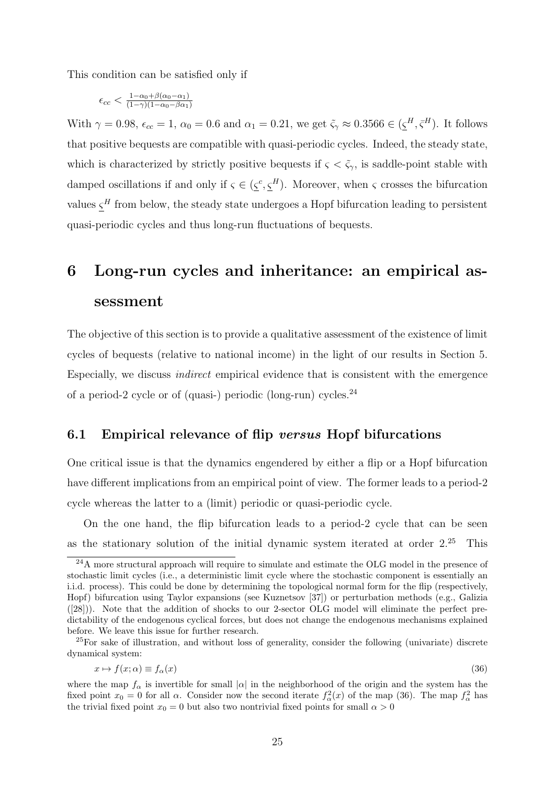This condition can be satisfied only if

$$
\epsilon_{cc} < \frac{1-\alpha_0 + \beta(\alpha_0 - \alpha_1)}{(1-\gamma)(1-\alpha_0 - \beta \alpha_1)}
$$

With  $\gamma = 0.98$ ,  $\epsilon_{cc} = 1$ ,  $\alpha_0 = 0.6$  and  $\alpha_1 = 0.21$ , we get  $\tilde{\varsigma}_{\gamma} \approx 0.3566 \in (\underline{\varsigma}^H, \overline{\varsigma}^H)$ . It follows that positive bequests are compatible with quasi-periodic cycles. Indeed, the steady state, which is characterized by strictly positive bequests if  $\zeta < \tilde{\zeta}_{\gamma}$ , is saddle-point stable with damped oscillations if and only if  $\zeta \in (\zeta^c, \zeta^H)$ . Moreover, when  $\zeta$  crosses the bifurcation values  $\varsigma^H$  from below, the steady state undergoes a Hopf bifurcation leading to persistent quasi-periodic cycles and thus long-run fluctuations of bequests.

# 6 Long-run cycles and inheritance: an empirical assessment

The objective of this section is to provide a qualitative assessment of the existence of limit cycles of bequests (relative to national income) in the light of our results in Section 5. Especially, we discuss indirect empirical evidence that is consistent with the emergence of a period-2 cycle or of (quasi-) periodic (long-run) cycles.<sup>24</sup>

#### 6.1 Empirical relevance of flip versus Hopf bifurcations

One critical issue is that the dynamics engendered by either a flip or a Hopf bifurcation have different implications from an empirical point of view. The former leads to a period-2 cycle whereas the latter to a (limit) periodic or quasi-periodic cycle.

On the one hand, the flip bifurcation leads to a period-2 cycle that can be seen as the stationary solution of the initial dynamic system iterated at order  $2.25$  This

<sup>25</sup>For sake of illustration, and without loss of generality, consider the following (univariate) discrete dynamical system:

$$
x \mapsto f(x; \alpha) \equiv f_{\alpha}(x) \tag{36}
$$

<sup>&</sup>lt;sup>24</sup>A more structural approach will require to simulate and estimate the OLG model in the presence of stochastic limit cycles (i.e., a deterministic limit cycle where the stochastic component is essentially an i.i.d. process). This could be done by determining the topological normal form for the flip (respectively, Hopf) bifurcation using Taylor expansions (see Kuznetsov [37]) or perturbation methods (e.g., Galizia ([28])). Note that the addition of shocks to our 2-sector OLG model will eliminate the perfect predictability of the endogenous cyclical forces, but does not change the endogenous mechanisms explained before. We leave this issue for further research.

where the map  $f_{\alpha}$  is invertible for small  $|\alpha|$  in the neighborhood of the origin and the system has the fixed point  $x_0 = 0$  for all  $\alpha$ . Consider now the second iterate  $f^2_{\alpha}(x)$  of the map (36). The map  $f^2_{\alpha}$  has the trivial fixed point  $x_0 = 0$  but also two nontrivial fixed points for small  $\alpha > 0$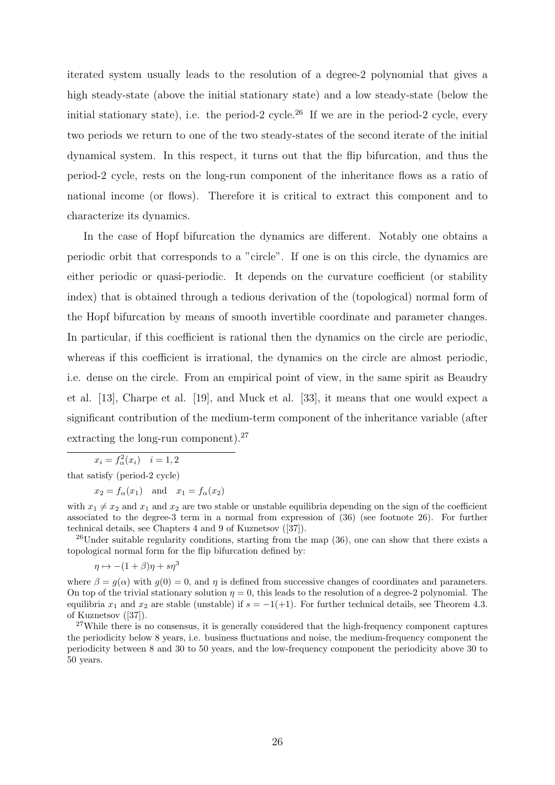iterated system usually leads to the resolution of a degree-2 polynomial that gives a high steady-state (above the initial stationary state) and a low steady-state (below the initial stationary state), i.e. the period-2 cycle.<sup>26</sup> If we are in the period-2 cycle, every two periods we return to one of the two steady-states of the second iterate of the initial dynamical system. In this respect, it turns out that the flip bifurcation, and thus the period-2 cycle, rests on the long-run component of the inheritance flows as a ratio of national income (or flows). Therefore it is critical to extract this component and to characterize its dynamics.

In the case of Hopf bifurcation the dynamics are different. Notably one obtains a periodic orbit that corresponds to a "circle". If one is on this circle, the dynamics are either periodic or quasi-periodic. It depends on the curvature coefficient (or stability index) that is obtained through a tedious derivation of the (topological) normal form of the Hopf bifurcation by means of smooth invertible coordinate and parameter changes. In particular, if this coefficient is rational then the dynamics on the circle are periodic, whereas if this coefficient is irrational, the dynamics on the circle are almost periodic, i.e. dense on the circle. From an empirical point of view, in the same spirit as Beaudry et al. [13], Charpe et al. [19], and Muck et al. [33], it means that one would expect a significant contribution of the medium-term component of the inheritance variable (after extracting the long-run component).<sup>27</sup>

 $x_i = f_{\alpha}^2(x_i)$   $i = 1, 2$ 

that satisfy (period-2 cycle)

 $x_2 = f_\alpha(x_1)$  and  $x_1 = f_\alpha(x_2)$ 

with  $x_1 \neq x_2$  and  $x_1$  and  $x_2$  are two stable or unstable equilibria depending on the sign of the coefficient associated to the degree-3 term in a normal from expression of (36) (see footnote 26). For further technical details, see Chapters 4 and 9 of Kuznetsov ([37]).

 $^{26}$ Under suitable regularity conditions, starting from the map  $(36)$ , one can show that there exists a topological normal form for the flip bifurcation defined by:

 $\eta \mapsto -(1+\beta)\eta + s\eta^3$ 

where  $\beta = g(\alpha)$  with  $g(0) = 0$ , and  $\eta$  is defined from successive changes of coordinates and parameters. On top of the trivial stationary solution  $\eta = 0$ , this leads to the resolution of a degree-2 polynomial. The equilibria  $x_1$  and  $x_2$  are stable (unstable) if  $s = -1(+1)$ . For further technical details, see Theorem 4.3. of Kuznetsov ([37]).

 $27$ While there is no consensus, it is generally considered that the high-frequency component captures the periodicity below 8 years, i.e. business fluctuations and noise, the medium-frequency component the periodicity between 8 and 30 to 50 years, and the low-frequency component the periodicity above 30 to 50 years.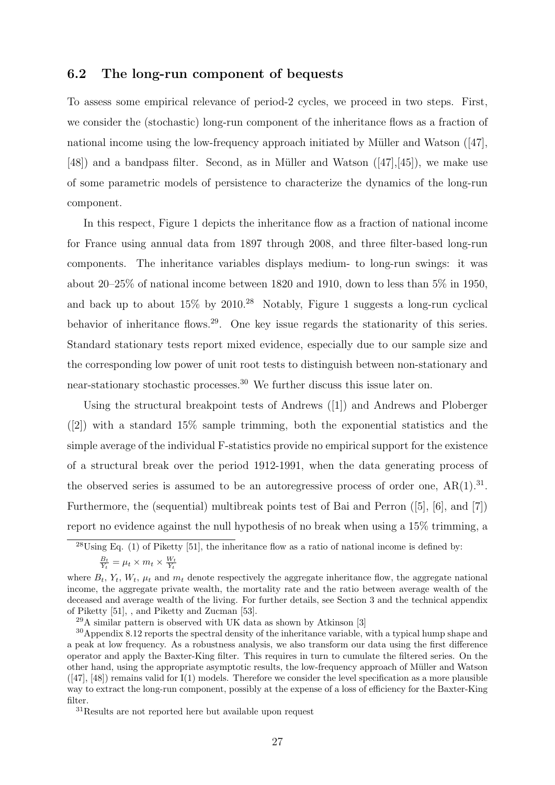#### 6.2 The long-run component of bequests

To assess some empirical relevance of period-2 cycles, we proceed in two steps. First, we consider the (stochastic) long-run component of the inheritance flows as a fraction of national income using the low-frequency approach initiated by Müller and Watson  $(47)$ ,  $[48]$ ) and a bandpass filter. Second, as in Müller and Watson  $([47],[45])$ , we make use of some parametric models of persistence to characterize the dynamics of the long-run component.

In this respect, Figure 1 depicts the inheritance flow as a fraction of national income for France using annual data from 1897 through 2008, and three filter-based long-run components. The inheritance variables displays medium- to long-run swings: it was about 20–25% of national income between 1820 and 1910, down to less than 5% in 1950, and back up to about 15% by 2010.<sup>28</sup> Notably, Figure 1 suggests a long-run cyclical behavior of inheritance flows.<sup>29</sup>. One key issue regards the stationarity of this series. Standard stationary tests report mixed evidence, especially due to our sample size and the corresponding low power of unit root tests to distinguish between non-stationary and near-stationary stochastic processes.<sup>30</sup> We further discuss this issue later on.

Using the structural breakpoint tests of Andrews ([1]) and Andrews and Ploberger ([2]) with a standard 15% sample trimming, both the exponential statistics and the simple average of the individual F-statistics provide no empirical support for the existence of a structural break over the period 1912-1991, when the data generating process of the observed series is assumed to be an autoregressive process of order one,  $AR(1).^{31}$ . Furthermore, the (sequential) multibreak points test of Bai and Perron ([5], [6], and [7]) report no evidence against the null hypothesis of no break when using a 15% trimming, a

<sup>31</sup>Results are not reported here but available upon request

<sup>&</sup>lt;sup>28</sup>Using Eq. (1) of Piketty [51], the inheritance flow as a ratio of national income is defined by:  $\frac{B_t}{Y_t} = \mu_t \times m_t \times \frac{W_t}{Y_t}$ 

where  $B_t$ ,  $Y_t$ ,  $W_t$ ,  $\mu_t$  and  $m_t$  denote respectively the aggregate inheritance flow, the aggregate national income, the aggregate private wealth, the mortality rate and the ratio between average wealth of the deceased and average wealth of the living. For further details, see Section 3 and the technical appendix of Piketty [51], , and Piketty and Zucman [53].

 $29A$  similar pattern is observed with UK data as shown by Atkinson [3]

<sup>30</sup>Appendix 8.12 reports the spectral density of the inheritance variable, with a typical hump shape and a peak at low frequency. As a robustness analysis, we also transform our data using the first difference operator and apply the Baxter-King filter. This requires in turn to cumulate the filtered series. On the other hand, using the appropriate asymptotic results, the low-frequency approach of Müller and Watson  $([47], [48])$  remains valid for  $I(1)$  models. Therefore we consider the level specification as a more plausible way to extract the long-run component, possibly at the expense of a loss of efficiency for the Baxter-King filter.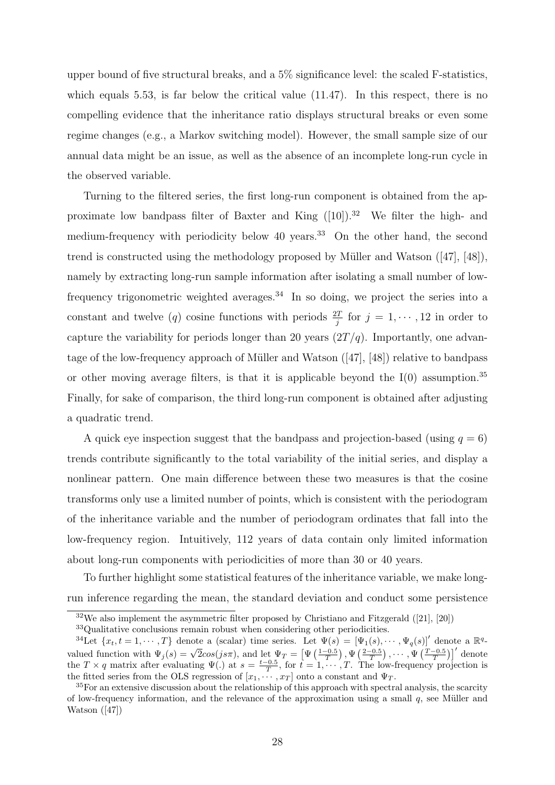upper bound of five structural breaks, and a 5% significance level: the scaled F-statistics, which equals 5.53, is far below the critical value  $(11.47)$ . In this respect, there is no compelling evidence that the inheritance ratio displays structural breaks or even some regime changes (e.g., a Markov switching model). However, the small sample size of our annual data might be an issue, as well as the absence of an incomplete long-run cycle in the observed variable.

Turning to the filtered series, the first long-run component is obtained from the approximate low bandpass filter of Baxter and King  $([10])$ .<sup>32</sup> We filter the high- and medium-frequency with periodicity below 40 years.<sup>33</sup> On the other hand, the second trend is constructed using the methodology proposed by Müller and Watson  $([47], [48])$ , namely by extracting long-run sample information after isolating a small number of lowfrequency trigonometric weighted averages.<sup>34</sup> In so doing, we project the series into a constant and twelve (q) cosine functions with periods  $\frac{2T}{j}$  for  $j = 1, \dots, 12$  in order to capture the variability for periods longer than 20 years  $(2T/q)$ . Importantly, one advantage of the low-frequency approach of Müller and Watson  $(47, 48)$  relative to bandpass or other moving average filters, is that it is applicable beyond the  $I(0)$  assumption.<sup>35</sup> Finally, for sake of comparison, the third long-run component is obtained after adjusting a quadratic trend.

A quick eye inspection suggest that the bandpass and projection-based (using  $q = 6$ ) trends contribute significantly to the total variability of the initial series, and display a nonlinear pattern. One main difference between these two measures is that the cosine transforms only use a limited number of points, which is consistent with the periodogram of the inheritance variable and the number of periodogram ordinates that fall into the low-frequency region. Intuitively, 112 years of data contain only limited information about long-run components with periodicities of more than 30 or 40 years.

To further highlight some statistical features of the inheritance variable, we make longrun inference regarding the mean, the standard deviation and conduct some persistence

 $32\text{We also implement the asymmetric filter proposed by Christiano and Fitzgerald (21], [20])}$ 

<sup>33</sup>Qualitative conclusions remain robust when considering other periodicities.

<sup>&</sup>lt;sup>34</sup>Let  $\{x_t, t = 1, \dots, T\}$  denote a (scalar) time series. Let  $\Psi(s) = [\Psi_1(s), \dots, \Psi_q(s)]'$  denote a  $\mathbb{R}^q$ valued function with  $\Psi_j(s) = \sqrt{2}cos(js\pi)$ , and let  $\Psi_T = \left[\Psi\left(\frac{1-0.5}{T}\right), \Psi\left(\frac{2-0.5}{T}\right), \cdots, \Psi\left(\frac{T-0.5}{T}\right)\right]'$  denote the  $T \times q$  matrix after evaluating  $\Psi(.)$  at  $s = \frac{t-0.5}{T}$ , for  $t = 1, \dots, T$ . The low-frequency projection is the fitted series from the OLS regression of  $[x_1, \dots, x_T]$  onto a constant and  $\Psi_T$ .

<sup>&</sup>lt;sup>35</sup>For an extensive discussion about the relationship of this approach with spectral analysis, the scarcity of low-frequency information, and the relevance of the approximation using a small  $q$ , see Müller and Watson ([47])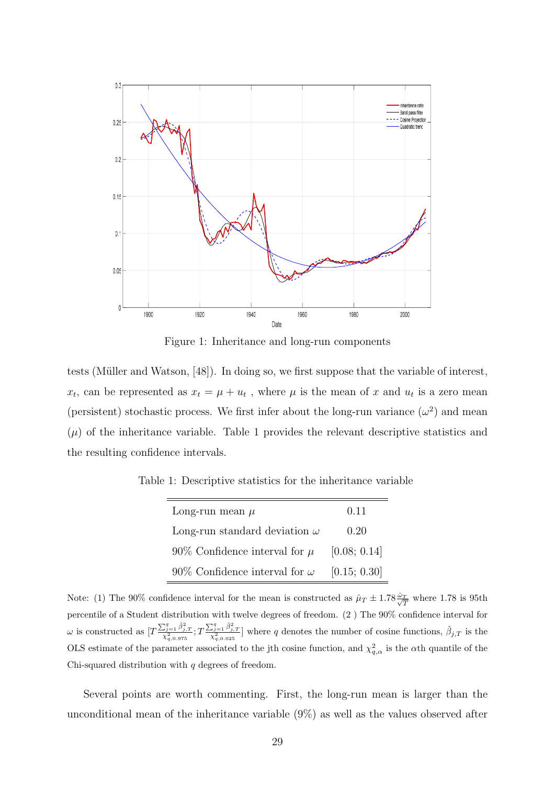

Figure 1: Inheritance and long-run components

tests (Müller and Watson, [48]). In doing so, we first suppose that the variable of interest,  $x_t$ , can be represented as  $x_t = \mu + u_t$ , where  $\mu$  is the mean of x and  $u_t$  is a zero mean (persistent) stochastic process. We first infer about the long-run variance  $(\omega^2)$  and mean  $(\mu)$  of the inheritance variable. Table 1 provides the relevant descriptive statistics and the resulting confidence intervals.

Table 1: Descriptive statistics for the inheritance variable

| Long-run mean $\mu$                  | 0.11         |
|--------------------------------------|--------------|
| Long-run standard deviation $\omega$ | 0.20         |
| 90\% Confidence interval for $\mu$   | [0.08; 0.14] |
| 90% Confidence interval for $\omega$ | [0.15; 0.30] |

Note: (1) The 90% confidence interval for the mean is constructed as  $\hat{\mu}_T \pm 1.78 \frac{\hat{\omega}_T}{\sqrt{T}}$  where 1.78 is 95th percentile of a Student distribution with twelve degrees of freedom. (2 ) The 90% confidence interval for  $\omega$  is constructed as  $[T\frac{\sum_{j=1}^{q} \hat{\beta}_{j,T}^{2}}{\chi_{q,0.975}^{2}}; T\frac{\sum_{j=1}^{q} \hat{\beta}_{j,T}^{2}}{\chi_{q,0.025}^{2}}]$  where q denotes the number of cosine functions,  $\hat{\beta}_{j,T}$  is the OLS estimate of the parameter associated to the jth cosine function, and  $\chi^2_{q,\alpha}$  is the  $\alpha$ th quantile of the Chi-squared distribution with  $q$  degrees of freedom.

Several points are worth commenting. First, the long-run mean is larger than the unconditional mean of the inheritance variable (9%) as well as the values observed after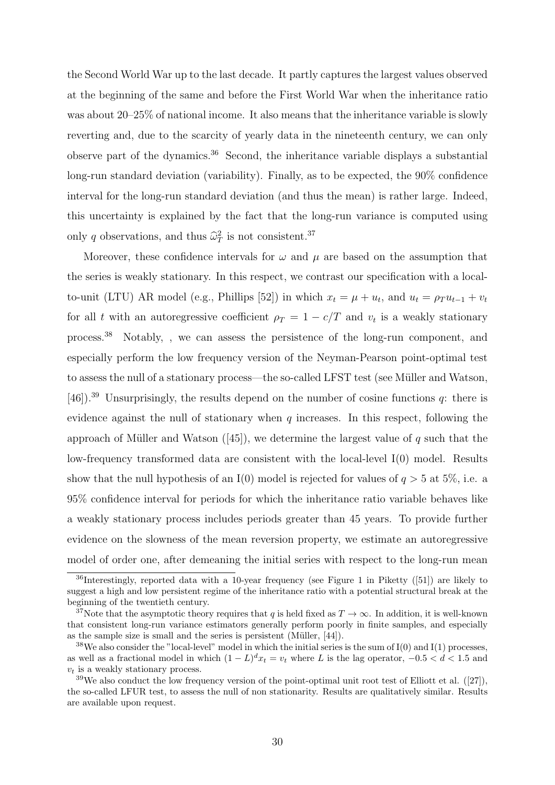the Second World War up to the last decade. It partly captures the largest values observed at the beginning of the same and before the First World War when the inheritance ratio was about 20–25% of national income. It also means that the inheritance variable is slowly reverting and, due to the scarcity of yearly data in the nineteenth century, we can only observe part of the dynamics.<sup>36</sup> Second, the inheritance variable displays a substantial long-run standard deviation (variability). Finally, as to be expected, the 90% confidence interval for the long-run standard deviation (and thus the mean) is rather large. Indeed, this uncertainty is explained by the fact that the long-run variance is computed using only q observations, and thus  $\widehat{\omega}_T^2$  is not consistent.<sup>37</sup>

Moreover, these confidence intervals for  $\omega$  and  $\mu$  are based on the assumption that the series is weakly stationary. In this respect, we contrast our specification with a localto-unit (LTU) AR model (e.g., Phillips [52]) in which  $x_t = \mu + u_t$ , and  $u_t = \rho_T u_{t-1} + v_t$ for all t with an autoregressive coefficient  $\rho_T = 1 - c/T$  and  $v_t$  is a weakly stationary process.<sup>38</sup> Notably, , we can assess the persistence of the long-run component, and especially perform the low frequency version of the Neyman-Pearson point-optimal test to assess the null of a stationary process—the so-called LFST test (see Müller and Watson, [46]).<sup>39</sup> Unsurprisingly, the results depend on the number of cosine functions  $q$ : there is evidence against the null of stationary when  $q$  increases. In this respect, following the approach of Müller and Watson  $(45)$ , we determine the largest value of q such that the low-frequency transformed data are consistent with the local-level I(0) model. Results show that the null hypothesis of an I(0) model is rejected for values of  $q > 5$  at 5%, i.e. a 95% confidence interval for periods for which the inheritance ratio variable behaves like a weakly stationary process includes periods greater than 45 years. To provide further evidence on the slowness of the mean reversion property, we estimate an autoregressive model of order one, after demeaning the initial series with respect to the long-run mean

 $36$ Interestingly, reported data with a 10-year frequency (see Figure 1 in Piketty ([51]) are likely to suggest a high and low persistent regime of the inheritance ratio with a potential structural break at the beginning of the twentieth century.

<sup>&</sup>lt;sup>37</sup>Note that the asymptotic theory requires that q is held fixed as  $T \to \infty$ . In addition, it is well-known that consistent long-run variance estimators generally perform poorly in finite samples, and especially as the sample size is small and the series is persistent (Müller, [44]).

 $38\text{We also consider the "local-level" model in which the initial series is the sum of I(0) and I(1) processes,}$ as well as a fractional model in which  $(1 - L)^{d}x_t = v_t$  where L is the lag operator,  $-0.5 < d < 1.5$  and  $v_t$  is a weakly stationary process.

 $39\text{We also conduct the low frequency version of the point-optimal unit root test of Elliott et al. ([27]),}$ the so-called LFUR test, to assess the null of non stationarity. Results are qualitatively similar. Results are available upon request.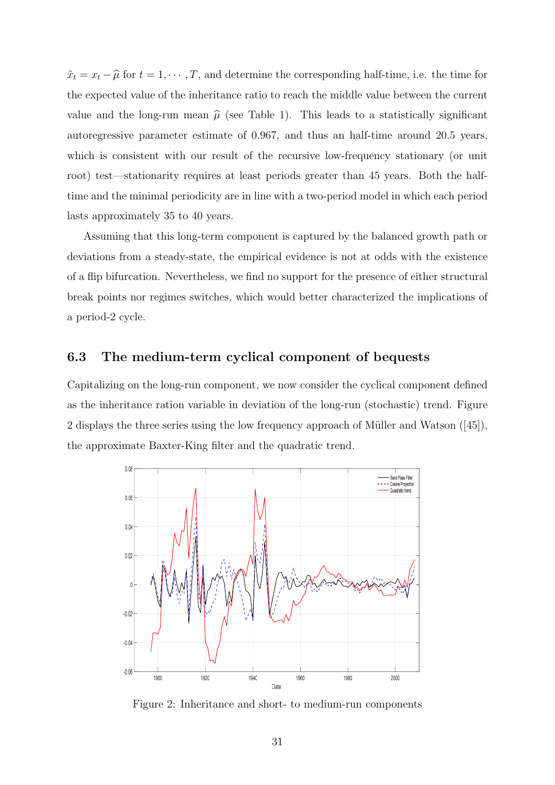$\tilde{x}_t = x_t - \hat{\mu}$  for  $t = 1, \dots, T$ , and determine the corresponding half-time, i.e. the time for the expected value of the inheritance ratio to reach the middle value between the current value and the long-run mean  $\hat{\mu}$  (see Table 1). This leads to a statistically significant autoregressive parameter estimate of 0.967, and thus an half-time around 20.5 years, which is consistent with our result of the recursive low-frequency stationary (or unit root) test—stationarity requires at least periods greater than 45 years. Both the halftime and the minimal periodicity are in line with a two-period model in which each period lasts approximately 35 to 40 years.

Assuming that this long-term component is captured by the balanced growth path or deviations from a steady-state, the empirical evidence is not at odds with the existence of a flip bifurcation. Nevertheless, we find no support for the presence of either structural break points nor regimes switches, which would better characterized the implications of a period-2 cycle.

#### 6.3 The medium-term cyclical component of bequests

Capitalizing on the long-run component, we now consider the cyclical component defined as the inheritance ration variable in deviation of the long-run (stochastic) trend. Figure 2 displays the three series using the low frequency approach of Müller and Watson  $([45])$ , the approximate Baxter-King filter and the quadratic trend.



Figure 2: Inheritance and short- to medium-run components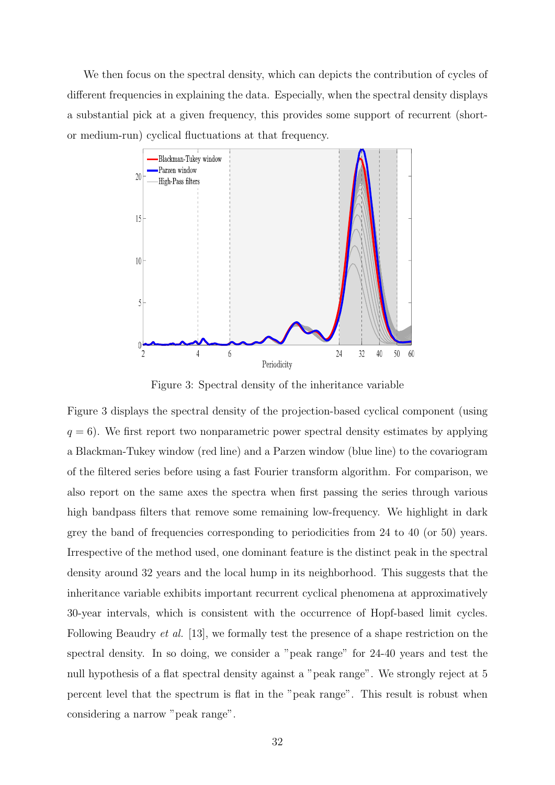We then focus on the spectral density, which can depicts the contribution of cycles of different frequencies in explaining the data. Especially, when the spectral density displays a substantial pick at a given frequency, this provides some support of recurrent (shortor medium-run) cyclical fluctuations at that frequency.



Figure 3: Spectral density of the inheritance variable

Figure 3 displays the spectral density of the projection-based cyclical component (using  $q = 6$ ). We first report two nonparametric power spectral density estimates by applying a Blackman-Tukey window (red line) and a Parzen window (blue line) to the covariogram of the filtered series before using a fast Fourier transform algorithm. For comparison, we also report on the same axes the spectra when first passing the series through various high bandpass filters that remove some remaining low-frequency. We highlight in dark grey the band of frequencies corresponding to periodicities from 24 to 40 (or 50) years. Irrespective of the method used, one dominant feature is the distinct peak in the spectral density around 32 years and the local hump in its neighborhood. This suggests that the inheritance variable exhibits important recurrent cyclical phenomena at approximatively 30-year intervals, which is consistent with the occurrence of Hopf-based limit cycles. Following Beaudry et al. [13], we formally test the presence of a shape restriction on the spectral density. In so doing, we consider a "peak range" for 24-40 years and test the null hypothesis of a flat spectral density against a "peak range". We strongly reject at 5 percent level that the spectrum is flat in the "peak range". This result is robust when considering a narrow "peak range".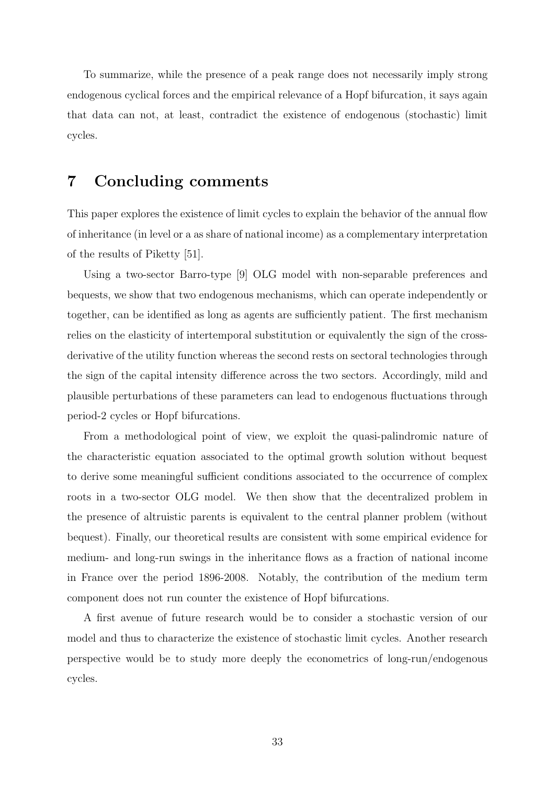To summarize, while the presence of a peak range does not necessarily imply strong endogenous cyclical forces and the empirical relevance of a Hopf bifurcation, it says again that data can not, at least, contradict the existence of endogenous (stochastic) limit cycles.

## 7 Concluding comments

This paper explores the existence of limit cycles to explain the behavior of the annual flow of inheritance (in level or a as share of national income) as a complementary interpretation of the results of Piketty [51].

Using a two-sector Barro-type [9] OLG model with non-separable preferences and bequests, we show that two endogenous mechanisms, which can operate independently or together, can be identified as long as agents are sufficiently patient. The first mechanism relies on the elasticity of intertemporal substitution or equivalently the sign of the crossderivative of the utility function whereas the second rests on sectoral technologies through the sign of the capital intensity difference across the two sectors. Accordingly, mild and plausible perturbations of these parameters can lead to endogenous fluctuations through period-2 cycles or Hopf bifurcations.

From a methodological point of view, we exploit the quasi-palindromic nature of the characteristic equation associated to the optimal growth solution without bequest to derive some meaningful sufficient conditions associated to the occurrence of complex roots in a two-sector OLG model. We then show that the decentralized problem in the presence of altruistic parents is equivalent to the central planner problem (without bequest). Finally, our theoretical results are consistent with some empirical evidence for medium- and long-run swings in the inheritance flows as a fraction of national income in France over the period 1896-2008. Notably, the contribution of the medium term component does not run counter the existence of Hopf bifurcations.

A first avenue of future research would be to consider a stochastic version of our model and thus to characterize the existence of stochastic limit cycles. Another research perspective would be to study more deeply the econometrics of long-run/endogenous cycles.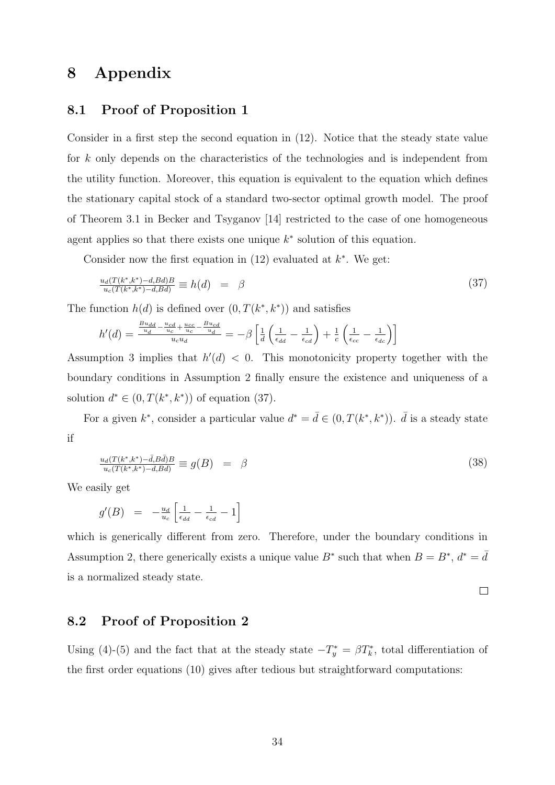## 8 Appendix

#### 8.1 Proof of Proposition 1

Consider in a first step the second equation in (12). Notice that the steady state value for k only depends on the characteristics of the technologies and is independent from the utility function. Moreover, this equation is equivalent to the equation which defines the stationary capital stock of a standard two-sector optimal growth model. The proof of Theorem 3.1 in Becker and Tsyganov [14] restricted to the case of one homogeneous agent applies so that there exists one unique  $k^*$  solution of this equation.

Consider now the first equation in  $(12)$  evaluated at  $k^*$ . We get:

$$
\frac{u_d(T(k^*,k^*)-d, Bd)B}{u_c(T(k^*,k^*)-d, Bd)} \equiv h(d) = \beta \tag{37}
$$

The function  $h(d)$  is defined over  $(0, T(k^*, k^*))$  and satisfies

$$
h'(d) = \frac{\frac{B u_{dd} - u_{cd}}{u_d} + \frac{u_{cc}}{u_c} - \frac{B u_{cd}}{u_d}}{u_c u_d} = -\beta \left[ \frac{1}{d} \left( \frac{1}{\epsilon_{dd}} - \frac{1}{\epsilon_{cd}} \right) + \frac{1}{c} \left( \frac{1}{\epsilon_{cc}} - \frac{1}{\epsilon_{dc}} \right) \right]
$$

Assumption 3 implies that  $h'(d) < 0$ . This monotonicity property together with the boundary conditions in Assumption 2 finally ensure the existence and uniqueness of a solution  $d^* \in (0, T(k^*, k^*))$  of equation (37).

For a given  $k^*$ , consider a particular value  $d^* = \bar{d} \in (0, T(k^*, k^*))$ .  $\bar{d}$  is a steady state if

$$
\frac{u_d(T(k^*,k^*) - \bar{d}, B\bar{d})B}{u_c(T(k^*,k^*) - \bar{d}, B\bar{d})} \equiv g(B) = \beta \tag{38}
$$

We easily get

$$
g'(B) = -\frac{u_d}{u_c} \left[ \frac{1}{\epsilon_{dd}} - \frac{1}{\epsilon_{cd}} - 1 \right]
$$

which is generically different from zero. Therefore, under the boundary conditions in Assumption 2, there generically exists a unique value  $B^*$  such that when  $B = B^*$ ,  $d^* = d$ is a normalized steady state.

 $\Box$ 

#### 8.2 Proof of Proposition 2

Using (4)-(5) and the fact that at the steady state  $-T_y^* = \beta T_k^*$ , total differentiation of the first order equations (10) gives after tedious but straightforward computations: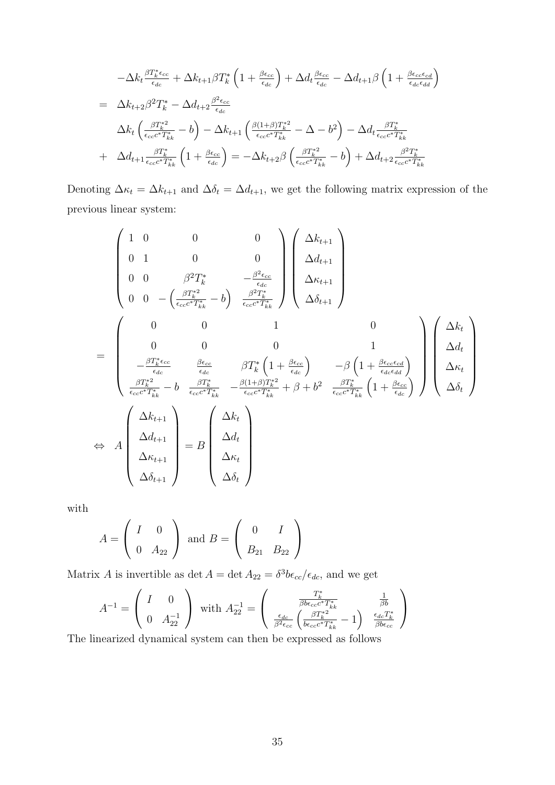$$
-\Delta k_t \frac{\beta T_k^* \epsilon_{cc}}{\epsilon_{dc}} + \Delta k_{t+1} \beta T_k^* \left( 1 + \frac{\beta \epsilon_{cc}}{\epsilon_{dc}} \right) + \Delta d_t \frac{\beta \epsilon_{cc}}{\epsilon_{dc}} - \Delta d_{t+1} \beta \left( 1 + \frac{\beta \epsilon_{cc} \epsilon_{cd}}{\epsilon_{dc} \epsilon_{dd}} \right)
$$
  
\n
$$
= \Delta k_{t+2} \beta^2 T_k^* - \Delta d_{t+2} \frac{\beta^2 \epsilon_{cc}}{\epsilon_{dc}}
$$
  
\n
$$
\Delta k_t \left( \frac{\beta T_k^{*2}}{\epsilon_{cc} \epsilon^* T_{kk}^*} - b \right) - \Delta k_{t+1} \left( \frac{\beta (1+\beta) T_k^{*2}}{\epsilon_{cc} \epsilon^* T_{kk}^*} - \Delta - b^2 \right) - \Delta d_t \frac{\beta T_k^*}{\epsilon_{cc} \epsilon^* T_{kk}^*}
$$
  
\n+  $\Delta d_{t+1} \frac{\beta T_k^*}{\epsilon_{cc} \epsilon^* T_{kk}^*} \left( 1 + \frac{\beta \epsilon_{cc}}{\epsilon_{dc}} \right) = -\Delta k_{t+2} \beta \left( \frac{\beta T_k^{*2}}{\epsilon_{cc} \epsilon^* T_{kk}^*} - b \right) + \Delta d_{t+2} \frac{\beta^2 T_k^*}{\epsilon_{cc} \epsilon^* T_{kk}^*}$ 

Denoting  $\Delta \kappa_t = \Delta k_{t+1}$  and  $\Delta \delta_t = \Delta d_{t+1}$ , we get the following matrix expression of the previous linear system:

$$
\begin{pmatrix}\n1 & 0 & 0 & 0 \\
0 & 1 & 0 & 0 \\
0 & 0 & \beta^2 T_k^* & -\frac{\beta^2 \epsilon_{cc}}{\epsilon_{cc}} \\
0 & 0 & -\left(\frac{\beta T_k^{*2}}{\epsilon_{ccc}c^*T_{kk}^*} - b\right) \frac{\beta^2 T_k^*}{\epsilon_{ccc}c^*T_{kk}^*}\right)\n\begin{pmatrix}\n\Delta k_{t+1} \\
\Delta d_{t+1} \\
\Delta \delta_{t+1}\n\end{pmatrix}
$$
\n=\n
$$
\begin{pmatrix}\n0 & 0 & 1 & 0 \\
0 & 0 & 0 & 1 \\
-\frac{\beta T_k^* \epsilon_{cc}}{\epsilon_{dc}} & \frac{\beta \epsilon_{cc}}{\epsilon_{dc}} & \beta T_k^* \left(1 + \frac{\beta \epsilon_{cc}}{\epsilon_{dc}}\right) & -\beta \left(1 + \frac{\beta \epsilon_{cc} \epsilon_{cd}}{\epsilon_{dc} \epsilon_{dd}}\right) \\
\frac{\beta T_k^{*2}}{\epsilon_{ccc}c^*T_{kk}^*} - b & \frac{\beta T_k^*}{\epsilon_{ccc}c^*T_{kk}^*} & -\frac{\beta (1 + \beta) T_k^{*2}}{\epsilon_{ccc}c^*T_{kk}^*} + \beta + b^2 & \frac{\beta T_k^*}{\epsilon_{ccc}c^*T_{kk}^*} \left(1 + \frac{\beta \epsilon_{cc}}{\epsilon_{dc}}\right)\n\end{pmatrix}\n\begin{pmatrix}\n\Delta k_t \\
\Delta d_t \\
\Delta \delta_t\n\end{pmatrix}
$$
\n
$$
\Leftrightarrow A \begin{pmatrix}\n\Delta k_{t+1} \\
\Delta d_{t+1} \\
\Delta d_{t+1} \\
\Delta \delta_{t+1}\n\end{pmatrix} = B \begin{pmatrix}\n\Delta k_t \\
\Delta d_t \\
\Delta \delta_t\n\end{pmatrix}
$$

with

$$
A = \begin{pmatrix} I & 0 \\ 0 & A_{22} \end{pmatrix} \text{ and } B = \begin{pmatrix} 0 & I \\ B_{21} & B_{22} \end{pmatrix}
$$

Matrix A is invertible as det  $A = \det A_{22} = \delta^3 b \epsilon_{cc} / \epsilon_{dc}$ , and we get

$$
A^{-1} = \begin{pmatrix} I & 0 \\ 0 & A_{22}^{-1} \end{pmatrix} \text{ with } A_{22}^{-1} = \begin{pmatrix} \frac{T_k^*}{\beta b \epsilon_{cc} c^* T_{kk}^*} & \frac{1}{\beta b} \\ \frac{\epsilon_{dc}}{\beta^2 \epsilon_{cc}} \left( \frac{\beta T_k^{*2}}{b \epsilon_{cc} c^* T_{kk}^*} - 1 \right) & \frac{\epsilon_{dc} T_k^*}{\beta b \epsilon_{cc}} \end{pmatrix}
$$

The linearized dynamical system can then be expressed as follows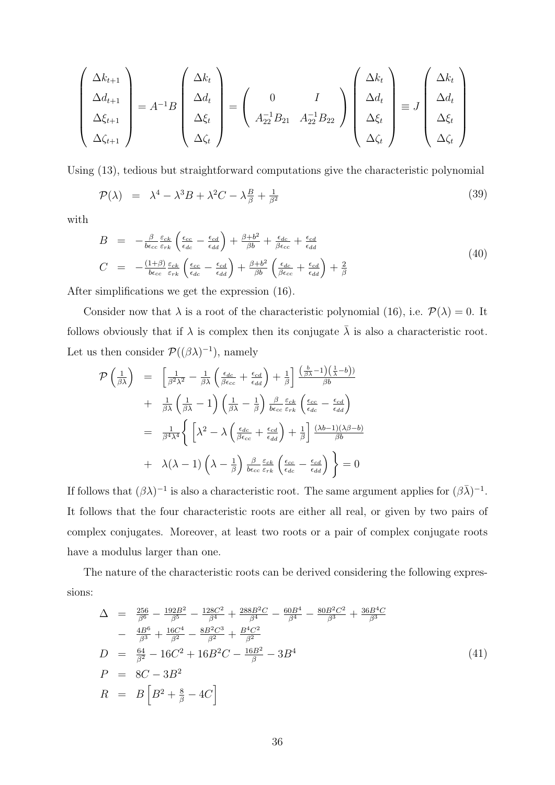$$
\begin{pmatrix}\n\Delta k_{t+1} \\
\Delta d_{t+1} \\
\Delta \xi_{t+1} \\
\Delta \zeta_{t+1}\n\end{pmatrix} = A^{-1}B \begin{pmatrix}\n\Delta k_t \\
\Delta d_t \\
\Delta \xi_t \\
\Delta \zeta_t\n\end{pmatrix} = \begin{pmatrix}\n0 & I \\
A_{22}^{-1}B_{21} & A_{22}^{-1}B_{22}\n\end{pmatrix} \begin{pmatrix}\n\Delta k_t \\
\Delta d_t \\
\Delta \xi_t \\
\Delta \zeta_t\n\end{pmatrix} \equiv J \begin{pmatrix}\n\Delta k_t \\
\Delta d_t \\
\Delta \xi_t \\
\Delta \zeta_t\n\end{pmatrix}
$$

Using (13), tedious but straightforward computations give the characteristic polynomial

$$
\mathcal{P}(\lambda) = \lambda^4 - \lambda^3 B + \lambda^2 C - \lambda \frac{B}{\beta} + \frac{1}{\beta^2}
$$
\n(39)

with

$$
B = -\frac{\beta}{b\epsilon_{cc}} \frac{\varepsilon_{ck}}{\varepsilon_{rk}} \left( \frac{\epsilon_{cc}}{\epsilon_{dc}} - \frac{\epsilon_{cd}}{\epsilon_{dd}} \right) + \frac{\beta + b^2}{\beta b} + \frac{\epsilon_{dc}}{\beta \epsilon_{cc}} + \frac{\epsilon_{cd}}{\epsilon_{dd}}
$$
  
\n
$$
C = -\frac{(1+\beta)}{b\epsilon_{cc}} \frac{\varepsilon_{ck}}{\varepsilon_{rk}} \left( \frac{\epsilon_{cc}}{\epsilon_{dc}} - \frac{\epsilon_{cd}}{\epsilon_{dd}} \right) + \frac{\beta + b^2}{\beta b} \left( \frac{\epsilon_{dc}}{\beta \epsilon_{cc}} + \frac{\epsilon_{cd}}{\epsilon_{dd}} \right) + \frac{2}{\beta}
$$
\n
$$
(40)
$$

After simplifications we get the expression (16).

Consider now that  $\lambda$  is a root of the characteristic polynomial (16), i.e.  $\mathcal{P}(\lambda) = 0$ . It follows obviously that if  $\lambda$  is complex then its conjugate  $\bar{\lambda}$  is also a characteristic root. Let us then consider  $\mathcal{P}((\beta\lambda)^{-1})$ , namely

$$
\mathcal{P}\left(\frac{1}{\beta\lambda}\right) = \left[\frac{1}{\beta^2\lambda^2} - \frac{1}{\beta\lambda}\left(\frac{\epsilon_{dc}}{\beta\epsilon_{cc}} + \frac{\epsilon_{cd}}{\epsilon_{dd}}\right) + \frac{1}{\beta}\right] \frac{\left(\frac{b}{\beta\lambda} - 1\right)\left(\frac{1}{\lambda} - b\right)}{\beta b}
$$

$$
+ \frac{1}{\beta\lambda}\left(\frac{1}{\beta\lambda} - 1\right)\left(\frac{1}{\beta\lambda} - \frac{1}{\beta}\right)\frac{\beta}{b\epsilon_{cc}\epsilon_{rk}}\left(\frac{\epsilon_{cc}}{\epsilon_{dc}} - \frac{\epsilon_{cd}}{\epsilon_{dd}}\right)
$$

$$
= \frac{1}{\beta^4\lambda^4}\left\{\left[\lambda^2 - \lambda\left(\frac{\epsilon_{dc}}{\beta\epsilon_{cc}} + \frac{\epsilon_{cd}}{\epsilon_{dd}}\right) + \frac{1}{\beta}\right]\frac{(\lambda b - 1)(\lambda\beta - b)}{\beta b}
$$

$$
+ \lambda(\lambda - 1)\left(\lambda - \frac{1}{\beta}\right)\frac{\beta}{b\epsilon_{cc}\epsilon_{rk}}\left(\frac{\epsilon_{cc}}{\epsilon_{dc}} - \frac{\epsilon_{cd}}{\epsilon_{dd}}\right)\right\} = 0
$$

If follows that  $(\beta \lambda)^{-1}$  is also a characteristic root. The same argument applies for  $(\beta \bar{\lambda})^{-1}$ . It follows that the four characteristic roots are either all real, or given by two pairs of complex conjugates. Moreover, at least two roots or a pair of complex conjugate roots have a modulus larger than one.

The nature of the characteristic roots can be derived considering the following expressions:

$$
\Delta = \frac{256}{\beta^6} - \frac{192B^2}{\beta^5} - \frac{128C^2}{\beta^4} + \frac{288B^2C}{\beta^4} - \frac{60B^4}{\beta^4} - \frac{80B^2C^2}{\beta^3} + \frac{36B^4C}{\beta^3}
$$
  
\n
$$
- \frac{4B^6}{\beta^3} + \frac{16C^4}{\beta^2} - \frac{8B^2C^3}{\beta^2} + \frac{B^4C^2}{\beta^2}
$$
  
\n
$$
D = \frac{64}{\beta^2} - 16C^2 + 16B^2C - \frac{16B^2}{\beta} - 3B^4
$$
  
\n
$$
P = 8C - 3B^2
$$
  
\n
$$
R = B\left[B^2 + \frac{8}{\beta} - 4C\right]
$$
\n(41)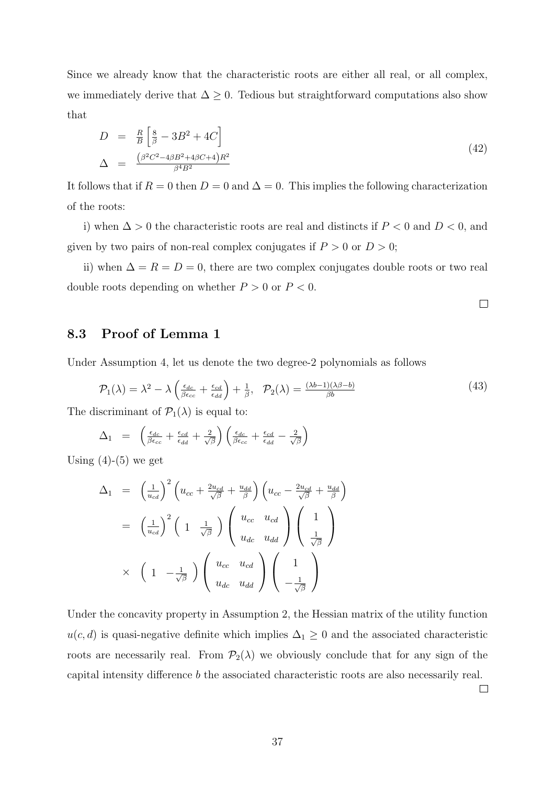Since we already know that the characteristic roots are either all real, or all complex, we immediately derive that  $\Delta \geq 0$ . Tedious but straightforward computations also show that

$$
D = \frac{R}{B} \left[ \frac{8}{\beta} - 3B^2 + 4C \right]
$$
  
\n
$$
\Delta = \frac{(\beta^2 C^2 - 4\beta B^2 + 4\beta C + 4)R^2}{\beta^4 B^2}
$$
\n(42)

It follows that if  $R = 0$  then  $D = 0$  and  $\Delta = 0$ . This implies the following characterization of the roots:

i) when  $\Delta > 0$  the characteristic roots are real and distincts if  $P < 0$  and  $D < 0$ , and given by two pairs of non-real complex conjugates if  $P > 0$  or  $D > 0$ ;

ii) when  $\Delta = R = D = 0$ , there are two complex conjugates double roots or two real double roots depending on whether  $P > 0$  or  $P < 0$ .

 $\Box$ 

### 8.3 Proof of Lemma 1

Under Assumption 4, let us denote the two degree-2 polynomials as follows

$$
\mathcal{P}_1(\lambda) = \lambda^2 - \lambda \left( \frac{\epsilon_{dc}}{\beta \epsilon_{cc}} + \frac{\epsilon_{cd}}{\epsilon_{dd}} \right) + \frac{1}{\beta}, \quad \mathcal{P}_2(\lambda) = \frac{(\lambda b - 1)(\lambda \beta - b)}{\beta b}
$$
(43)

The discriminant of  $\mathcal{P}_1(\lambda)$  is equal to:

$$
\Delta_1 = \left( \frac{\epsilon_{dc}}{\beta \epsilon_{cc}} + \frac{\epsilon_{cd}}{\epsilon_{dd}} + \frac{2}{\sqrt{\beta}} \right) \left( \frac{\epsilon_{dc}}{\beta \epsilon_{cc}} + \frac{\epsilon_{cd}}{\epsilon_{dd}} - \frac{2}{\sqrt{\beta}} \right)
$$

Using  $(4)-(5)$  we get

$$
\Delta_1 = \left(\frac{1}{u_{cd}}\right)^2 \left(u_{cc} + \frac{2u_{cd}}{\sqrt{\beta}} + \frac{u_{dd}}{\beta}\right) \left(u_{cc} - \frac{2u_{cd}}{\sqrt{\beta}} + \frac{u_{dd}}{\beta}\right)
$$

$$
= \left(\frac{1}{u_{cd}}\right)^2 \left(1 \frac{1}{\sqrt{\beta}}\right) \left(\begin{array}{c} u_{cc} & u_{cd} \\ u_{dc} & u_{dd} \end{array}\right) \left(\begin{array}{c} 1 \\ \frac{1}{\sqrt{\beta}} \end{array}\right)
$$

$$
\times \left(1 - \frac{1}{\sqrt{\beta}}\right) \left(\begin{array}{c} u_{cc} & u_{cd} \\ u_{dc} & u_{dd} \end{array}\right) \left(\begin{array}{c} 1 \\ -\frac{1}{\sqrt{\beta}} \end{array}\right)
$$

Under the concavity property in Assumption 2, the Hessian matrix of the utility function  $u(c, d)$  is quasi-negative definite which implies  $\Delta_1 \geq 0$  and the associated characteristic roots are necessarily real. From  $\mathcal{P}_2(\lambda)$  we obviously conclude that for any sign of the capital intensity difference b the associated characteristic roots are also necessarily real.

 $\Box$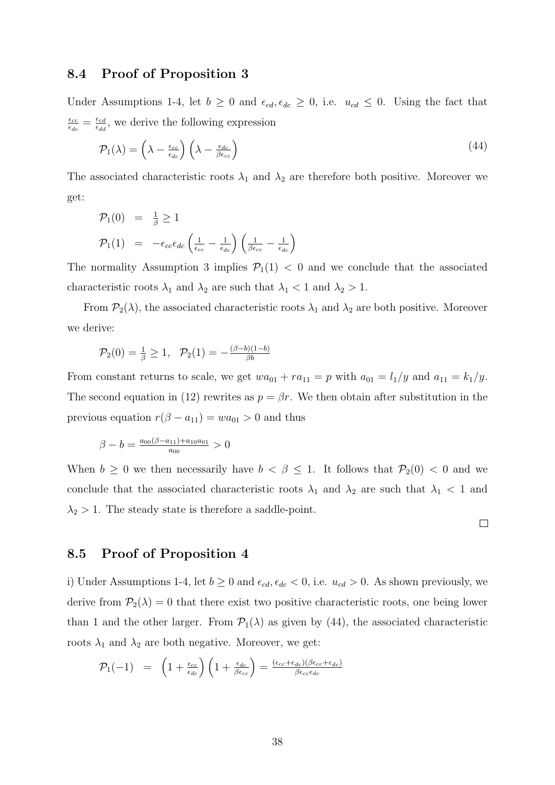#### 8.4 Proof of Proposition 3

Under Assumptions 1-4, let  $b \geq 0$  and  $\epsilon_{cd}, \epsilon_{dc} \geq 0$ , i.e.  $u_{cd} \leq 0$ . Using the fact that  $\epsilon_{cc}$  $\frac{\epsilon_{cc}}{\epsilon_{dc}} = \frac{\epsilon_{cd}}{\epsilon_{dd}}$  $\frac{\epsilon_{cd}}{\epsilon_{dd}}$ , we derive the following expression

$$
\mathcal{P}_1(\lambda) = \left(\lambda - \frac{\epsilon_{cc}}{\epsilon_{dc}}\right) \left(\lambda - \frac{\epsilon_{dc}}{\beta \epsilon_{cc}}\right) \tag{44}
$$

The associated characteristic roots  $\lambda_1$  and  $\lambda_2$  are therefore both positive. Moreover we get:

$$
\mathcal{P}_1(0) = \frac{1}{\beta} \ge 1
$$
\n
$$
\mathcal{P}_1(1) = -\epsilon_{cc}\epsilon_{dc} \left(\frac{1}{\epsilon_{cc}} - \frac{1}{\epsilon_{dc}}\right) \left(\frac{1}{\beta\epsilon_{cc}} - \frac{1}{\epsilon_{dc}}\right)
$$

The normality Assumption 3 implies  $\mathcal{P}_1(1) < 0$  and we conclude that the associated characteristic roots  $\lambda_1$  and  $\lambda_2$  are such that  $\lambda_1 < 1$  and  $\lambda_2 > 1$ .

From  $\mathcal{P}_2(\lambda)$ , the associated characteristic roots  $\lambda_1$  and  $\lambda_2$  are both positive. Moreover we derive:

$$
\mathcal{P}_2(0) = \frac{1}{\beta} \ge 1, \quad \mathcal{P}_2(1) = -\frac{(\beta - b)(1 - b)}{\beta b}
$$

From constant returns to scale, we get  $wa_{01} + ra_{11} = p$  with  $a_{01} = l_1/y$  and  $a_{11} = k_1/y$ . The second equation in (12) rewrites as  $p = \beta r$ . We then obtain after substitution in the previous equation  $r(\beta - a_{11}) = wa_{01} > 0$  and thus

$$
\beta - b = \frac{a_{00}(\beta - a_{11}) + a_{10}a_{01}}{a_{00}} > 0
$$

When  $b \geq 0$  we then necessarily have  $b < \beta \leq 1$ . It follows that  $\mathcal{P}_2(0) < 0$  and we conclude that the associated characteristic roots  $\lambda_1$  and  $\lambda_2$  are such that  $\lambda_1$  < 1 and  $\lambda_2 > 1$ . The steady state is therefore a saddle-point.

 $\Box$ 

#### 8.5 Proof of Proposition 4

i) Under Assumptions 1-4, let  $b \ge 0$  and  $\epsilon_{cd}$ ,  $\epsilon_{dc} < 0$ , i.e.  $u_{cd} > 0$ . As shown previously, we derive from  $P_2(\lambda) = 0$  that there exist two positive characteristic roots, one being lower than 1 and the other larger. From  $\mathcal{P}_1(\lambda)$  as given by (44), the associated characteristic roots  $\lambda_1$  and  $\lambda_2$  are both negative. Moreover, we get:

$$
\mathcal{P}_1(-1) = \left(1 + \frac{\epsilon_{cc}}{\epsilon_{dc}}\right) \left(1 + \frac{\epsilon_{dc}}{\beta \epsilon_{cc}}\right) = \frac{(\epsilon_{cc} + \epsilon_{dc})(\beta \epsilon_{cc} + \epsilon_{dc})}{\beta \epsilon_{cc} \epsilon_{dc}}
$$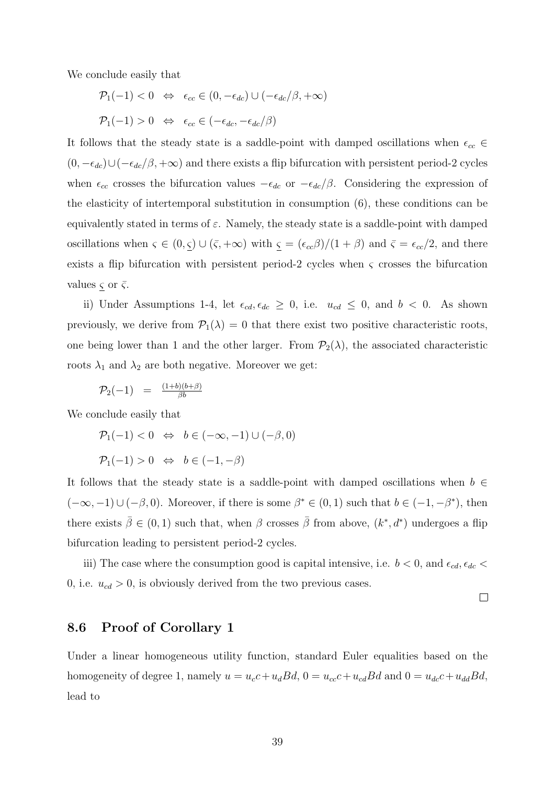We conclude easily that

$$
\mathcal{P}_1(-1) < 0 \quad \Leftrightarrow \quad \epsilon_{cc} \in (0, -\epsilon_{dc}) \cup (-\epsilon_{dc}/\beta, +\infty)
$$
\n
$$
\mathcal{P}_1(-1) > 0 \quad \Leftrightarrow \quad \epsilon_{cc} \in (-\epsilon_{dc}, -\epsilon_{dc}/\beta)
$$

It follows that the steady state is a saddle-point with damped oscillations when  $\epsilon_{cc} \in$  $(0, -\epsilon_{dc})\cup(-\epsilon_{dc}/\beta, +\infty)$  and there exists a flip bifurcation with persistent period-2 cycles when  $\epsilon_{cc}$  crosses the bifurcation values  $-\epsilon_{dc}$  or  $-\epsilon_{dc}/\beta$ . Considering the expression of the elasticity of intertemporal substitution in consumption (6), these conditions can be equivalently stated in terms of  $\varepsilon$ . Namely, the steady state is a saddle-point with damped oscillations when  $\varsigma \in (0, \underline{\varsigma}) \cup (\overline{\varsigma}, +\infty)$  with  $\underline{\varsigma} = (\epsilon_{cc}\beta)/(1+\beta)$  and  $\overline{\varsigma} = \epsilon_{cc}/2$ , and there exists a flip bifurcation with persistent period-2 cycles when  $\varsigma$  crosses the bifurcation values  $\zeta$  or  $\bar{\zeta}$ .

ii) Under Assumptions 1-4, let  $\epsilon_{cd}$ ,  $\epsilon_{dc} \geq 0$ , i.e.  $u_{cd} \leq 0$ , and  $b < 0$ . As shown previously, we derive from  $\mathcal{P}_1(\lambda) = 0$  that there exist two positive characteristic roots, one being lower than 1 and the other larger. From  $\mathcal{P}_2(\lambda)$ , the associated characteristic roots  $\lambda_1$  and  $\lambda_2$  are both negative. Moreover we get:

$$
\mathcal{P}_2(-1) = \frac{(1+b)(b+\beta)}{\beta b}
$$

We conclude easily that

 $\mathcal{P}_1(-1) < 0 \Leftrightarrow b \in (-\infty, -1) \cup (-\beta, 0)$ 

 $\mathcal{P}_1(-1) > 0 \Leftrightarrow b \in (-1, -\beta)$ 

It follows that the steady state is a saddle-point with damped oscillations when  $b \in$  $(-\infty, -1) \cup (-\beta, 0)$ . Moreover, if there is some  $\beta^* \in (0, 1)$  such that  $b \in (-1, -\beta^*)$ , then there exists  $\bar{\beta} \in (0,1)$  such that, when  $\beta$  crosses  $\bar{\beta}$  from above,  $(k^*, d^*)$  undergoes a flip bifurcation leading to persistent period-2 cycles.

iii) The case where the consumption good is capital intensive, i.e.  $b < 0$ , and  $\epsilon_{cd}$ ,  $\epsilon_{dc} <$ 0, i.e.  $u_{cd} > 0$ , is obviously derived from the two previous cases.

#### $\Box$

### 8.6 Proof of Corollary 1

Under a linear homogeneous utility function, standard Euler equalities based on the homogeneity of degree 1, namely  $u = u_c c + u_d B d$ ,  $0 = u_{cc} c + u_{cd} B d$  and  $0 = u_{dc} c + u_{dd} B d$ , lead to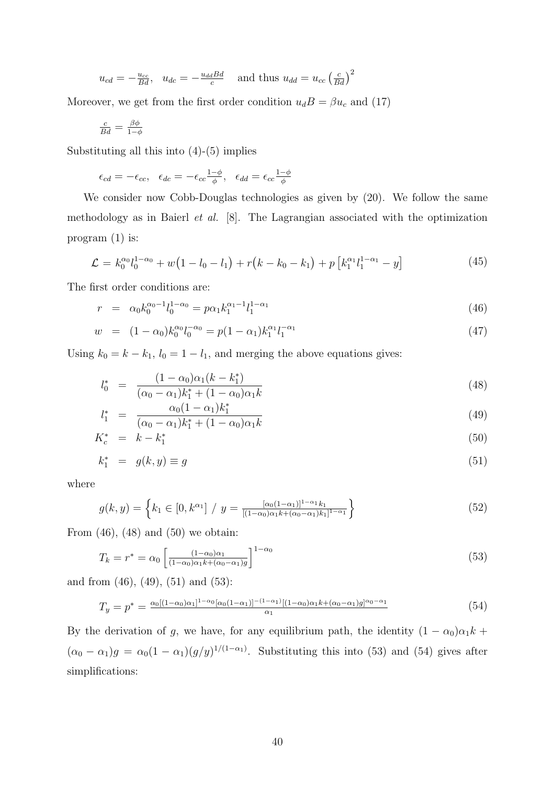$$
u_{cd} = -\frac{u_{cc}}{Bd}
$$
,  $u_{dc} = -\frac{u_{dd}Bd}{c}$  and thus  $u_{dd} = u_{cc} \left(\frac{c}{Bd}\right)^2$ 

Moreover, we get from the first order condition  $u_dB = \beta u_c$  and (17)

$$
\tfrac{c}{Bd}=\tfrac{\beta\phi}{1-\phi}
$$

Substituting all this into (4)-(5) implies

$$
\epsilon_{cd} = -\epsilon_{cc}, \quad \epsilon_{dc} = -\epsilon_{cc} \frac{1-\phi}{\phi}, \quad \epsilon_{dd} = \epsilon_{cc} \frac{1-\phi}{\phi}
$$

We consider now Cobb-Douglas technologies as given by (20). We follow the same methodology as in Baierl et al. [8]. The Lagrangian associated with the optimization program (1) is:

$$
\mathcal{L} = k_0^{\alpha_0} l_0^{1-\alpha_0} + w(1 - l_0 - l_1) + r(k - k_0 - k_1) + p[k_1^{\alpha_1} l_1^{1-\alpha_1} - y] \tag{45}
$$

The first order conditions are:

$$
r = \alpha_0 k_0^{\alpha_0 - 1} l_0^{1 - \alpha_0} = p \alpha_1 k_1^{\alpha_1 - 1} l_1^{1 - \alpha_1}
$$
\n(46)

$$
w = (1 - \alpha_0)k_0^{\alpha_0} l_0^{-\alpha_0} = p(1 - \alpha_1)k_1^{\alpha_1} l_1^{-\alpha_1}
$$
\n(47)

Using  $k_0 = k - k_1$ ,  $l_0 = 1 - l_1$ , and merging the above equations gives:

$$
l_0^* = \frac{(1 - \alpha_0)\alpha_1(k - k_1^*)}{(\alpha_0 - \alpha_1)k_1^* + (1 - \alpha_0)\alpha_1k}
$$
\n(48)

$$
l_1^* = \frac{\alpha_0 (1 - \alpha_1) k_1^*}{(\alpha_0 - \alpha_1) k_1^* + (1 - \alpha_0) \alpha_1 k} \tag{49}
$$

$$
K_c^* = k - k_1^* \tag{50}
$$

$$
k_1^* = g(k, y) \equiv g \tag{51}
$$

where

$$
g(k,y) = \left\{ k_1 \in [0, k^{\alpha_1}] / y = \frac{[\alpha_0(1-\alpha_1)]^{1-\alpha_1} k_1}{[(1-\alpha_0)\alpha_1 k + (\alpha_0-\alpha_1)k_1]^{1-\alpha_1}} \right\}
$$
(52)

From  $(46)$ ,  $(48)$  and  $(50)$  we obtain:

$$
T_k = r^* = \alpha_0 \left[ \frac{(1 - \alpha_0)\alpha_1}{(1 - \alpha_0)\alpha_1 k + (\alpha_0 - \alpha_1)g} \right]^{1 - \alpha_0}
$$
\n(53)

and from (46), (49), (51) and (53):

$$
T_y = p^* = \frac{\alpha_0 [(1-\alpha_0)\alpha_1]^{1-\alpha_0} [\alpha_0(1-\alpha_1)]^{-(1-\alpha_1)} [(1-\alpha_0)\alpha_1 k + (\alpha_0-\alpha_1)g]^{\alpha_0-\alpha_1}}{\alpha_1} \tag{54}
$$

By the derivation of g, we have, for any equilibrium path, the identity  $(1 - \alpha_0)\alpha_1 k$  +  $(\alpha_0 - \alpha_1)g = \alpha_0(1 - \alpha_1)(g/y)^{1/(1-\alpha_1)}$ . Substituting this into (53) and (54) gives after simplifications: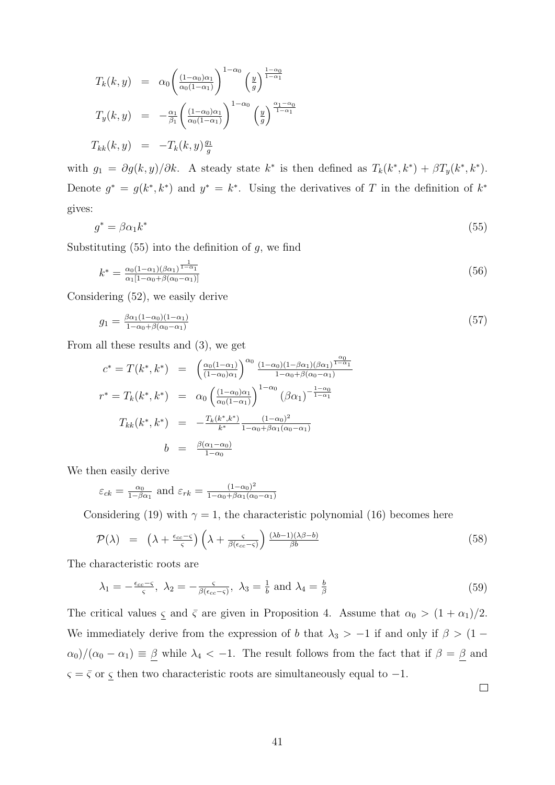$$
T_k(k, y) = \alpha_0 \left( \frac{(1-\alpha_0)\alpha_1}{\alpha_0(1-\alpha_1)} \right)^{1-\alpha_0} \left( \frac{y}{g} \right)^{\frac{1-\alpha_0}{1-\alpha_1}}
$$
  

$$
T_y(k, y) = -\frac{\alpha_1}{\beta_1} \left( \frac{(1-\alpha_0)\alpha_1}{\alpha_0(1-\alpha_1)} \right)^{1-\alpha_0} \left( \frac{y}{g} \right)^{\frac{\alpha_1-\alpha_0}{1-\alpha_1}}
$$
  

$$
T_{kk}(k, y) = -T_k(k, y) \frac{g_1}{g}
$$

with  $g_1 = \partial g(k, y)/\partial k$ . A steady state  $k^*$  is then defined as  $T_k(k^*, k^*) + \beta T_y(k^*, k^*)$ . Denote  $g^* = g(k^*, k^*)$  and  $y^* = k^*$ . Using the derivatives of T in the definition of  $k^*$ gives:

$$
g^* = \beta \alpha_1 k^* \tag{55}
$$

Substituting  $(55)$  into the definition of g, we find

$$
k^* = \frac{\alpha_0 (1 - \alpha_1)(\beta \alpha_1)^{\frac{1}{1 - \alpha_1}}}{\alpha_1 [1 - \alpha_0 + \beta(\alpha_0 - \alpha_1)]} \tag{56}
$$

Considering (52), we easily derive

$$
g_1 = \frac{\beta \alpha_1 (1 - \alpha_0)(1 - \alpha_1)}{1 - \alpha_0 + \beta(\alpha_0 - \alpha_1)} \tag{57}
$$

From all these results and (3), we get

$$
c^* = T(k^*, k^*) = \left(\frac{\alpha_0(1-\alpha_1)}{(1-\alpha_0)\alpha_1}\right)^{\alpha_0} \frac{(1-\alpha_0)(1-\beta\alpha_1)(\beta\alpha_1)^{\frac{\alpha_0}{1-\alpha_1}}}{1-\alpha_0+\beta(\alpha_0-\alpha_1)}
$$
  

$$
r^* = T_k(k^*, k^*) = \alpha_0 \left(\frac{(1-\alpha_0)\alpha_1}{\alpha_0(1-\alpha_1)}\right)^{1-\alpha_0} (\beta\alpha_1)^{-\frac{1-\alpha_0}{1-\alpha_1}}
$$
  

$$
T_{kk}(k^*, k^*) = -\frac{T_k(k^*, k^*)}{k^*} \frac{(1-\alpha_0)^2}{1-\alpha_0+\beta\alpha_1(\alpha_0-\alpha_1)}
$$
  

$$
b = \frac{\beta(\alpha_1-\alpha_0)}{1-\alpha_0}
$$

We then easily derive

$$
\varepsilon_{ck} = \frac{\alpha_0}{1 - \beta \alpha_1}
$$
 and  $\varepsilon_{rk} = \frac{(1 - \alpha_0)^2}{1 - \alpha_0 + \beta \alpha_1 (\alpha_0 - \alpha_1)}$ 

Considering (19) with  $\gamma = 1$ , the characteristic polynomial (16) becomes here

$$
\mathcal{P}(\lambda) = \left(\lambda + \frac{\epsilon_{cc} - \varsigma}{\varsigma}\right) \left(\lambda + \frac{\varsigma}{\beta(\epsilon_{cc} - \varsigma)}\right) \frac{(\lambda b - 1)(\lambda \beta - b)}{\beta b} \tag{58}
$$

The characteristic roots are

$$
\lambda_1 = -\frac{\epsilon_{cc} - s}{s}, \ \lambda_2 = -\frac{s}{\beta(\epsilon_{cc} - s)}, \ \lambda_3 = \frac{1}{b} \text{ and } \lambda_4 = \frac{b}{\beta} \tag{59}
$$

The critical values  $\zeta$  and  $\bar{\zeta}$  are given in Proposition 4. Assume that  $\alpha_0 > (1 + \alpha_1)/2$ . We immediately derive from the expression of b that  $\lambda_3 > -1$  if and only if  $\beta > (1 \alpha_0/(\alpha_0 - \alpha_1) \equiv \underline{\beta}$  while  $\lambda_4 < -1$ . The result follows from the fact that if  $\beta = \underline{\beta}$  and  $\varsigma=\bar{\varsigma}$  or  $\underline{\varsigma}$  then two characteristic roots are simultaneously equal to  $-1.$ 

 $\Box$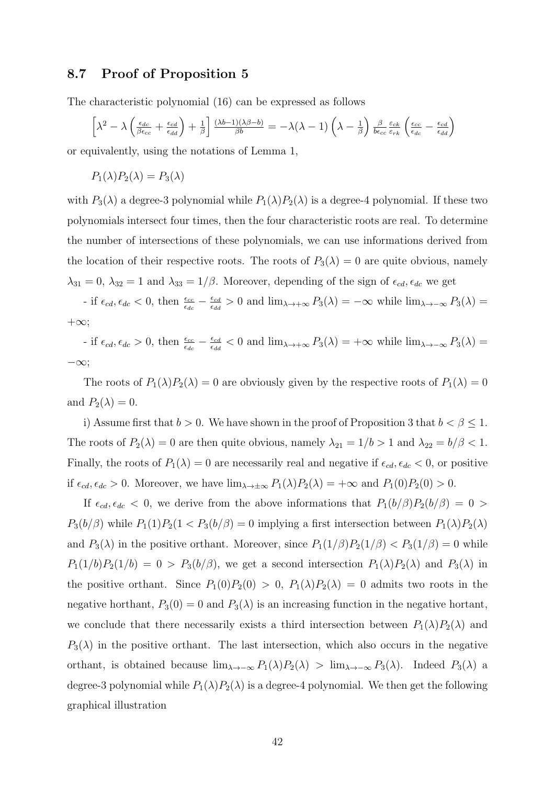#### 8.7 Proof of Proposition 5

The characteristic polynomial (16) can be expressed as follows

$$
\left[\lambda^2 - \lambda \left(\frac{\epsilon_{dc}}{\beta \epsilon_{cc}} + \frac{\epsilon_{cd}}{\epsilon_{dd}}\right) + \frac{1}{\beta}\right] \frac{(\lambda b - 1)(\lambda \beta - b)}{\beta b} = -\lambda(\lambda - 1)\left(\lambda - \frac{1}{\beta}\right) \frac{\beta}{b \epsilon_{cc}} \frac{\epsilon_{ck}}{\epsilon_{rk}} \left(\frac{\epsilon_{cc}}{\epsilon_{dc}} - \frac{\epsilon_{cd}}{\epsilon_{dd}}\right)
$$

or equivalently, using the notations of Lemma 1,

$$
P_1(\lambda)P_2(\lambda) = P_3(\lambda)
$$

with  $P_3(\lambda)$  a degree-3 polynomial while  $P_1(\lambda)P_2(\lambda)$  is a degree-4 polynomial. If these two polynomials intersect four times, then the four characteristic roots are real. To determine the number of intersections of these polynomials, we can use informations derived from the location of their respective roots. The roots of  $P_3(\lambda) = 0$  are quite obvious, namely  $\lambda_{31} = 0$ ,  $\lambda_{32} = 1$  and  $\lambda_{33} = 1/\beta$ . Moreover, depending of the sign of  $\epsilon_{cd}$ ,  $\epsilon_{dc}$  we get

- if  $\epsilon_{cd}$ ,  $\epsilon_{dc}$  < 0, then  $\frac{\epsilon_{cc}}{\epsilon_{dc}} - \frac{\epsilon_{cd}}{\epsilon_{dd}}$  $\frac{\epsilon_{cd}}{\epsilon_{dd}} > 0$  and  $\lim_{\lambda \to +\infty} P_3(\lambda) = -\infty$  while  $\lim_{\lambda \to -\infty} P_3(\lambda) =$  $+\infty;$ 

- if  $\epsilon_{cd}$ ,  $\epsilon_{dc} > 0$ , then  $\frac{\epsilon_{cc}}{\epsilon_{dc}} - \frac{\epsilon_{cd}}{\epsilon_{dd}}$  $\frac{\epsilon_{cd}}{\epsilon_{dd}}$  < 0 and  $\lim_{\lambda \to +\infty} P_3(\lambda) = +\infty$  while  $\lim_{\lambda \to -\infty} P_3(\lambda) =$ −∞;

The roots of  $P_1(\lambda)P_2(\lambda) = 0$  are obviously given by the respective roots of  $P_1(\lambda) = 0$ and  $P_2(\lambda) = 0$ .

i) Assume first that  $b > 0$ . We have shown in the proof of Proposition 3 that  $b < \beta \leq 1$ . The roots of  $P_2(\lambda) = 0$  are then quite obvious, namely  $\lambda_{21} = 1/b > 1$  and  $\lambda_{22} = b/\beta < 1$ . Finally, the roots of  $P_1(\lambda) = 0$  are necessarily real and negative if  $\epsilon_{cd}$ ,  $\epsilon_{dc} < 0$ , or positive if  $\epsilon_{cd}$ ,  $\epsilon_{dc} > 0$ . Moreover, we have  $\lim_{\lambda \to \pm \infty} P_1(\lambda) P_2(\lambda) = +\infty$  and  $P_1(0) P_2(0) > 0$ .

If  $\epsilon_{cd}$ ,  $\epsilon_{dc}$  < 0, we derive from the above informations that  $P_1(b/\beta)P_2(b/\beta) = 0$  $P_3(b/\beta)$  while  $P_1(1)P_2(1 < P_3(b/\beta) = 0$  implying a first intersection between  $P_1(\lambda)P_2(\lambda)$ and  $P_3(\lambda)$  in the positive orthant. Moreover, since  $P_1(1/\beta)P_2(1/\beta) < P_3(1/\beta) = 0$  while  $P_1(1/b)P_2(1/b) = 0 > P_3(b/\beta)$ , we get a second intersection  $P_1(\lambda)P_2(\lambda)$  and  $P_3(\lambda)$  in the positive orthant. Since  $P_1(0)P_2(0) > 0$ ,  $P_1(\lambda)P_2(\lambda) = 0$  admits two roots in the negative horthant,  $P_3(0) = 0$  and  $P_3(\lambda)$  is an increasing function in the negative hortant, we conclude that there necessarily exists a third intersection between  $P_1(\lambda)P_2(\lambda)$  and  $P_3(\lambda)$  in the positive orthant. The last intersection, which also occurs in the negative orthant, is obtained because  $\lim_{\lambda \to -\infty} P_1(\lambda) P_2(\lambda) > \lim_{\lambda \to -\infty} P_3(\lambda)$ . Indeed  $P_3(\lambda)$  a degree-3 polynomial while  $P_1(\lambda)P_2(\lambda)$  is a degree-4 polynomial. We then get the following graphical illustration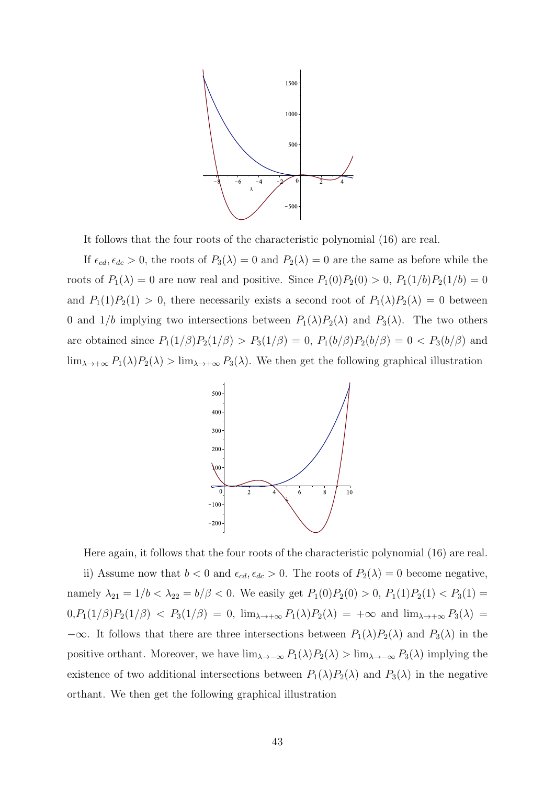

It follows that the four roots of the characteristic polynomial (16) are real.

If  $\epsilon_{cd}$ ,  $\epsilon_{dc} > 0$ , the roots of  $P_3(\lambda) = 0$  and  $P_2(\lambda) = 0$  are the same as before while the roots of  $P_1(\lambda) = 0$  are now real and positive. Since  $P_1(0)P_2(0) > 0$ ,  $P_1(1/b)P_2(1/b) = 0$ and  $P_1(1)P_2(1) > 0$ , there necessarily exists a second root of  $P_1(\lambda)P_2(\lambda) = 0$  between 0 and  $1/b$  implying two intersections between  $P_1(\lambda)P_2(\lambda)$  and  $P_3(\lambda)$ . The two others are obtained since  $P_1(1/\beta)P_2(1/\beta) > P_3(1/\beta) = 0$ ,  $P_1(b/\beta)P_2(b/\beta) = 0 < P_3(b/\beta)$  and  $\lim_{\lambda\to+\infty}P_1(\lambda)P_2(\lambda) > \lim_{\lambda\to+\infty}P_3(\lambda)$ . We then get the following graphical illustration



Here again, it follows that the four roots of the characteristic polynomial (16) are real. ii) Assume now that  $b < 0$  and  $\epsilon_{cd}$ ,  $\epsilon_{dc} > 0$ . The roots of  $P_2(\lambda) = 0$  become negative, namely  $\lambda_{21} = 1/b < \lambda_{22} = b/\beta < 0$ . We easily get  $P_1(0)P_2(0) > 0$ ,  $P_1(1)P_2(1) < P_3(1)$  $0, P_1(1/\beta)P_2(1/\beta)$  <  $P_3(1/\beta) = 0$ ,  $\lim_{\lambda \to +\infty} P_1(\lambda)P_2(\lambda) = +\infty$  and  $\lim_{\lambda \to +\infty} P_3(\lambda) =$  $-\infty$ . It follows that there are three intersections between  $P_1(\lambda)P_2(\lambda)$  and  $P_3(\lambda)$  in the positive orthant. Moreover, we have  $\lim_{\lambda \to -\infty} P_1(\lambda)P_2(\lambda) > \lim_{\lambda \to -\infty} P_3(\lambda)$  implying the existence of two additional intersections between  $P_1(\lambda)P_2(\lambda)$  and  $P_3(\lambda)$  in the negative orthant. We then get the following graphical illustration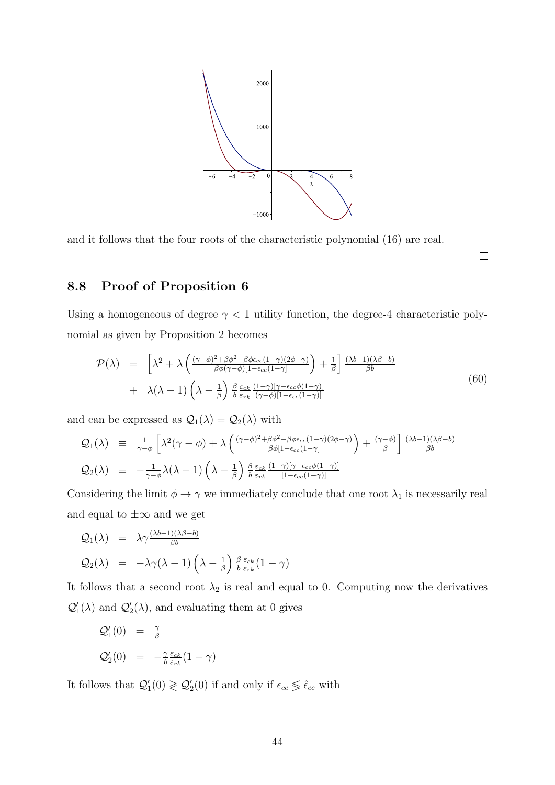

and it follows that the four roots of the characteristic polynomial (16) are real.

 $\Box$ 

## 8.8 Proof of Proposition 6

Using a homogeneous of degree  $\gamma$  < 1 utility function, the degree-4 characteristic polynomial as given by Proposition 2 becomes

$$
\mathcal{P}(\lambda) = \left[ \lambda^2 + \lambda \left( \frac{(\gamma - \phi)^2 + \beta \phi^2 - \beta \phi \epsilon_{cc} (1 - \gamma)(2\phi - \gamma)}{\beta \phi (\gamma - \phi)[1 - \epsilon_{cc} (1 - \gamma)]} \right) + \frac{1}{\beta} \right] \frac{(\lambda b - 1)(\lambda \beta - b)}{\beta b} \n+ \lambda(\lambda - 1) \left( \lambda - \frac{1}{\beta} \right) \frac{\beta}{b} \frac{\epsilon_{ck}}{\epsilon_{rk}} \frac{(1 - \gamma)[\gamma - \epsilon_{cc} \phi (1 - \gamma)]}{(\gamma - \phi)[1 - \epsilon_{cc} (1 - \gamma)]}
$$
\n(60)

and can be expressed as  $\mathcal{Q}_1(\lambda)=\mathcal{Q}_2(\lambda)$  with

$$
Q_1(\lambda) \equiv \frac{1}{\gamma - \phi} \left[ \lambda^2 (\gamma - \phi) + \lambda \left( \frac{(\gamma - \phi)^2 + \beta \phi^2 - \beta \phi \epsilon_{cc} (1 - \gamma)(2\phi - \gamma)}{\beta \phi [1 - \epsilon_{cc} (1 - \gamma)]} \right) + \frac{(\gamma - \phi)}{\beta} \right] \frac{(\lambda b - 1)(\lambda \beta - b)}{\beta b}
$$
  

$$
Q_2(\lambda) \equiv -\frac{1}{\gamma - \phi} \lambda (\lambda - 1) \left( \lambda - \frac{1}{\beta} \right) \frac{\beta}{b} \frac{\epsilon_{ck}}{\epsilon_{rk}} \frac{(1 - \gamma)[\gamma - \epsilon_{cc} \phi (1 - \gamma)]}{[1 - \epsilon_{cc} (1 - \gamma)]}
$$

Considering the limit  $\phi \to \gamma$  we immediately conclude that one root  $\lambda_1$  is necessarily real and equal to  $\pm\infty$  and we get

$$
Q_1(\lambda) = \lambda \gamma \frac{(\lambda b - 1)(\lambda \beta - b)}{\beta b}
$$
  

$$
Q_2(\lambda) = -\lambda \gamma (\lambda - 1) \left(\lambda - \frac{1}{\beta}\right) \frac{\beta \varepsilon_{ck}}{b} (1 - \gamma)
$$

It follows that a second root  $\lambda_2$  is real and equal to 0. Computing now the derivatives  $\mathcal{Q}'_1(\lambda)$  and  $\mathcal{Q}'_2(\lambda)$ , and evaluating them at 0 gives

$$
\begin{array}{rcl}\n\mathcal{Q}'_1(0) & = & \frac{\gamma}{\beta} \\
\mathcal{Q}'_2(0) & = & -\frac{\gamma}{b} \frac{\varepsilon_{ck}}{\varepsilon_{rk}} (1 - \gamma)\n\end{array}
$$

It follows that  $Q'_1(0) \geq Q'_2(0)$  if and only if  $\epsilon_{cc} \leq \hat{\epsilon}_{cc}$  with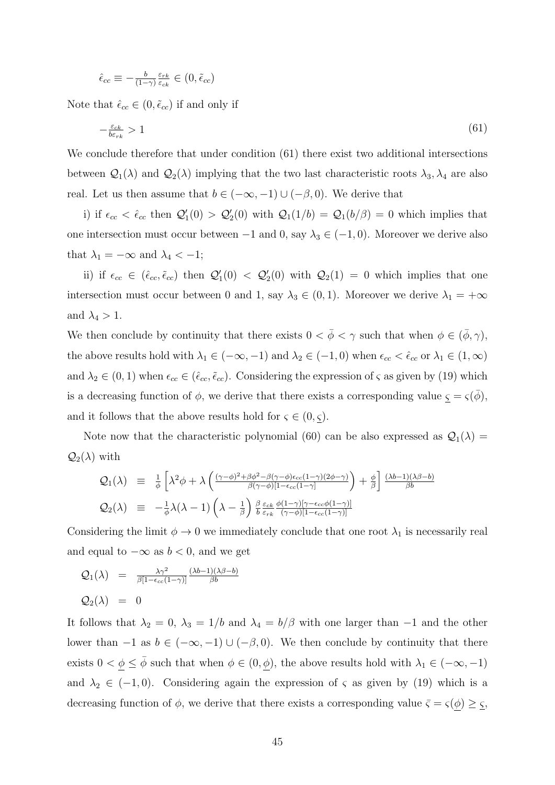$$
\hat{\epsilon}_{cc} \equiv -\tfrac{b}{(1-\gamma)} \tfrac{\varepsilon_{rk}}{\varepsilon_{ck}} \in (0,\tilde{\epsilon}_{cc})
$$

Note that  $\hat{\epsilon}_{cc} \in (0, \tilde{\epsilon}_{cc})$  if and only if

$$
-\frac{\varepsilon_{ck}}{b\varepsilon_{rk}} > 1\tag{61}
$$

We conclude therefore that under condition  $(61)$  there exist two additional intersections between  $\mathcal{Q}_1(\lambda)$  and  $\mathcal{Q}_2(\lambda)$  implying that the two last characteristic roots  $\lambda_3, \lambda_4$  are also real. Let us then assume that  $b \in (-\infty, -1) \cup (-\beta, 0)$ . We derive that

i) if  $\epsilon_{cc} < \hat{\epsilon}_{cc}$  then  $\mathcal{Q}'_1(0) > \mathcal{Q}'_2(0)$  with  $\mathcal{Q}_1(1/b) = \mathcal{Q}_1(b/\beta) = 0$  which implies that one intersection must occur between  $-1$  and 0, say  $\lambda_3 \in (-1,0)$ . Moreover we derive also that  $\lambda_1 = -\infty$  and  $\lambda_4 < -1$ ;

ii) if  $\epsilon_{cc} \in (\hat{\epsilon}_{cc}, \tilde{\epsilon}_{cc})$  then  $\mathcal{Q}'_1(0) < \mathcal{Q}'_2(0)$  with  $\mathcal{Q}_2(1) = 0$  which implies that one intersection must occur between 0 and 1, say  $\lambda_3 \in (0,1)$ . Moreover we derive  $\lambda_1 = +\infty$ and  $\lambda_4 > 1$ .

We then conclude by continuity that there exists  $0 < \bar{\phi} < \gamma$  such that when  $\phi \in (\bar{\phi}, \gamma)$ , the above results hold with  $\lambda_1 \in (-\infty, -1)$  and  $\lambda_2 \in (-1, 0)$  when  $\epsilon_{cc} < \hat{\epsilon}_{cc}$  or  $\lambda_1 \in (1, \infty)$ and  $\lambda_2 \in (0, 1)$  when  $\epsilon_{cc} \in (\hat{\epsilon}_{cc}, \tilde{\epsilon}_{cc})$ . Considering the expression of  $\varsigma$  as given by (19) which is a decreasing function of  $\phi$ , we derive that there exists a corresponding value  $\underline{\varsigma} = \varsigma(\overline{\phi})$ , and it follows that the above results hold for  $\varsigma \in (0, \varsigma)$ .

Note now that the characteristic polynomial (60) can be also expressed as  $\mathcal{Q}_1(\lambda) =$  $\mathcal{Q}_2(\lambda)$  with

$$
Q_1(\lambda) \equiv \frac{1}{\phi} \left[ \lambda^2 \phi + \lambda \left( \frac{(\gamma - \phi)^2 + \beta \phi^2 - \beta (\gamma - \phi) \epsilon_{cc} (1 - \gamma)(2\phi - \gamma)}{\beta (\gamma - \phi) [1 - \epsilon_{cc} (1 - \gamma)} \right) + \frac{\phi}{\beta} \right] \frac{(\lambda b - 1)(\lambda \beta - b)}{\beta b}
$$
  

$$
Q_2(\lambda) \equiv -\frac{1}{\phi} \lambda (\lambda - 1) \left( \lambda - \frac{1}{\beta} \right) \frac{\beta}{b} \frac{\epsilon_{ck}}{\epsilon_{rk}} \frac{\phi(1 - \gamma) [\gamma - \epsilon_{cc} \phi(1 - \gamma)]}{(\gamma - \phi) [1 - \epsilon_{cc} (1 - \gamma)]}
$$

Considering the limit  $\phi \to 0$  we immediately conclude that one root  $\lambda_1$  is necessarily real and equal to  $-\infty$  as  $b < 0$ , and we get

$$
Q_1(\lambda) = \frac{\lambda \gamma^2}{\beta [1 - \epsilon_{cc}(1 - \gamma)]} \frac{(\lambda b - 1)(\lambda \beta - b)}{\beta b}
$$
  

$$
Q_2(\lambda) = 0
$$

It follows that  $\lambda_2 = 0$ ,  $\lambda_3 = 1/b$  and  $\lambda_4 = b/\beta$  with one larger than -1 and the other lower than  $-1$  as  $b \in (-\infty, -1) \cup (-\beta, 0)$ . We then conclude by continuity that there exists  $0 < \underline{\phi} \le \overline{\phi}$  such that when  $\phi \in (0, \underline{\phi})$ , the above results hold with  $\lambda_1 \in (-\infty, -1)$ and  $\lambda_2 \in (-1,0)$ . Considering again the expression of  $\varsigma$  as given by (19) which is a decreasing function of  $\phi$ , we derive that there exists a corresponding value  $\bar{\varsigma} = \varsigma(\underline{\phi}) \geq \underline{\varsigma}$ ,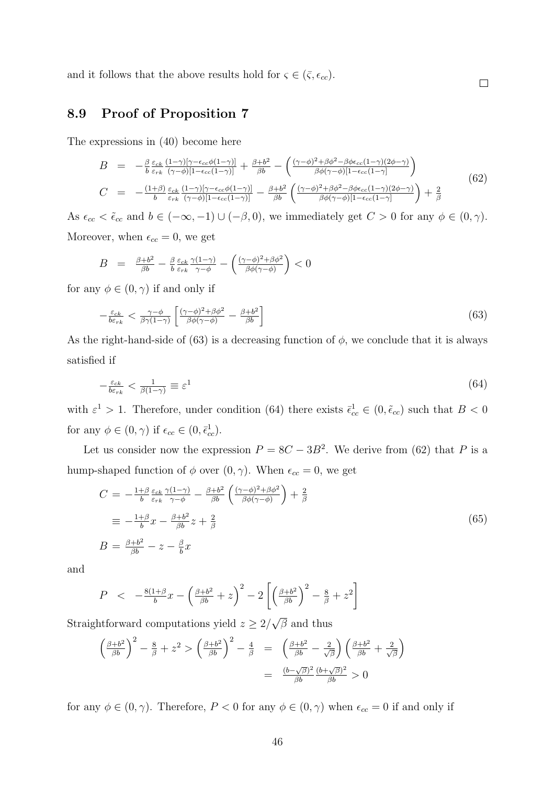and it follows that the above results hold for  $\varsigma \in (\bar{\varsigma}, \epsilon_{cc})$ .

## 8.9 Proof of Proposition 7

The expressions in (40) become here

$$
B = -\frac{\beta \epsilon_{ck}}{b} \frac{(1-\gamma)[\gamma - \epsilon_{cc}\phi(1-\gamma)]}{(\gamma - \phi)[1 - \epsilon_{cc}(1-\gamma)]} + \frac{\beta + b^2}{\beta b} - \left(\frac{(\gamma - \phi)^2 + \beta\phi^2 - \beta\phi\epsilon_{cc}(1-\gamma)(2\phi-\gamma)}{\beta\phi(\gamma - \phi)[1 - \epsilon_{cc}(1-\gamma)]}\right)
$$
  
\n
$$
C = -\frac{(1+\beta) \epsilon_{ck}}{b} \frac{(1-\gamma)[\gamma - \epsilon_{cc}\phi(1-\gamma)]}{(\gamma - \phi)[1 - \epsilon_{cc}(1-\gamma)]} - \frac{\beta + b^2}{\beta b} \left(\frac{(\gamma - \phi)^2 + \beta\phi^2 - \beta\phi\epsilon_{cc}(1-\gamma)(2\phi-\gamma)}{\beta\phi(\gamma - \phi)[1 - \epsilon_{cc}(1-\gamma)]}\right) + \frac{2}{\beta}
$$
\n(62)

 $\Box$ 

As  $\epsilon_{cc} < \tilde{\epsilon}_{cc}$  and  $b \in (-\infty, -1) \cup (-\beta, 0)$ , we immediately get  $C > 0$  for any  $\phi \in (0, \gamma)$ . Moreover, when  $\epsilon_{cc} = 0$ , we get

$$
B = \frac{\beta + b^2}{\beta b} - \frac{\beta}{b} \frac{\varepsilon_{ck}}{\varepsilon_{rk}} \frac{\gamma(1-\gamma)}{\gamma - \phi} - \left(\frac{(\gamma - \phi)^2 + \beta \phi^2}{\beta \phi(\gamma - \phi)}\right) < 0
$$

for any  $\phi \in (0, \gamma)$  if and only if

$$
-\frac{\varepsilon_{ck}}{b\varepsilon_{rk}} < \frac{\gamma - \phi}{\beta\gamma(1-\gamma)} \left[ \frac{(\gamma - \phi)^2 + \beta\phi^2}{\beta\phi(\gamma - \phi)} - \frac{\beta + b^2}{\beta b} \right] \tag{63}
$$

As the right-hand-side of (63) is a decreasing function of  $\phi$ , we conclude that it is always satisfied if

$$
-\frac{\varepsilon_{ck}}{b\varepsilon_{rk}} < \frac{1}{\beta(1-\gamma)} \equiv \varepsilon^1 \tag{64}
$$

with  $\varepsilon^1 > 1$ . Therefore, under condition (64) there exists  $\bar{\epsilon}_{cc}^1 \in (0, \tilde{\epsilon}_{cc})$  such that  $B < 0$ for any  $\phi \in (0, \gamma)$  if  $\epsilon_{cc} \in (0, \bar{\epsilon}_{cc}^1)$ .

Let us consider now the expression  $P = 8C - 3B^2$ . We derive from (62) that P is a hump-shaped function of  $\phi$  over  $(0, \gamma)$ . When  $\epsilon_{cc} = 0$ , we get

$$
C = -\frac{1+\beta}{b} \frac{\varepsilon_{ck}}{\varepsilon_{rk}} \frac{\gamma(1-\gamma)}{\gamma-\phi} - \frac{\beta+b^2}{\beta b} \left( \frac{(\gamma-\phi)^2 + \beta\phi^2}{\beta\phi(\gamma-\phi)} \right) + \frac{2}{\beta}
$$
  

$$
\equiv -\frac{1+\beta}{b}x - \frac{\beta+b^2}{\beta b}z + \frac{2}{\beta}
$$
  

$$
B = \frac{\beta+b^2}{\beta b} - z - \frac{\beta}{b}x
$$
 (65)

and

$$
P \quad < \quad -\frac{8(1+\beta)}{b}x - \left(\frac{\beta+b^2}{\beta b} + z\right)^2 - 2\left[\left(\frac{\beta+b^2}{\beta b}\right)^2 - \frac{8}{\beta} + z^2\right]
$$

Straightforward computations yield  $z \geq 2/$  $\beta$  and thus

$$
\left(\frac{\beta+b^2}{\beta b}\right)^2 - \frac{8}{\beta} + z^2 > \left(\frac{\beta+b^2}{\beta b}\right)^2 - \frac{4}{\beta} = \left(\frac{\beta+b^2}{\beta b} - \frac{2}{\sqrt{\beta}}\right) \left(\frac{\beta+b^2}{\beta b} + \frac{2}{\sqrt{\beta}}\right)
$$

$$
= \frac{(b-\sqrt{\beta})^2}{\beta b} \frac{(b+\sqrt{\beta})^2}{\beta b} > 0
$$

for any  $\phi \in (0, \gamma)$ . Therefore,  $P < 0$  for any  $\phi \in (0, \gamma)$  when  $\epsilon_{cc} = 0$  if and only if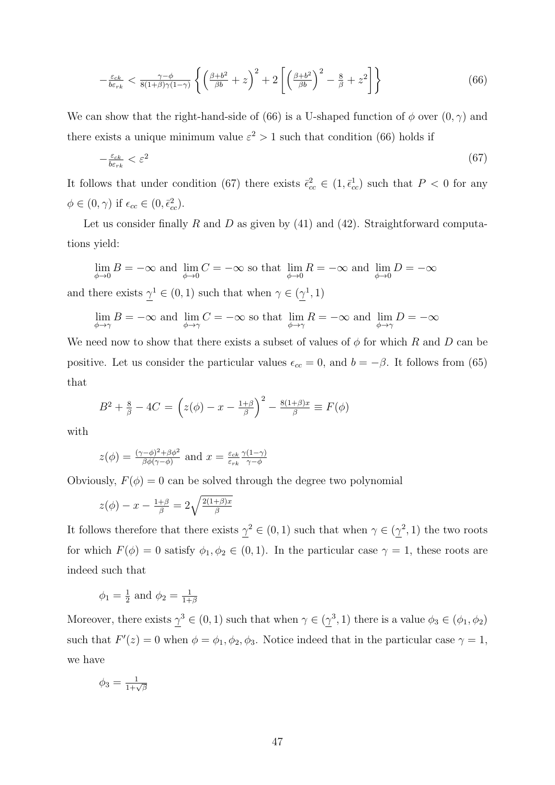$$
-\frac{\varepsilon_{ck}}{b\varepsilon_{rk}} < \frac{\gamma - \phi}{8(1+\beta)\gamma(1-\gamma)} \left\{ \left(\frac{\beta + b^2}{\beta b} + z\right)^2 + 2\left[ \left(\frac{\beta + b^2}{\beta b}\right)^2 - \frac{8}{\beta} + z^2 \right] \right\} \tag{66}
$$

We can show that the right-hand-side of (66) is a U-shaped function of  $\phi$  over  $(0, \gamma)$  and there exists a unique minimum value  $\varepsilon^2 > 1$  such that condition (66) holds if

$$
-\frac{\varepsilon_{ck}}{b\varepsilon_{rk}} < \varepsilon^2 \tag{67}
$$

It follows that under condition (67) there exists  $\bar{\epsilon}_{cc}^2 \in (1, \bar{\epsilon}_{cc}^1)$  such that  $P < 0$  for any  $\phi \in (0, \gamma)$  if  $\epsilon_{cc} \in (0, \bar{\epsilon}_{cc}^2)$ .

Let us consider finally R and D as given by  $(41)$  and  $(42)$ . Straightforward computations yield:

$$
\lim_{\phi \to 0} B = -\infty \text{ and } \lim_{\phi \to 0} C = -\infty \text{ so that } \lim_{\phi \to 0} R = -\infty \text{ and } \lim_{\phi \to 0} D = -\infty
$$
  
and there exists  $\gamma^1 \in (0, 1)$  such that when  $\gamma \in (\gamma^1, 1)$ 

 $\lim_{\phi \to \gamma} B = -\infty$  and  $\lim_{\phi \to \gamma} C = -\infty$  so that  $\lim_{\phi \to \gamma} R = -\infty$  and  $\lim_{\phi \to \gamma} D = -\infty$ 

We need now to show that there exists a subset of values of  $\phi$  for which R and D can be positive. Let us consider the particular values  $\epsilon_{cc} = 0$ , and  $b = -\beta$ . It follows from (65) that

$$
B^{2} + \frac{8}{\beta} - 4C = \left(z(\phi) - x - \frac{1+\beta}{\beta}\right)^{2} - \frac{8(1+\beta)x}{\beta} \equiv F(\phi)
$$

with

$$
z(\phi) = \frac{(\gamma - \phi)^2 + \beta \phi^2}{\beta \phi(\gamma - \phi)}
$$
 and  $x = \frac{\varepsilon_{ck}}{\varepsilon_{rk}} \frac{\gamma(1 - \gamma)}{\gamma - \phi}$ 

Obviously,  $F(\phi) = 0$  can be solved through the degree two polynomial

$$
z(\phi) - x - \frac{1+\beta}{\beta} = 2\sqrt{\frac{2(1+\beta)x}{\beta}}
$$

It follows therefore that there exists  $\gamma^2 \in (0,1)$  such that when  $\gamma \in (\gamma^2,1)$  the two roots for which  $F(\phi) = 0$  satisfy  $\phi_1, \phi_2 \in (0, 1)$ . In the particular case  $\gamma = 1$ , these roots are indeed such that

$$
\phi_1 = \frac{1}{2}
$$
 and  $\phi_2 = \frac{1}{1+\beta}$ 

Moreover, there exists  $\gamma^3 \in (0,1)$  such that when  $\gamma \in (\gamma^3,1)$  there is a value  $\phi_3 \in (\phi_1, \phi_2)$ such that  $F'(z) = 0$  when  $\phi = \phi_1, \phi_2, \phi_3$ . Notice indeed that in the particular case  $\gamma = 1$ , we have

$$
\phi_3 = \frac{1}{1+\sqrt{\beta}}
$$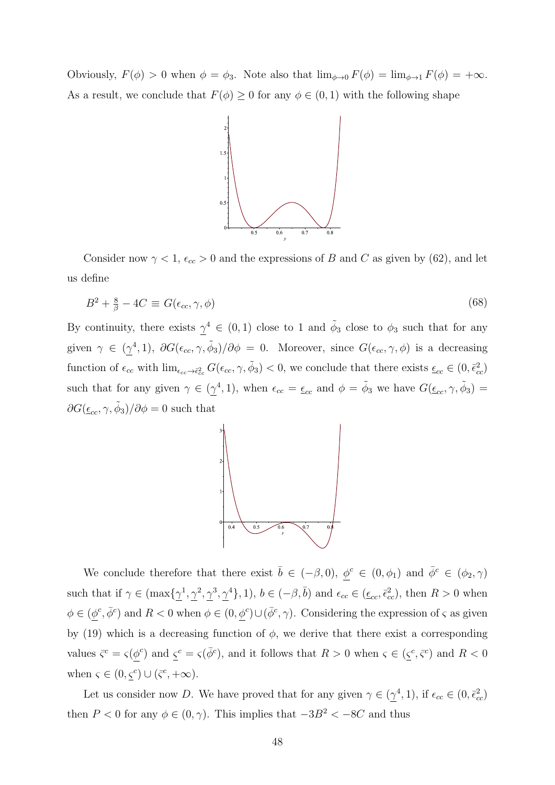Obviously,  $F(\phi) > 0$  when  $\phi = \phi_3$ . Note also that  $\lim_{\phi \to 0} F(\phi) = \lim_{\phi \to 1} F(\phi) = +\infty$ . As a result, we conclude that  $F(\phi) \geq 0$  for any  $\phi \in (0,1)$  with the following shape



Consider now  $\gamma < 1$ ,  $\epsilon_{cc} > 0$  and the expressions of B and C as given by (62), and let us define

$$
B^2 + \frac{8}{\beta} - 4C \equiv G(\epsilon_{cc}, \gamma, \phi) \tag{68}
$$

By continuity, there exists  $\gamma^4 \in (0,1)$  close to 1 and  $\tilde{\phi}_3$  close to  $\phi_3$  such that for any given  $\gamma \in (\gamma^4, 1), \ \partial G(\epsilon_{cc}, \gamma, \tilde{\phi}_3)/\partial \phi = 0$ . Moreover, since  $G(\epsilon_{cc}, \gamma, \phi)$  is a decreasing function of  $\epsilon_{cc}$  with  $\lim_{\epsilon_{cc}\to\bar{\epsilon}_{cc}^2} G(\epsilon_{cc}, \gamma, \tilde{\phi}_3) < 0$ , we conclude that there exists  $\underline{\epsilon}_{cc} \in (0, \bar{\epsilon}_{cc}^2)$ such that for any given  $\gamma \in (\gamma^4, 1)$ , when  $\epsilon_{cc} = \epsilon_{cc}$  and  $\phi = \tilde{\phi}_3$  we have  $G(\epsilon_{cc}, \gamma, \tilde{\phi}_3)$  $\partial G(\underline{\epsilon}_{cc}, \gamma, \tilde{\phi}_3)/\partial \phi = 0$  such that



We conclude therefore that there exist  $\bar{b} \in (-\beta, 0), \ \phi^c \in (0, \phi_1)$  and  $\bar{\phi}^c \in (\phi_2, \gamma)$ such that if  $\gamma \in (\max{\{\gamma^1, \gamma^2, \gamma^3, \gamma^4\}}, 1)$ ,  $b \in (-\beta, \bar{b})$  and  $\epsilon_{cc} \in (\underline{\epsilon_{cc}}, \bar{\epsilon}_{cc}^2)$ , then  $R > 0$  when  $\phi \in (\phi^c, \bar{\phi}^c)$  and  $R < 0$  when  $\phi \in (0, \phi^c) \cup (\bar{\phi}^c, \gamma)$ . Considering the expression of  $\varsigma$  as given by (19) which is a decreasing function of  $\phi$ , we derive that there exist a corresponding values  $\bar{\zeta}^c = \zeta(\phi^c)$  and  $\zeta^c = \zeta(\bar{\phi}^c)$ , and it follows that  $R > 0$  when  $\zeta \in (\zeta^c, \bar{\zeta}^c)$  and  $R < 0$ when  $\varsigma \in (0, \varsigma^c) \cup (\bar{\varsigma}^c, +\infty)$ .

Let us consider now D. We have proved that for any given  $\gamma \in (\gamma^4, 1)$ , if  $\epsilon_{cc} \in (0, \bar{\epsilon}_{cc}^2)$ then P < 0 for any  $\phi \in (0, \gamma)$ . This implies that  $-3B^2 < -8C$  and thus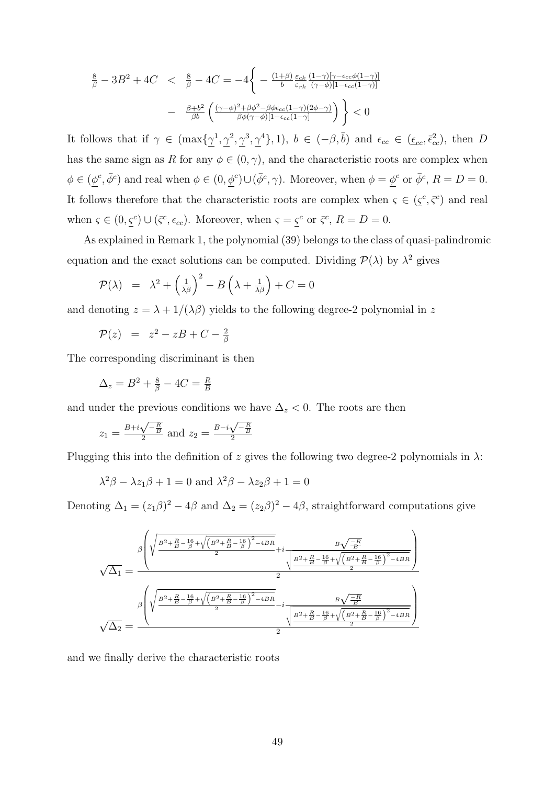$$
\frac{8}{\beta} - 3B^2 + 4C < \frac{8}{\beta} - 4C = -4 \left\{ -\frac{(1+\beta)\epsilon_{ck}}{b} \frac{\epsilon_{ck}}{\epsilon_{rk}} \frac{(1-\gamma)[\gamma - \epsilon_{cc}\phi(1-\gamma)]}{(\gamma - \phi)[1 - \epsilon_{cc}(1-\gamma)]} - \frac{\beta + b^2}{\beta b} \left( \frac{(\gamma - \phi)^2 + \beta\phi^2 - \beta\phi\epsilon_{cc}(1-\gamma)(2\phi - \gamma)}{\beta\phi(\gamma - \phi)[1 - \epsilon_{cc}(1-\gamma)]} \right) \right\} < 0
$$

It follows that if  $\gamma \in (\max{\{\gamma^1, \gamma^2, \gamma^3, \gamma^4\}}, 1)$ ,  $b \in (-\beta, \bar{b})$  and  $\epsilon_{cc} \in (\epsilon_{cc}, \bar{\epsilon}_{cc}^2)$ , then D has the same sign as R for any  $\phi \in (0, \gamma)$ , and the characteristic roots are complex when  $\phi \in (\phi^c, \bar{\phi}^c)$  and real when  $\phi \in (0, \phi^c) \cup (\bar{\phi}^c, \gamma)$ . Moreover, when  $\phi = \phi^c$  or  $\bar{\phi}^c$ ,  $R = D = 0$ . It follows therefore that the characteristic roots are complex when  $\zeta \in (\zeta^c, \overline{\zeta}^c)$  and real when  $\varsigma \in (0, \underline{\varsigma}^c) \cup (\overline{\varsigma}^c, \epsilon_{cc})$ . Moreover, when  $\varsigma = \underline{\varsigma}^c$  or  $\overline{\varsigma}^c$ ,  $R = D = 0$ .

As explained in Remark 1, the polynomial (39) belongs to the class of quasi-palindromic equation and the exact solutions can be computed. Dividing  $\mathcal{P}(\lambda)$  by  $\lambda^2$  gives

$$
\mathcal{P}(\lambda) = \lambda^2 + \left(\frac{1}{\lambda \beta}\right)^2 - B\left(\lambda + \frac{1}{\lambda \beta}\right) + C = 0
$$

and denoting  $z = \lambda + 1/(\lambda \beta)$  yields to the following degree-2 polynomial in z

$$
\mathcal{P}(z) = z^2 - zB + C - \frac{2}{\beta}
$$

The corresponding discriminant is then

$$
\Delta_z = B^2 + \frac{8}{\beta} - 4C = \frac{R}{B}
$$

and under the previous conditions we have  $\Delta_z < 0$ . The roots are then

$$
z_1 = \frac{B + i\sqrt{-\frac{R}{B}}}{2}
$$
 and  $z_2 = \frac{B - i\sqrt{-\frac{R}{B}}}{2}$ 

Plugging this into the definition of z gives the following two degree-2 polynomials in  $\lambda$ :

$$
\lambda^2 \beta - \lambda z_1 \beta + 1 = 0
$$
 and 
$$
\lambda^2 \beta - \lambda z_2 \beta + 1 = 0
$$

Denoting  $\Delta_1 = (z_1\beta)^2 - 4\beta$  and  $\Delta_2 = (z_2\beta)^2 - 4\beta$ , straightforward computations give

$$
\sqrt{\Delta_1} = \frac{\beta \left( \sqrt{\frac{B^2 + \frac{R}{B} - \frac{16}{\beta} + \sqrt{\left(B^2 + \frac{R}{B} - \frac{16}{\beta}\right)^2 - 4BR}}{2}} + i \frac{B \sqrt{\frac{-R}{B}}}{\sqrt{\frac{B^2 + \frac{R}{B} - \frac{16}{\beta} + \sqrt{\left(B^2 + \frac{R}{B} - \frac{16}{\beta}\right)^2 - 4BR}{2}}{2}}}\right)}{\frac{\beta \left( \sqrt{\frac{B^2 + \frac{R}{B} - \frac{16}{\beta} + \sqrt{\left(B^2 + \frac{R}{B} - \frac{16}{\beta}\right)^2 - 4BR}}{2}} - i \frac{B \sqrt{\frac{-R}{B}}}{\sqrt{\frac{B^2 + \frac{R}{B} - \frac{16}{\beta} + \sqrt{\left(B^2 + \frac{R}{B} - \frac{16}{\beta}\right)^2 - 4BR}{2}}}}{2}}\right)}}{\frac{\beta \left( \sqrt{\frac{B^2 + \frac{R}{B} - \frac{16}{\beta} + \sqrt{\left(B^2 + \frac{R}{B} - \frac{16}{\beta}\right)^2 - 4BR}}{2}}\right)}{\frac{\beta \left( \sqrt{\frac{B^2 + \frac{R}{B} - \frac{16}{\beta} + \sqrt{\left(B^2 + \frac{R}{B} - \frac{16}{\beta}\right)^2 - 4BR}}{2}}\right)}}{\frac{\beta \left( \sqrt{\frac{B^2 + \frac{R}{B} - \frac{16}{\beta} + \sqrt{\left(B^2 + \frac{R}{B} - \frac{16}{\beta}\right)^2 - 4BR}}{2}}\right)}}{\frac{\beta \left( \sqrt{\frac{B^2 + \frac{R}{B} - \frac{16}{\beta} + \sqrt{\left(B^2 + \frac{R}{B} - \frac{16}{\beta}\right)^2 - 4BR}}{2}}\right)}}{\frac{\beta \left( \sqrt{\frac{B^2 + \frac{R}{B} - \frac{16}{\beta} + \sqrt{\left(B^2 + \frac{R}{B} - \frac{16}{\beta}\right)^2 - 4BR}}{2}}\right)}}{\frac{\beta \left( \sqrt{\frac{B^2 + \frac{R}{B} - \frac{16}{\beta} + \sqrt{\left(B^2 + \frac{R}{B} - \frac{16}{\beta}\right)^2 - 4BR}}{2}}\right)}}{\frac{\beta \
$$

and we finally derive the characteristic roots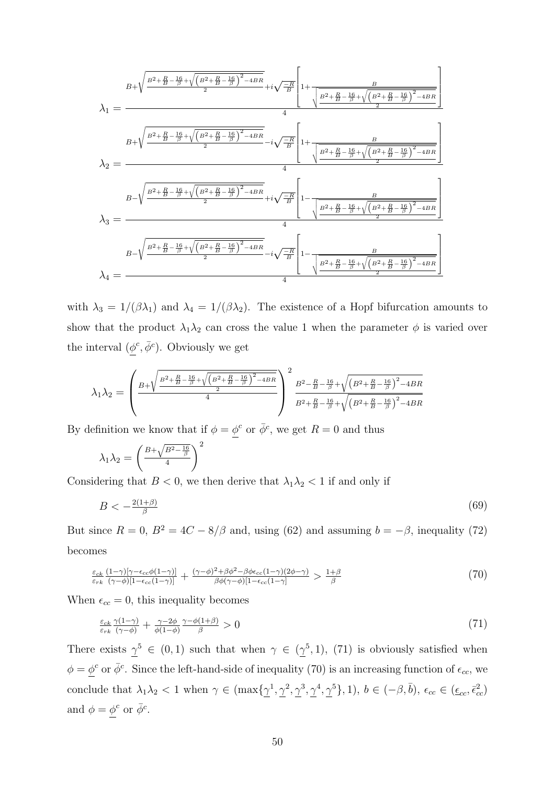$$
\lambda_{1} = \frac{B + \sqrt{\frac{B^{2} + \frac{R}{B} - \frac{16}{\beta} + \sqrt{\left(B^{2} + \frac{R}{B} - \frac{16}{\beta}\right)^{2} - 4BR}{2}}} + i\sqrt{\frac{-R}{B}} \left[1 + \frac{B}{\sqrt{\frac{B^{2} + \frac{R}{B} - \frac{16}{\beta} + \sqrt{\left(B^{2} + \frac{R}{B} - \frac{16}{\beta}\right)^{2} - 4BR}{2}}}}{4}\right]
$$
\n
$$
\lambda_{2} = \frac{B + \sqrt{\frac{B^{2} + \frac{R}{B} - \frac{16}{\beta} + \sqrt{\left(B^{2} + \frac{R}{B} - \frac{16}{\beta}\right)^{2} - 4BR}{2}}} - i\sqrt{\frac{-R}{B}} \left[1 + \frac{B}{\sqrt{\frac{B^{2} + \frac{R}{B} - \frac{16}{\beta} + \sqrt{\left(B^{2} + \frac{R}{B} - \frac{16}{\beta}\right)^{2} - 4BR}{2}}}}{4}\right]
$$
\n
$$
\lambda_{3} = \frac{B - \sqrt{\frac{B^{2} + \frac{R}{B} - \frac{16}{\beta} + \sqrt{\left(B^{2} + \frac{R}{B} - \frac{16}{\beta}\right)^{2} - 4BR}{2}}} + i\sqrt{\frac{-R}{B}} \left[1 - \frac{B}{\sqrt{\frac{B^{2} + \frac{R}{B} - \frac{16}{\beta} + \sqrt{\left(B^{2} + \frac{R}{B} - \frac{16}{\beta}\right)^{2} - 4BR}{2}}}}{4}\right]
$$
\n
$$
\lambda_{4} = \frac{B - \sqrt{\frac{B^{2} + \frac{R}{B} - \frac{16}{\beta} + \sqrt{\left(B^{2} + \frac{R}{B} - \frac{16}{\beta}\right)^{2} - 4BR}{2}}} - i\sqrt{\frac{-R}{B}} \left[1 - \frac{B}{\sqrt{\frac{B^{2} + \frac{R}{B} - \frac{16}{\beta} + \sqrt{\left(B^{2} + \frac{R}{B} - \frac{16}{\beta}\right)^{2} - 4BR}{2}}}}{4}\right]
$$

with  $\lambda_3 = 1/(\beta \lambda_1)$  and  $\lambda_4 = 1/(\beta \lambda_2)$ . The existence of a Hopf bifurcation amounts to show that the product  $\lambda_1 \lambda_2$  can cross the value 1 when the parameter  $\phi$  is varied over the interval  $(\phi^c, \bar{\phi}^c)$ . Obviously we get

$$
\lambda_1 \lambda_2 = \left(\frac{B + \sqrt{\frac{B^2 + \frac{R}{B} - \frac{16}{\beta} + \sqrt{\left(B^2 + \frac{R}{B} - \frac{16}{\beta}\right)^2 - 4BR}{2}}}{4}\right)^2 \frac{B^2 - \frac{R}{B} - \frac{16}{\beta} + \sqrt{\left(B^2 + \frac{R}{B} - \frac{16}{\beta}\right)^2 - 4BR}{B^2 + \frac{R}{B} - \frac{16}{\beta} + \sqrt{\left(B^2 + \frac{R}{B} - \frac{16}{\beta}\right)^2 - 4BR}}
$$

By definition we know that if  $\phi = \phi^c$  or  $\bar{\phi}^c$ , we get  $R = 0$  and thus

$$
\lambda_1 \lambda_2 = \left(\frac{B + \sqrt{B^2 - \frac{16}{\beta}}}{4}\right)^2
$$

Considering that  $B < 0$ , we then derive that  $\lambda_1 \lambda_2 < 1$  if and only if

$$
B < -\frac{2(1+\beta)}{\beta} \tag{69}
$$

But since  $R = 0$ ,  $B^2 = 4C - 8/\beta$  and, using (62) and assuming  $b = -\beta$ , inequality (72) becomes

$$
\frac{\varepsilon_{ck}}{\varepsilon_{rk}} \frac{(1-\gamma)[\gamma-\varepsilon_{cc}\phi(1-\gamma)]}{(\gamma-\phi)[1-\varepsilon_{cc}(1-\gamma)]} + \frac{(\gamma-\phi)^2 + \beta\phi^2 - \beta\phi\varepsilon_{cc}(1-\gamma)(2\phi-\gamma)}{\beta\phi(\gamma-\phi)[1-\varepsilon_{cc}(1-\gamma)]} > \frac{1+\beta}{\beta}
$$
\n(70)

When  $\epsilon_{cc} = 0$ , this inequality becomes

$$
\frac{\varepsilon_{ck}}{\varepsilon_{rk}} \frac{\gamma(1-\gamma)}{(\gamma-\phi)} + \frac{\gamma-2\phi}{\phi(1-\phi)} \frac{\gamma-\phi(1+\beta)}{\beta} > 0
$$
\n
$$
\tag{71}
$$

There exists  $\gamma^5 \in (0,1)$  such that when  $\gamma \in (\gamma^5,1)$ , (71) is obviously satisfied when  $\phi = \phi^c$  or  $\bar{\phi}^c$ . Since the left-hand-side of inequality (70) is an increasing function of  $\epsilon_{cc}$ , we conclude that  $\lambda_1 \lambda_2 < 1$  when  $\gamma \in (\max{\{\gamma^1, \gamma^2, \gamma^3, \gamma^4, \gamma^5\}}, 1)$ ,  $b \in (-\beta, \bar{b})$ ,  $\epsilon_{cc} \in (\underline{\epsilon}_{cc}, \bar{\epsilon}_{cc}^2)$ and  $\phi = \phi^c$  or  $\bar{\phi}^c$ .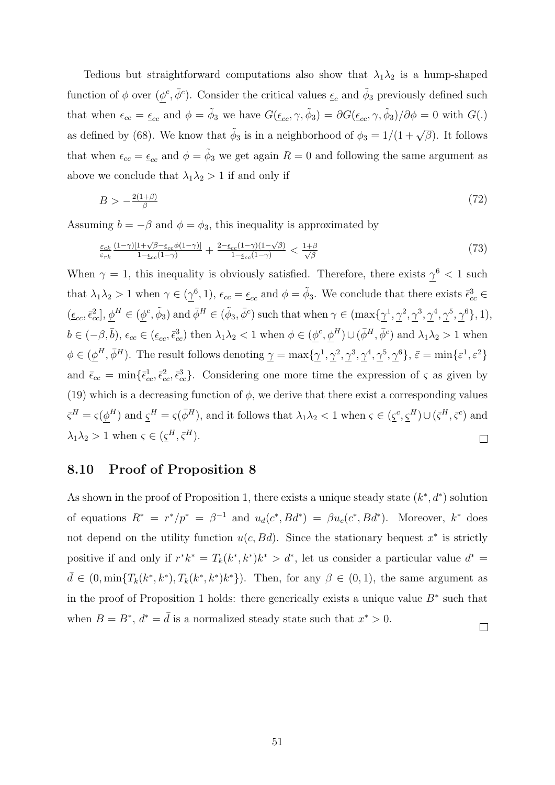Tedious but straightforward computations also show that  $\lambda_1 \lambda_2$  is a hump-shaped function of  $\phi$  over  $(\underline{\phi}^c, \overline{\phi}^c)$ . Consider the critical values  $\underline{\epsilon}_c$  and  $\tilde{\phi}_3$  previously defined such that when  $\epsilon_{cc} = \epsilon_{cc}$  and  $\phi = \tilde{\phi}_3$  we have  $G(\epsilon_{cc}, \gamma, \tilde{\phi}_3) = \partial G(\epsilon_{cc}, \gamma, \tilde{\phi}_3)/\partial \phi = 0$  with  $G(.)$ as defined by (68). We know that  $\tilde{\phi}_3$  is in a neighborhood of  $\phi_3 = 1/(1+\sqrt{\beta})$ . It follows that when  $\epsilon_{cc} = \epsilon_{cc}$  and  $\phi = \tilde{\phi}_3$  we get again  $R = 0$  and following the same argument as above we conclude that  $\lambda_1 \lambda_2 > 1$  if and only if

$$
B > -\frac{2(1+\beta)}{\beta} \tag{72}
$$

Assuming  $b = -\beta$  and  $\phi = \phi_3$ , this inequality is approximated by

$$
\frac{\varepsilon_{ck}}{\varepsilon_{rk}} \frac{(1-\gamma)[1+\sqrt{\beta}-\underline{\varepsilon}_{cc}\phi(1-\gamma)]}{1-\underline{\varepsilon}_{cc}(1-\gamma)} + \frac{2-\underline{\varepsilon}_{cc}(1-\gamma)(1-\sqrt{\beta})}{1-\underline{\varepsilon}_{cc}(1-\gamma)} < \frac{1+\beta}{\sqrt{\beta}} \tag{73}
$$

When  $\gamma = 1$ , this inequality is obviously satisfied. Therefore, there exists  $\gamma^6 < 1$  such that  $\lambda_1 \lambda_2 > 1$  when  $\gamma \in (\underline{\gamma}^6, 1)$ ,  $\epsilon_{cc} = \underline{\epsilon}_{cc}$  and  $\phi = \tilde{\phi}_3$ . We conclude that there exists  $\bar{\epsilon}_{cc}^3 \in$  $(\underline{\epsilon}_{cc}, \overline{\epsilon}_{cc}^2], \underline{\phi}^H \in (\underline{\phi}^c, \tilde{\phi}_3)$  and  $\overline{\phi}^H \in (\tilde{\phi}_3, \overline{\phi}^c)$  such that when  $\gamma \in (\max{\{\gamma^1, \gamma^2, \gamma^3, \gamma^4, \gamma^5, \gamma^6\}}, 1)$ ,  $b \in (-\beta, \bar{b}), \epsilon_{cc} \in (\underline{\epsilon}_{cc}, \bar{\epsilon}_{cc}^3)$  then  $\lambda_1 \lambda_2 < 1$  when  $\phi \in (\underline{\phi}^c, \underline{\phi}^H) \cup (\bar{\phi}^H, \bar{\phi}^c)$  and  $\lambda_1 \lambda_2 > 1$  when  $\phi \in (\phi^H, \bar{\phi}^H)$ . The result follows denoting  $\gamma = \max{\{\gamma^1, \gamma^2, \gamma^3, \gamma^4, \gamma^5, \gamma^6\}}$ ,  $\bar{\varepsilon} = \min{\{\varepsilon^1, \varepsilon^2\}}$ and  $\bar{\epsilon}_{cc} = \min\{\bar{\epsilon}_{cc}^1, \bar{\epsilon}_{cc}^2, \bar{\epsilon}_{cc}^3\}$ . Considering one more time the expression of  $\varsigma$  as given by (19) which is a decreasing function of  $\phi$ , we derive that there exist a corresponding values  $\bar{\zeta}^H = \zeta(\phi^H)$  and  $\underline{\zeta}^H = \zeta(\bar{\phi}^H)$ , and it follows that  $\lambda_1 \lambda_2 < 1$  when  $\zeta \in (\underline{\zeta}^c, \underline{\zeta}^H) \cup (\bar{\zeta}^H, \bar{\zeta}^c)$  and  $\lambda_1 \lambda_2 > 1$  when  $\varsigma \in (\underline{\varsigma}^H, \overline{\varsigma}^H)$ .  $\Box$ 

#### 8.10 Proof of Proposition 8

As shown in the proof of Proposition 1, there exists a unique steady state  $(k^*, d^*)$  solution of equations  $R^* = r^*/p^* = \beta^{-1}$  and  $u_d(c^*, Bd^*) = \beta u_c(c^*, Bd^*)$ . Moreover,  $k^*$  does not depend on the utility function  $u(c, Bd)$ . Since the stationary bequest  $x^*$  is strictly positive if and only if  $r^*k^* = T_k(k^*, k^*)k^* > d^*$ , let us consider a particular value  $d^* =$  $\bar{d} \in (0, \min\{T_k(k^*, k^*), T_k(k^*, k^*)\}^*)$ . Then, for any  $\beta \in (0, 1)$ , the same argument as in the proof of Proposition 1 holds: there generically exists a unique value  $B^*$  such that when  $B = B^*$ ,  $d^* = \overline{d}$  is a normalized steady state such that  $x^* > 0$ .  $\Box$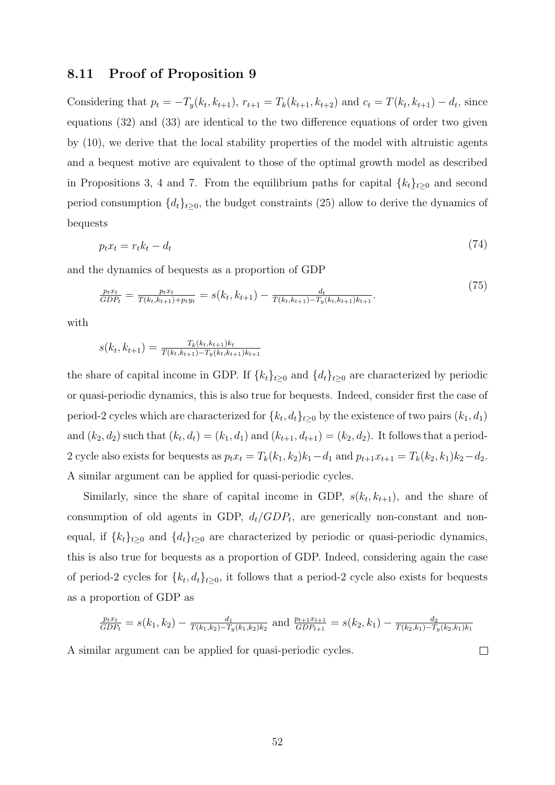#### 8.11 Proof of Proposition 9

Considering that  $p_t = -T_y(k_t, k_{t+1}), r_{t+1} = T_k(k_{t+1}, k_{t+2})$  and  $c_t = T(k_t, k_{t+1}) - d_t$ , since equations (32) and (33) are identical to the two difference equations of order two given by (10), we derive that the local stability properties of the model with altruistic agents and a bequest motive are equivalent to those of the optimal growth model as described in Propositions 3, 4 and 7. From the equilibrium paths for capital  $\{k_t\}_{t\geq 0}$  and second period consumption  $\{d_t\}_{t\geq 0}$ , the budget constraints (25) allow to derive the dynamics of bequests

$$
p_t x_t = r_t k_t - d_t \tag{74}
$$

and the dynamics of bequests as a proportion of GDP

$$
\frac{p_t x_t}{GDP_t} = \frac{p_t x_t}{T(k_t, k_{t+1}) + p_t y_t} = s(k_t, k_{t+1}) - \frac{d_t}{T(k_t, k_{t+1}) - T_y(k_t, k_{t+1})k_{t+1}}.
$$
\n(75)

with

$$
s(k_t, k_{t+1}) = \frac{T_k(k_t, k_{t+1})k_t}{T(k_t, k_{t+1}) - T_y(k_t, k_{t+1})k_{t+1}}
$$

the share of capital income in GDP. If  ${k_t}_{t\geq 0}$  and  ${d_t}_{t\geq 0}$  are characterized by periodic or quasi-periodic dynamics, this is also true for bequests. Indeed, consider first the case of period-2 cycles which are characterized for  $\{k_t, d_t\}_{t\geq 0}$  by the existence of two pairs  $(k_1, d_1)$ and  $(k_2, d_2)$  such that  $(k_t, d_t) = (k_1, d_1)$  and  $(k_{t+1}, d_{t+1}) = (k_2, d_2)$ . It follows that a period-2 cycle also exists for bequests as  $p_t x_t = T_k(k_1, k_2)k_1 - d_1$  and  $p_{t+1}x_{t+1} = T_k(k_2, k_1)k_2 - d_2$ . A similar argument can be applied for quasi-periodic cycles.

Similarly, since the share of capital income in GDP,  $s(k_t, k_{t+1})$ , and the share of consumption of old agents in GDP,  $d_t/GDP_t$ , are generically non-constant and nonequal, if  ${k_t}_{t\geq0}$  and  ${d_t}_{t\geq0}$  are characterized by periodic or quasi-periodic dynamics, this is also true for bequests as a proportion of GDP. Indeed, considering again the case of period-2 cycles for  ${k_t, d_t}_{t\geq 0}$ , it follows that a period-2 cycle also exists for bequests as a proportion of GDP as

$$
\frac{p_tx_t}{GDP_t} = s(k_1, k_2) - \frac{d_1}{T(k_1, k_2) - T_y(k_1, k_2)k_2}
$$
 and 
$$
\frac{p_{t+1}x_{t+1}}{GDP_{t+1}} = s(k_2, k_1) - \frac{d_2}{T(k_2, k_1) - T_y(k_2, k_1)k_1}
$$
ilar argument can be applied for quasi-periodic cycles.

A similar argument can be applied for quasi-periodic cycles.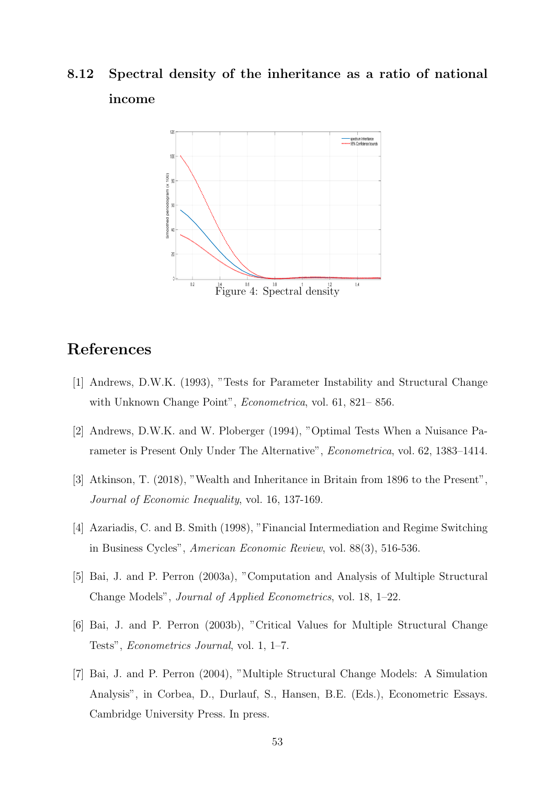# 8.12 Spectral density of the inheritance as a ratio of national income



## References

- [1] Andrews, D.W.K. (1993), "Tests for Parameter Instability and Structural Change with Unknown Change Point", Econometrica, vol. 61, 821– 856.
- [2] Andrews, D.W.K. and W. Ploberger (1994), "Optimal Tests When a Nuisance Parameter is Present Only Under The Alternative", Econometrica, vol. 62, 1383–1414.
- [3] Atkinson, T. (2018), "Wealth and Inheritance in Britain from 1896 to the Present", Journal of Economic Inequality, vol. 16, 137-169.
- [4] Azariadis, C. and B. Smith (1998), "Financial Intermediation and Regime Switching in Business Cycles", American Economic Review, vol. 88(3), 516-536.
- [5] Bai, J. and P. Perron (2003a), "Computation and Analysis of Multiple Structural Change Models", Journal of Applied Econometrics, vol. 18, 1–22.
- [6] Bai, J. and P. Perron (2003b), "Critical Values for Multiple Structural Change Tests", Econometrics Journal, vol. 1, 1–7.
- [7] Bai, J. and P. Perron (2004), "Multiple Structural Change Models: A Simulation Analysis", in Corbea, D., Durlauf, S., Hansen, B.E. (Eds.), Econometric Essays. Cambridge University Press. In press.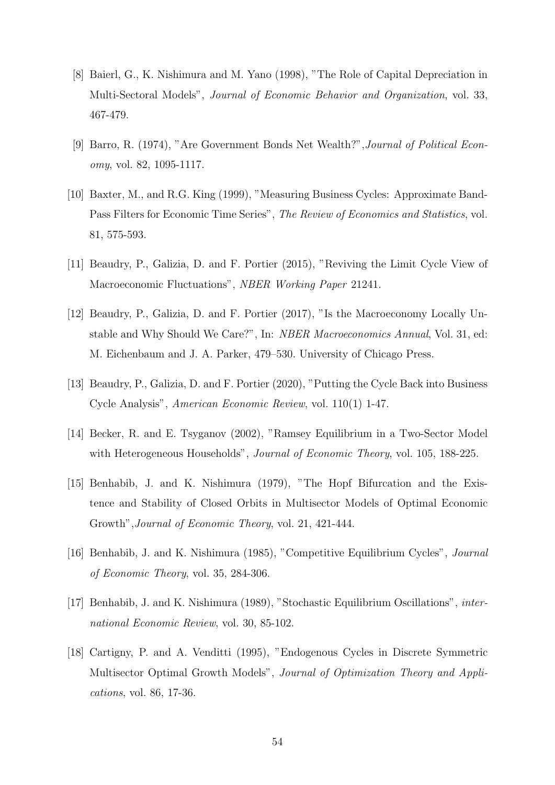- [8] Baierl, G., K. Nishimura and M. Yano (1998), "The Role of Capital Depreciation in Multi-Sectoral Models", Journal of Economic Behavior and Organization, vol. 33, 467-479.
- [9] Barro, R. (1974), "Are Government Bonds Net Wealth?",Journal of Political Economy, vol. 82, 1095-1117.
- [10] Baxter, M., and R.G. King (1999), "Measuring Business Cycles: Approximate Band-Pass Filters for Economic Time Series", The Review of Economics and Statistics, vol. 81, 575-593.
- [11] Beaudry, P., Galizia, D. and F. Portier (2015), "Reviving the Limit Cycle View of Macroeconomic Fluctuations", NBER Working Paper 21241.
- [12] Beaudry, P., Galizia, D. and F. Portier (2017), "Is the Macroeconomy Locally Unstable and Why Should We Care?", In: NBER Macroeconomics Annual, Vol. 31, ed: M. Eichenbaum and J. A. Parker, 479–530. University of Chicago Press.
- [13] Beaudry, P., Galizia, D. and F. Portier (2020), "Putting the Cycle Back into Business Cycle Analysis", American Economic Review, vol. 110(1) 1-47.
- [14] Becker, R. and E. Tsyganov (2002), "Ramsey Equilibrium in a Two-Sector Model with Heterogeneous Households", *Journal of Economic Theory*, vol. 105, 188-225.
- [15] Benhabib, J. and K. Nishimura (1979), "The Hopf Bifurcation and the Existence and Stability of Closed Orbits in Multisector Models of Optimal Economic Growth",Journal of Economic Theory, vol. 21, 421-444.
- [16] Benhabib, J. and K. Nishimura (1985), "Competitive Equilibrium Cycles", Journal of Economic Theory, vol. 35, 284-306.
- [17] Benhabib, J. and K. Nishimura (1989), "Stochastic Equilibrium Oscillations", international Economic Review, vol. 30, 85-102.
- [18] Cartigny, P. and A. Venditti (1995), "Endogenous Cycles in Discrete Symmetric Multisector Optimal Growth Models", Journal of Optimization Theory and Applications, vol. 86, 17-36.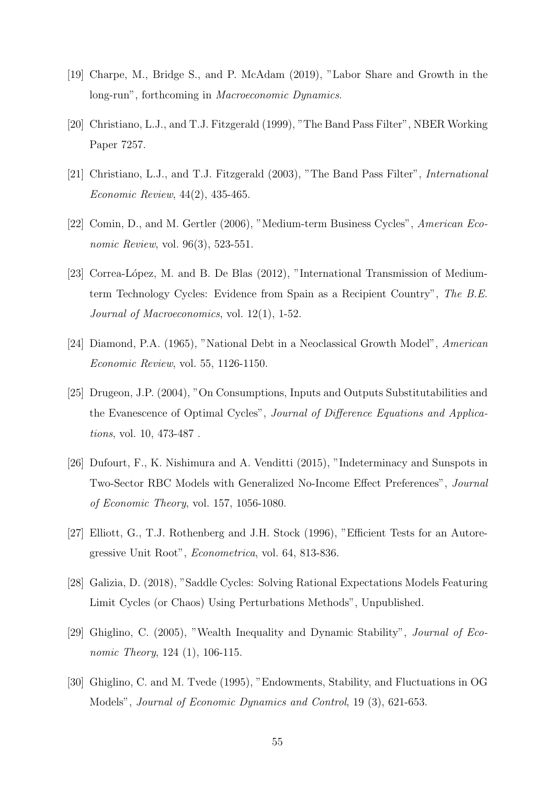- [19] Charpe, M., Bridge S., and P. McAdam (2019), "Labor Share and Growth in the long-run", forthcoming in Macroeconomic Dynamics.
- [20] Christiano, L.J., and T.J. Fitzgerald (1999), "The Band Pass Filter", NBER Working Paper 7257.
- [21] Christiano, L.J., and T.J. Fitzgerald (2003), "The Band Pass Filter", International Economic Review, 44(2), 435-465.
- [22] Comin, D., and M. Gertler (2006), "Medium-term Business Cycles", American Economic Review, vol. 96(3), 523-551.
- [23] Correa-López, M. and B. De Blas (2012), "International Transmission of Mediumterm Technology Cycles: Evidence from Spain as a Recipient Country", The B.E. Journal of Macroeconomics, vol. 12(1), 1-52.
- [24] Diamond, P.A. (1965), "National Debt in a Neoclassical Growth Model", American Economic Review, vol. 55, 1126-1150.
- [25] Drugeon, J.P. (2004), "On Consumptions, Inputs and Outputs Substitutabilities and the Evanescence of Optimal Cycles", Journal of Difference Equations and Applications, vol. 10, 473-487 .
- [26] Dufourt, F., K. Nishimura and A. Venditti (2015), "Indeterminacy and Sunspots in Two-Sector RBC Models with Generalized No-Income Effect Preferences", Journal of Economic Theory, vol. 157, 1056-1080.
- [27] Elliott, G., T.J. Rothenberg and J.H. Stock (1996), "Efficient Tests for an Autoregressive Unit Root", Econometrica, vol. 64, 813-836.
- [28] Galizia, D. (2018), "Saddle Cycles: Solving Rational Expectations Models Featuring Limit Cycles (or Chaos) Using Perturbations Methods", Unpublished.
- [29] Ghiglino, C. (2005), "Wealth Inequality and Dynamic Stability", Journal of Economic Theory, 124 (1), 106-115.
- [30] Ghiglino, C. and M. Tvede (1995), "Endowments, Stability, and Fluctuations in OG Models", Journal of Economic Dynamics and Control, 19 (3), 621-653.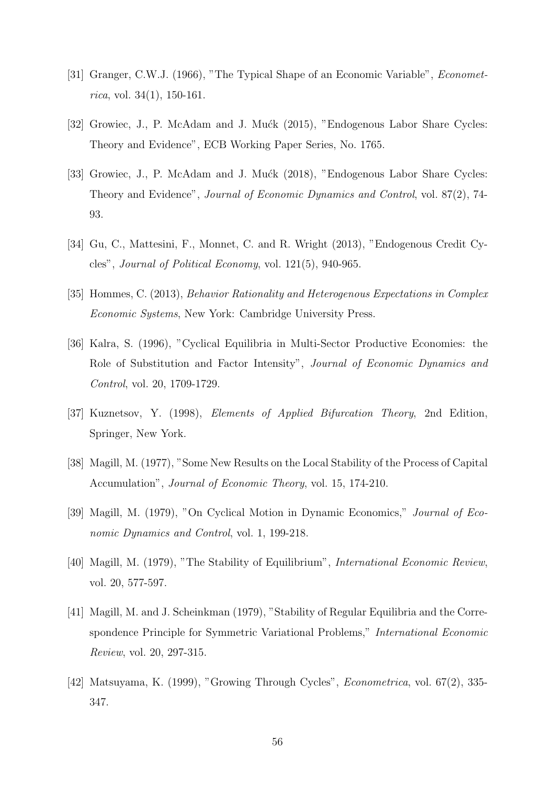- [31] Granger, C.W.J. (1966), "The Typical Shape of an Economic Variable", Econometrica, vol. 34 $(1)$ , 150-161.
- [32] Growiec, J., P. McAdam and J. Mućk (2015), "Endogenous Labor Share Cycles: Theory and Evidence", ECB Working Paper Series, No. 1765.
- [33] Growiec, J., P. McAdam and J. Mućk (2018), "Endogenous Labor Share Cycles: Theory and Evidence", Journal of Economic Dynamics and Control, vol. 87(2), 74- 93.
- [34] Gu, C., Mattesini, F., Monnet, C. and R. Wright (2013), "Endogenous Credit Cycles", Journal of Political Economy, vol. 121(5), 940-965.
- [35] Hommes, C. (2013), Behavior Rationality and Heterogenous Expectations in Complex Economic Systems, New York: Cambridge University Press.
- [36] Kalra, S. (1996), "Cyclical Equilibria in Multi-Sector Productive Economies: the Role of Substitution and Factor Intensity", Journal of Economic Dynamics and Control, vol. 20, 1709-1729.
- [37] Kuznetsov, Y. (1998), *Elements of Applied Bifurcation Theory*, 2nd Edition, Springer, New York.
- [38] Magill, M. (1977), "Some New Results on the Local Stability of the Process of Capital Accumulation", Journal of Economic Theory, vol. 15, 174-210.
- [39] Magill, M. (1979), "On Cyclical Motion in Dynamic Economics," Journal of Economic Dynamics and Control, vol. 1, 199-218.
- [40] Magill, M. (1979), "The Stability of Equilibrium", International Economic Review, vol. 20, 577-597.
- [41] Magill, M. and J. Scheinkman (1979), "Stability of Regular Equilibria and the Correspondence Principle for Symmetric Variational Problems," *International Economic* Review, vol. 20, 297-315.
- [42] Matsuyama, K. (1999), "Growing Through Cycles", Econometrica, vol. 67(2), 335- 347.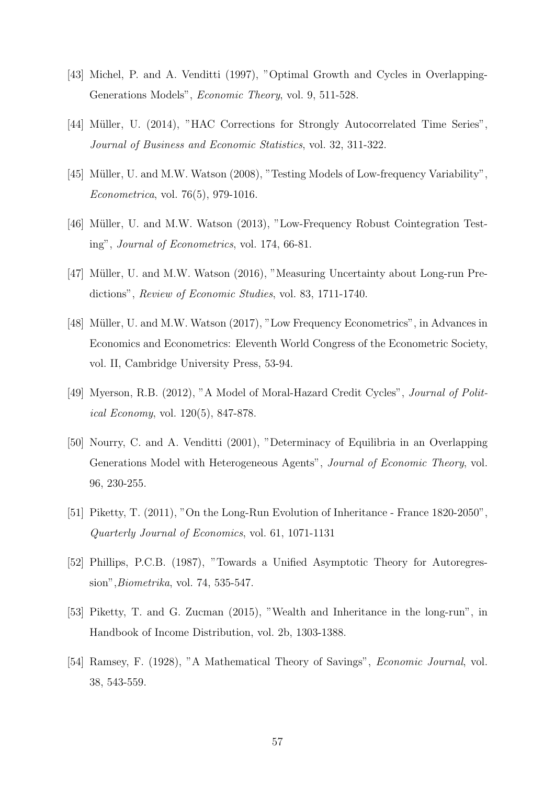- [43] Michel, P. and A. Venditti (1997), "Optimal Growth and Cycles in Overlapping-Generations Models", Economic Theory, vol. 9, 511-528.
- [44] Müller, U. (2014), "HAC Corrections for Strongly Autocorrelated Time Series", Journal of Business and Economic Statistics, vol. 32, 311-322.
- [45] Müller, U. and M.W. Watson (2008), "Testing Models of Low-frequency Variability", Econometrica, vol. 76(5), 979-1016.
- [46] M¨uller, U. and M.W. Watson (2013), "Low-Frequency Robust Cointegration Testing", Journal of Econometrics, vol. 174, 66-81.
- [47] Müller, U. and M.W. Watson (2016), "Measuring Uncertainty about Long-run Predictions", Review of Economic Studies, vol. 83, 1711-1740.
- [48] Müller, U. and M.W. Watson (2017), "Low Frequency Econometrics", in Advances in Economics and Econometrics: Eleventh World Congress of the Econometric Society, vol. II, Cambridge University Press, 53-94.
- [49] Myerson, R.B. (2012), "A Model of Moral-Hazard Credit Cycles", *Journal of Polit*ical Economy, vol. 120(5), 847-878.
- [50] Nourry, C. and A. Venditti (2001), "Determinacy of Equilibria in an Overlapping Generations Model with Heterogeneous Agents", Journal of Economic Theory, vol. 96, 230-255.
- [51] Piketty, T. (2011), "On the Long-Run Evolution of Inheritance France 1820-2050", Quarterly Journal of Economics, vol. 61, 1071-1131
- [52] Phillips, P.C.B. (1987), "Towards a Unified Asymptotic Theory for Autoregression",Biometrika, vol. 74, 535-547.
- [53] Piketty, T. and G. Zucman (2015), "Wealth and Inheritance in the long-run", in Handbook of Income Distribution, vol. 2b, 1303-1388.
- [54] Ramsey, F. (1928), "A Mathematical Theory of Savings", Economic Journal, vol. 38, 543-559.